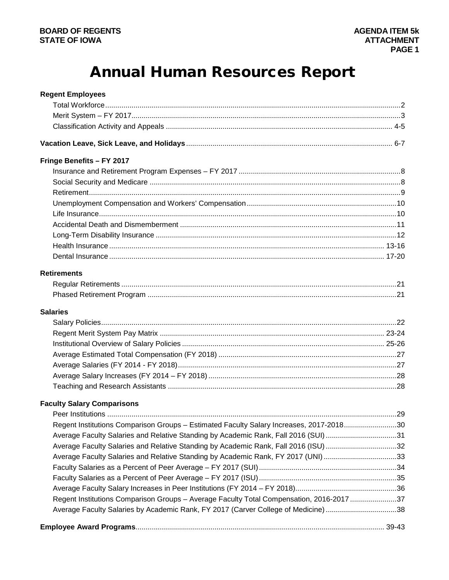# **Annual Human Resources Report**

| <b>Regent Employees</b>                                                                  |  |
|------------------------------------------------------------------------------------------|--|
|                                                                                          |  |
|                                                                                          |  |
|                                                                                          |  |
|                                                                                          |  |
| Fringe Benefits - FY 2017                                                                |  |
|                                                                                          |  |
|                                                                                          |  |
|                                                                                          |  |
|                                                                                          |  |
|                                                                                          |  |
|                                                                                          |  |
|                                                                                          |  |
|                                                                                          |  |
|                                                                                          |  |
| <b>Retirements</b>                                                                       |  |
|                                                                                          |  |
|                                                                                          |  |
| <b>Salaries</b>                                                                          |  |
|                                                                                          |  |
|                                                                                          |  |
|                                                                                          |  |
|                                                                                          |  |
|                                                                                          |  |
|                                                                                          |  |
|                                                                                          |  |
| <b>Faculty Salary Comparisons</b>                                                        |  |
|                                                                                          |  |
| Regent Institutions Comparison Groups - Estimated Faculty Salary Increases, 2017-201830  |  |
| Average Faculty Salaries and Relative Standing by Academic Rank, Fall 2016 (SUI)31       |  |
| Average Faculty Salaries and Relative Standing by Academic Rank, Fall 2016 (ISU) 32      |  |
| Average Faculty Salaries and Relative Standing by Academic Rank, FY 2017 (UNI) 33        |  |
|                                                                                          |  |
|                                                                                          |  |
|                                                                                          |  |
| Regent Institutions Comparison Groups - Average Faculty Total Compensation, 2016-2017 37 |  |
| Average Faculty Salaries by Academic Rank, FY 2017 (Carver College of Medicine)38        |  |
|                                                                                          |  |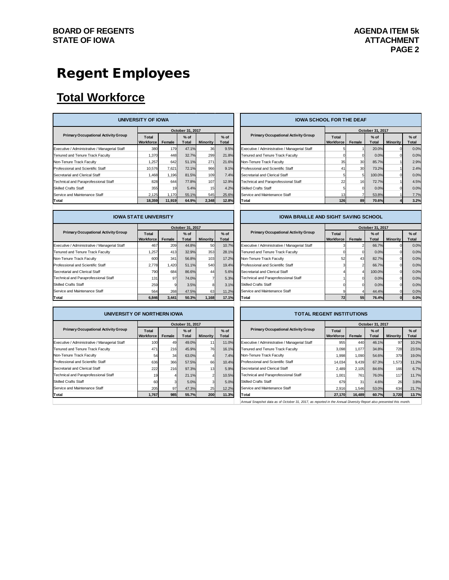# Regent Employees

# **Total Workforce**

| UNIVERSITY OF IOWA                            |                           |        |                  |          |                 |  | <b>IOWA SCHOOL FOR THE DEAF</b>               |                    |        |                 |                 |                 |
|-----------------------------------------------|---------------------------|--------|------------------|----------|-----------------|--|-----------------------------------------------|--------------------|--------|-----------------|-----------------|-----------------|
|                                               |                           |        | October 31, 2017 |          |                 |  |                                               | October 31, 2017   |        |                 |                 |                 |
| <b>Primary Occupational Activity Group</b>    | Total<br><b>Workforce</b> | Female | $%$ of<br>Total  | Minority | $%$ of<br>Total |  | <b>Primary Occupational Activity Group</b>    | Total<br>Workforce | Female | $%$ of<br>Total | <b>Minority</b> | $%$ of<br>Total |
| Executive / Administrative / Managerial Staff | 380                       | 179    | 47.1%            | 36       | 9.5%            |  | Executive / Administrative / Managerial Staff |                    |        | 20.0%           |                 | 0.0%            |
| Tenured and Tenure Track Faculty              | 1.370                     | 448    | 32.7%            | 299      | 21.8%           |  | Tenured and Tenure Track Faculty              |                    |        | 0.0%            |                 | 0.0%            |
| Non-Tenure Track Faculty                      | 1,257                     | 642    | 51.1%            | 271      | 21.6%           |  | Non-Tenure Track Faculty                      | 35                 | 30     | 85.7%           |                 | 2.9%            |
| Professional and Scientific Staff             | 10.576                    | 7.621  | 72.1%            | 966      | 9.1%            |  | Professional and Scientific Staff             | 41                 | 30     | 73.2%           |                 | 2.4%            |
| Secretarial and Clerical Staff                | 1.468                     | 1,196  | 81.5%            | 109      | 7.4%            |  | Secretarial and Clerical Staff                |                    |        | 100.0%          |                 | 0.0%            |
| Technical and Paraprofessional Staff          | 828                       | 644    | 77.8%            | 107      | 12.9%           |  | Technical and Paraprofessional Staff          | 22                 | 16     | 72.7%           |                 | 4.5%            |
| <b>Skilled Crafts Staff</b>                   | 355                       | 19     | 5.4%             | 15       | 4.2%            |  | <b>Skilled Crafts Staff</b>                   |                    |        | 0.0%            |                 | 0.0%            |
| Service and Maintenance Staff                 | 2,125                     | 1,170  | 55.1%            | 545      | 25.6%           |  | Service and Maintenance Staff                 | 13                 |        | 53.8%           |                 | 7.7%            |
| Total                                         | 18,359                    | 11,919 | 64.9%            | 2.348    | 12.8%           |  | Total                                         | 126                | 89     | 70.6%           |                 | 3.2%            |

**IOWA STATE UNIVERSITY**

|                                               | UNIVERSITY OF IOWA        |        |                        |                 |                 | <b>IOWA SCHOOL FOR THE DEAF</b>               |                    |        |                        |                 |                 |
|-----------------------------------------------|---------------------------|--------|------------------------|-----------------|-----------------|-----------------------------------------------|--------------------|--------|------------------------|-----------------|-----------------|
|                                               | October 31, 2017          |        |                        |                 |                 |                                               | October 31, 2017   |        |                        |                 |                 |
| <b>Primary Occupational Activity Group</b>    | Total<br><b>Workforce</b> | Female | $%$ of<br><b>Total</b> | <b>Minority</b> | $%$ of<br>Total | <b>Primary Occupational Activity Group</b>    | Total<br>Workforce | Female | $%$ of<br><b>Total</b> | <b>Minority</b> | $%$ of<br>Total |
| Executive / Administrative / Managerial Staff | 380                       | 179    | 47.1%                  | 36              | 9.5%            | Executive / Administrative / Managerial Staff |                    |        | 20.0%                  |                 | 0.0%            |
| Tenured and Tenure Track Faculty              | 1.370                     | 448    | 32.7%                  | 299             | 21.8%           | Tenured and Tenure Track Faculty              |                    |        | 0.0%                   |                 | 0.0%            |
| Non-Tenure Track Faculty                      | 1.257                     | 642    | 51.1%                  | 271             | 21.6%           | Non-Tenure Track Faculty                      | 35                 | 30     | 85.7%                  |                 | 2.9%            |
| Professional and Scientific Staff             | 10.576                    | 7,621  | 72.1%                  | 966             | 9.1%            | Professional and Scientific Staff             | 41                 | 30     | 73.2%                  |                 | 2.4%            |
| Secretarial and Clerical Staff                | 1.468                     | 1.196  | 81.5%                  | 109             | 7.4%            | Secretarial and Clerical Staff                |                    |        | 100.0%                 |                 | 0.0%            |
| Technical and Paraprofessional Staff          | 828                       | 644    | 77.8%                  | 107             | 12.9%           | Technical and Paraprofessional Staff          | 22                 | 16     | 72.7%                  |                 | 4.5%            |
| <b>Skilled Crafts Staff</b>                   | 355                       | 19     | 5.4%                   | 15 <sub>l</sub> | 4.2%            | <b>Skilled Crafts Staff</b>                   |                    |        | 0.0%                   |                 | 0.0%            |
| Service and Maintenance Staff                 | 2,125                     | 1,170  | 55.1%                  | 545             | 25.6%           | Service and Maintenance Staff                 |                    |        | 53.8%                  |                 | 7.7%            |
| Total                                         | 18.359                    | 11.919 | 64.9%                  | 2.348           | 12.8%           | <b>Total</b>                                  | 126                | 89     | 70.6%                  |                 | 3.2%            |

#### **IOWA BRAILLE AND SIGHT SAVING SCHOOL**

|                                               |                    |        | October 31, 2017 |          |                 |                                               |                           |        | October 31, 2017 |          |                 |
|-----------------------------------------------|--------------------|--------|------------------|----------|-----------------|-----------------------------------------------|---------------------------|--------|------------------|----------|-----------------|
| <b>Primary Occupational Activity Group</b>    | Total<br>Workforce | Female | $%$ of<br>Total  | Minority | $%$ of<br>Total | <b>Primary Occupational Activity Group</b>    | Total<br><b>Workforce</b> | Female | $%$ of<br>Total  | Minority | $%$ of<br>Total |
|                                               |                    |        |                  |          |                 |                                               |                           |        |                  |          |                 |
| Executive / Administrative / Managerial Staff | 467                | 209    | 44.8%            | 50       | 10.7%           | Executive / Administrative / Managerial Staff |                           |        | 66.7%            |          | 0.0%            |
| Tenured and Tenure Track Faculty              | 1.257              | 413    | 32.9%            | 353      | 28.1%           | Tenured and Tenure Track Faculty              |                           |        | 0.0%             |          | 0.0%            |
| Non-Tenure Track Faculty                      | 600                | 341    | 56.8%            | 103      | 17.2%           | Non-Tenure Track Faculty                      |                           | 43     | 82.7%            |          | 0.0%            |
| Professional and Scientific Staff             | 2.778              | 1,420  | 51.1%            | 540      | 19.4%           | Professional and Scientific Staff             |                           |        | 66.7%            |          | 0.0%            |
| Secretarial and Clerical Staff                | 790                | 684    | 86.6%            | 44       | 5.6%            | Secretarial and Clerical Staff                |                           |        | 100.0%           |          | 0.0%            |
| Technical and Paraprofessional Staff          | 131                | 97     | 74.0%            |          | 5.3%            | Technical and Paraprofessional Staff          |                           |        | 0.0%             |          | 0.0%            |
| Skilled Crafts Staff                          | 259                |        | 3.5%             |          | 3.1%            | <b>Skilled Crafts Staff</b>                   |                           |        | 0.0%             |          | 0.0%            |
| Service and Maintenance Staff                 | 564                | 268    | 47.5%            | 63       | 11.2%           | Service and Maintenance Staff                 |                           |        | 44.4%            |          | 0.0%            |
| Total                                         | 6.846              | 3.441  | 50.3%            | 1.168    | 17.1%           | Total                                         |                           | 55     | 76.4%            |          | 0.0%            |

| :al                                         | 6,846                             | 3,441  | 50.3%                   | 1,168           | 17.1%           |
|---------------------------------------------|-----------------------------------|--------|-------------------------|-----------------|-----------------|
|                                             |                                   |        |                         |                 |                 |
| UNIVERSITY OF NORTHERN IOWA                 |                                   |        |                         |                 |                 |
|                                             |                                   |        | <b>October 31, 2017</b> |                 |                 |
| <b>Primary Occupational Activity Group</b>  | <b>T</b> otal<br><b>Workforce</b> | Female | $%$ of<br><b>Total</b>  | <b>Minority</b> | $%$ of<br>Total |
| ecutive / Administrative / Managerial Staff | 100                               | 49     | 49.0%                   | 11              | 11.0%           |
| ured and Tenure Track Faculty               | 471                               | 216    | 45.9%                   | 76              | 16.1%           |
| <b>1-Tenure Track Faculty</b>               | 54                                | 34     | 63.0%                   |                 | 7.4%            |
| fessional and Scientific Staff              | 636                               | 366    | 57.5%                   | 66              | 10.4%           |
| cretarial and Clerical Staff                | 222                               | 216    | 97.3%                   | 13              | 5.9%            |
| hnical and Paraprofessional Staff           | 19                                |        | 21.1%                   |                 | 10.5%           |
| led Crafts Staff                            | 60                                |        | 5.0%                    |                 | 5.0%            |
| vice and Maintenance Staff                  | 205                               | 97     | 47.3%                   | 25              | 12.2%           |
|                                             |                                   |        |                         |                 |                 |

|                                               |                    |        | October 31, 2017       |                 |                        |
|-----------------------------------------------|--------------------|--------|------------------------|-----------------|------------------------|
| <b>Primary Occupational Activity Group</b>    | Total<br>Workforce | Female | $%$ of<br><b>Total</b> | <b>Minority</b> | $%$ of<br><b>Total</b> |
| Executive / Administrative / Managerial Staff |                    |        | 66.7%                  |                 | 0.0%                   |
| Tenured and Tenure Track Faculty              |                    |        | 0.0%                   |                 | 0.0%                   |
| Non-Tenure Track Faculty                      | 52                 | 43     | 82.7%                  |                 | 0.0%                   |
| Professional and Scientific Staff             |                    |        | 66.7%                  |                 | 0.0%                   |
| Secretarial and Clerical Staff                |                    |        | 100.0%                 |                 | 0.0%                   |
| Technical and Paraprofessional Staff          |                    |        | 0.0%                   |                 | 0.0%                   |
| <b>Skilled Crafts Staff</b>                   |                    |        | 0.0%                   |                 | 0.0%                   |
| Service and Maintenance Staff                 |                    |        | 44.4%                  |                 | 0.0%                   |
| Total                                         |                    | 55     | 76.4%                  |                 | 0.0%                   |

#### **TOTAL REGENT INSTITUTIONS**

|                                               |                           |                | October 31, 2017 |                 |                        |                                               |  |                           |        | October 31, 2017       |                 |                 |
|-----------------------------------------------|---------------------------|----------------|------------------|-----------------|------------------------|-----------------------------------------------|--|---------------------------|--------|------------------------|-----------------|-----------------|
| <b>Primary Occupational Activity Group</b>    | Total<br><b>Workforce</b> | Female         | $%$ of<br>Total  | <b>Minority</b> | $%$ of<br><b>Total</b> | <b>Primary Occupational Activity Group</b>    |  | Total<br><b>Workforce</b> | Female | $%$ of<br><b>Total</b> | <b>Minority</b> | $%$ of<br>Total |
| Executive / Administrative / Managerial Staff | 100                       | 49             | 49.0%            |                 | 11.0%                  | Executive / Administrative / Managerial Staff |  | 955                       | 440    | 46.1%                  | 97              | 10.2%           |
| Tenured and Tenure Track Faculty              | 471                       | <b>216</b>     | 45.9%            | 76              | 16.1%                  | Tenured and Tenure Track Faculty              |  | 3,098                     | 1.077  | 34.8%                  | 728             | 23.5%           |
| Non-Tenure Track Faculty                      | 54                        | 34             | 63.0%            |                 | 7.4%                   | Non-Tenure Track Faculty                      |  | 1.998                     | 1.090  | 54.6%                  | 379             | 19.0%           |
| Professional and Scientific Staff             | 636                       | 366            | 57.5%            | 66              | 10.4%                  | Professional and Scientific Staff             |  | 14.034                    | 9.439  | 67.3%                  | 1.573           | 11.2%           |
| Secretarial and Clerical Staff                | 222                       | <b>216</b>     | 97.3%            | 13              | 5.9%                   | Secretarial and Clerical Staff                |  | 2.489                     | 2,105  | 84.6%                  | 166             | 6.7%            |
| Technical and Paraprofessional Staff          |                           | $\overline{a}$ | 21.1%            |                 | 10.5%                  | Technical and Paraprofessional Staff          |  | 1.001                     | 761    | 76.0%                  | 117             | 11.7%           |
| <b>Skilled Crafts Staff</b>                   | 60                        | 3              | 5.0%             |                 | 5.0%                   | <b>Skilled Crafts Staff</b>                   |  | 679                       | 31     | 4.6%                   | 26              | 3.8%            |
| Service and Maintenance Staff                 | 205                       | 97             | 47.3%            | 25              | 12.2%                  | Service and Maintenance Staff                 |  | 2.916                     | .546   | 53.0%                  | 634             | 21.7%           |
| Total                                         | 1,767                     | 985            | 55.7%            | 200             | 11.3%                  | Total                                         |  | 27,170                    | 16,489 | 60.7%                  | 3,720           | 13.7%           |
|                                               |                           |                |                  |                 |                        |                                               |  |                           |        |                        |                 |                 |

*Annual Snapshot data as of October 31, 2017, as reported in the Annual Diversity Report also presented this month.*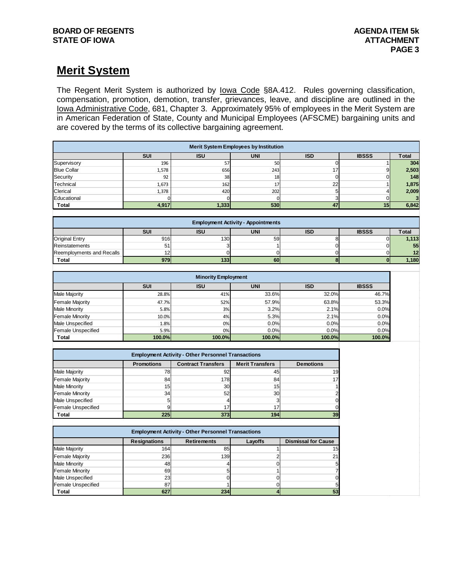# **Merit System**

The Regent Merit System is authorized by lowa Code §8A.412. Rules governing classification, compensation, promotion, demotion, transfer, grievances, leave, and discipline are outlined in the Iowa Administrative Code, 681, Chapter 3. Approximately 95% of employees in the Merit System are in American Federation of State, County and Municipal Employees (AFSCME) bargaining units and are covered by the terms of its collective bargaining agreement.

|                                                |                            |                                                           | <b>Merit System Employees by Institution</b>            |                                  |                             |              |
|------------------------------------------------|----------------------------|-----------------------------------------------------------|---------------------------------------------------------|----------------------------------|-----------------------------|--------------|
|                                                | SUI                        | <b>ISU</b>                                                | <b>UNI</b>                                              | <b>ISD</b>                       | <b>IBSSS</b>                | <b>Total</b> |
| Supervisory                                    | 196                        | 57                                                        | 50                                                      | $\Omega$                         | $\mathbf{1}$                | 304          |
| <b>Blue Collar</b>                             | 1,578                      | 656                                                       | 243                                                     | 17                               | $\overline{9}$              | 2,503        |
| Security                                       | 92                         | 38                                                        | 18                                                      | $\Omega$                         | $\overline{0}$              | 148          |
| Technical                                      | 1,673                      | 162                                                       | 17                                                      | 22                               | 1                           | 1,875        |
| Clerical                                       | 1,378                      | 420                                                       | 202                                                     | 5 <sup>5</sup>                   | 4                           | 2,009        |
| Educational                                    | $\Omega$                   | $\Omega$                                                  | $\mathbf 0$                                             | $\mathbf{3}$                     | $\overline{0}$              | 3            |
| Total                                          | 4,917                      | 1,333                                                     | 530                                                     | 47                               | 15                          | 6,842        |
|                                                |                            |                                                           |                                                         |                                  |                             |              |
|                                                | SUI                        | <b>ISU</b>                                                | <b>Employment Activity - Appointments</b><br><b>UNI</b> | <b>ISD</b>                       | <b>IBSSS</b>                | <b>Total</b> |
|                                                | 916                        | 130                                                       |                                                         |                                  | $\mathbf 0$                 |              |
| Original Entry                                 |                            |                                                           | 59                                                      | 8                                |                             | 1,113        |
| Reinstatements                                 | 51                         | 3                                                         |                                                         | $\overline{0}$                   | $\overline{0}$              | 55           |
| Reemployments and Recalls<br>Total             | 12<br>979                  | $\mathbf 0$<br>133                                        | $\mathbf 0$<br>60                                       | $\overline{0}$<br>$\bf{8}$       | $\mathbf 0$<br>$\mathbf{0}$ | 12<br>1,180  |
|                                                |                            |                                                           |                                                         |                                  |                             |              |
|                                                |                            | <b>Minority Employment</b>                                |                                                         |                                  |                             |              |
|                                                | SUI                        | I SU                                                      | <b>UNI</b>                                              | <b>ISD</b>                       | <b>IBSSS</b>                |              |
| Male Majority                                  | 28.8%                      | 41%                                                       | 33.6%                                                   | 32.0%                            | 46.7%                       |              |
| <b>Female Majority</b>                         | 47.7%                      | 52%                                                       | 57.9%                                                   | 63.8%                            | 53.3%                       |              |
| <b>Male Minority</b>                           | 5.8%                       | 3%                                                        | 3.2%                                                    | 2.1%                             | 0.0%                        |              |
| <b>Female Minority</b>                         | 10.0%                      | 4%                                                        | 5.3%                                                    | 2.1%                             | 0.0%                        |              |
| Male Unspecified                               | 1.8%                       | 0%                                                        | 0.0%                                                    | 0.0%                             | 0.0%                        |              |
| Female Unspecified                             | 5.9%                       | 0%                                                        | 0.0%                                                    | 0.0%                             | 0.0%                        |              |
| Total                                          | 100.0%                     | 100.0%                                                    | 100.0%                                                  | 100.0%                           | 100.0%                      |              |
|                                                |                            |                                                           |                                                         |                                  |                             |              |
|                                                |                            | <b>Employment Activity - Other Personnel Transactions</b> |                                                         |                                  |                             |              |
|                                                | <b>Promotions</b>          | <b>Contract Transfers</b>                                 | <b>Merit Transfers</b>                                  | <b>Demotions</b>                 |                             |              |
| <b>Male Majority</b>                           | 78                         | 92                                                        | 45                                                      | 19                               |                             |              |
| <b>Female Majority</b>                         | 84                         | 178                                                       | 84                                                      | 17                               |                             |              |
| <b>Male Minority</b>                           | 15                         | 30                                                        | 15                                                      |                                  |                             |              |
| <b>Female Minority</b>                         | 34                         | 52                                                        | 30                                                      |                                  |                             |              |
| <b>Male Unspecified</b>                        | 5                          | 4                                                         | 3                                                       | n                                |                             |              |
| <b>Female Unspecified</b>                      | 9                          | 17                                                        | 17                                                      |                                  |                             |              |
| <b>Total</b>                                   | 225                        | 373                                                       | 194                                                     | 39                               |                             |              |
|                                                |                            |                                                           |                                                         |                                  |                             |              |
|                                                |                            | <b>Employment Activity - Other Personnel Transactions</b> |                                                         |                                  |                             |              |
| <b>Male Majority</b>                           | <b>Resignations</b><br>164 | <b>Retirements</b><br>85                                  | Layoffs<br>1                                            | <b>Dismissal for Cause</b><br>15 |                             |              |
|                                                |                            | 139                                                       | $\overline{a}$                                          |                                  |                             |              |
| <b>Female Majority</b><br><b>Male Minority</b> | 236<br>48                  | Δ                                                         | $\overline{0}$                                          | 21<br>5                          |                             |              |
|                                                | 69                         | 5                                                         | $\mathbf{1}$                                            | 7                                |                             |              |
| <b>Female Minority</b><br>Male Unspecified     | 23                         | $\mathbf 0$                                               | $\mathbf 0$                                             |                                  |                             |              |
| Female Unspecified                             | 87                         | 1                                                         | $\Omega$                                                |                                  |                             |              |
| <b>Total</b>                                   | 627                        | 234                                                       | 4                                                       | 53                               |                             |              |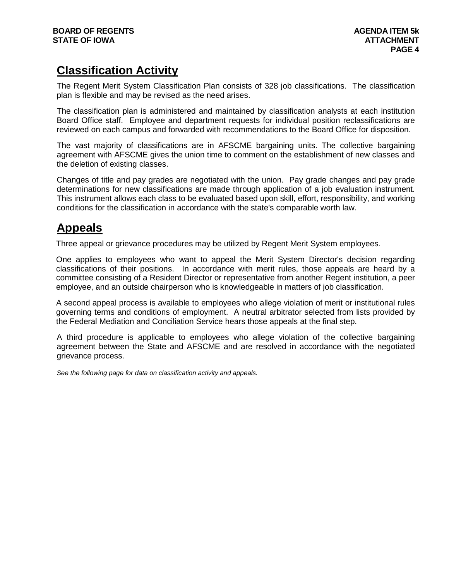# **Classification Activity**

The Regent Merit System Classification Plan consists of 328 job classifications. The classification plan is flexible and may be revised as the need arises.

The classification plan is administered and maintained by classification analysts at each institution Board Office staff. Employee and department requests for individual position reclassifications are reviewed on each campus and forwarded with recommendations to the Board Office for disposition.

The vast majority of classifications are in AFSCME bargaining units. The collective bargaining agreement with AFSCME gives the union time to comment on the establishment of new classes and the deletion of existing classes.

Changes of title and pay grades are negotiated with the union. Pay grade changes and pay grade determinations for new classifications are made through application of a job evaluation instrument. This instrument allows each class to be evaluated based upon skill, effort, responsibility, and working conditions for the classification in accordance with the state's comparable worth law.

# **Appeals**

Three appeal or grievance procedures may be utilized by Regent Merit System employees.

One applies to employees who want to appeal the Merit System Director's decision regarding classifications of their positions. In accordance with merit rules, those appeals are heard by a committee consisting of a Resident Director or representative from another Regent institution, a peer employee, and an outside chairperson who is knowledgeable in matters of job classification.

A second appeal process is available to employees who allege violation of merit or institutional rules governing terms and conditions of employment. A neutral arbitrator selected from lists provided by the Federal Mediation and Conciliation Service hears those appeals at the final step.

A third procedure is applicable to employees who allege violation of the collective bargaining agreement between the State and AFSCME and are resolved in accordance with the negotiated grievance process.

*See the following page for data on classification activity and appeals.*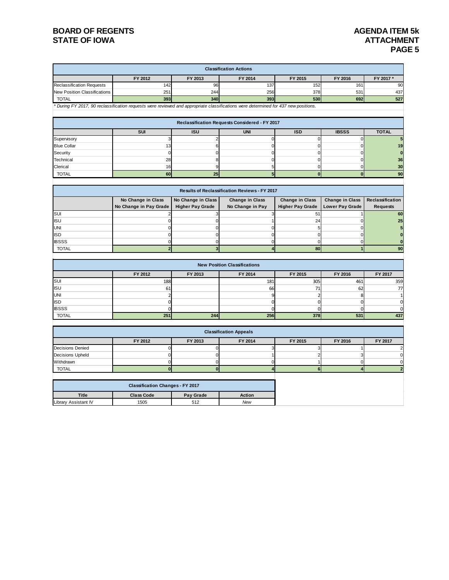|                                  |                                                                                                                                     |                         | <b>Classification Actions</b>                  |                         |                        |                  |
|----------------------------------|-------------------------------------------------------------------------------------------------------------------------------------|-------------------------|------------------------------------------------|-------------------------|------------------------|------------------|
|                                  | FY 2012                                                                                                                             | FY 2013                 | FY 2014                                        | FY 2015                 | FY 2016                | FY 2017 *        |
| <b>Reclassification Requests</b> | 142                                                                                                                                 | 96                      | 137                                            | 152                     | 161                    | 90               |
| New Position Classifications     | 251                                                                                                                                 | 244                     | 256                                            | 378                     | 531                    | 437              |
| <b>TOTAL</b>                     | 393                                                                                                                                 | 340                     | 393                                            | 530                     | 692                    | 527              |
|                                  | * During FY 2017, 90 reclassification requests were reviewed and appropriate classifications were determined for 437 new positions. |                         |                                                |                         |                        |                  |
|                                  |                                                                                                                                     |                         |                                                |                         |                        |                  |
|                                  |                                                                                                                                     |                         | Reclassification Requests Considered - FY 2017 |                         |                        |                  |
|                                  | SUI                                                                                                                                 | <b>ISU</b>              | <b>UNI</b>                                     | <b>ISD</b>              | <b>IBSSS</b>           | <b>TOTAL</b>     |
| Supervisory                      | 3                                                                                                                                   | $\overline{2}$          | $\mathbf 0$                                    | $\mathbf 0$             | $\mathbf 0$            |                  |
| <b>Blue Collar</b>               | 13                                                                                                                                  | 6                       | $\mathbf 0$                                    | $\mathbf 0$             | 0                      | 19               |
| Security                         | $\mathbf 0$                                                                                                                         | $\mathbf 0$             | $\mathbf 0$                                    | $\mathbf 0$             | 0                      | $\bf{0}$         |
| Technical                        | 28                                                                                                                                  | 8                       | $\mathbf 0$                                    | $\overline{0}$          | 0                      | 36               |
| Clerical                         | 16                                                                                                                                  | 9                       | 5                                              | $\mathbf 0$             | 0                      | 30               |
| <b>TOTAL</b>                     | 60                                                                                                                                  | 25                      | 5                                              | $\mathbf{0}$            | $\bf{0}$               | 90               |
|                                  |                                                                                                                                     |                         |                                                |                         |                        |                  |
|                                  |                                                                                                                                     |                         | Results of Reclassification Reviews - FY 2017  |                         |                        |                  |
|                                  | No Change in Class                                                                                                                  | No Change in Class      | <b>Change in Class</b>                         | Change in Class         | <b>Change in Class</b> | Reclassification |
|                                  | No Change in Pay Grade                                                                                                              | <b>Higher Pay Grade</b> | No Change in Pay                               | <b>Higher Pay Grade</b> | <b>Lower Pay Grade</b> | <b>Requests</b>  |
| $\overline{\mathsf{s}}$ UI       | $\overline{2}$                                                                                                                      | 3                       | 3                                              | 51                      |                        | 60               |
| <b>ISU</b>                       | $\mathbf 0$                                                                                                                         | $\mathbf 0$             |                                                | 24                      | $\Omega$               | 25               |
| <b>UNI</b>                       | $\mathbf 0$                                                                                                                         | $\mathbf 0$             | $\mathbf 0$                                    | 5                       | $\Omega$               | 5                |
| <b>ISD</b>                       | $\mathbf 0$                                                                                                                         | $\mathbf 0$             | $\mathbf 0$                                    | $\mathbf 0$             | $\Omega$               | $\bf{0}$         |
| <b>IBSSS</b>                     | $\mathbf 0$                                                                                                                         | $\mathbf 0$             | $\mathbf 0$                                    | $\mathbf 0$             | $\mathbf 0$            |                  |
| <b>TOTAL</b>                     | $\overline{2}$                                                                                                                      | 3                       |                                                | 80                      |                        | 90               |
|                                  |                                                                                                                                     |                         |                                                |                         |                        |                  |
|                                  |                                                                                                                                     |                         | <b>New Position Classifications</b>            |                         |                        |                  |
|                                  | FY 2012                                                                                                                             | FY 2013                 | FY 2014                                        | FY 2015                 | FY 2016                | FY 2017          |
| SUI                              | 188                                                                                                                                 |                         | 181                                            | 305                     | 461                    | 359              |
| <b>ISU</b>                       | 61                                                                                                                                  |                         | 66                                             | 71                      | 62                     | 77               |
| <b>UNI</b>                       | $\overline{2}$                                                                                                                      |                         | 9                                              | $\overline{2}$          | 8                      |                  |
| <b>ISD</b>                       | $\mathbf 0$                                                                                                                         |                         | 0                                              | $\mathbf 0$             | 0                      |                  |
| <b>IBSSS</b>                     | 0                                                                                                                                   |                         | $\Omega$                                       | 0                       | 0                      |                  |
| <b>TOTAL</b>                     | 251                                                                                                                                 | 244                     | 256                                            | 378                     | 531                    | 437              |
|                                  |                                                                                                                                     |                         |                                                |                         |                        |                  |
|                                  |                                                                                                                                     |                         | <b>Classification Appeals</b>                  |                         |                        |                  |
|                                  | FY 2012                                                                                                                             | FY 2013                 | FY 2014                                        | FY 2015                 | FY 2016                | FY 2017          |
| <b>Decisions Denied</b>          | $\mathbf 0$                                                                                                                         | $\mathbf 0$             | 3                                              | 3                       | 1                      |                  |
| <b>Decisions Upheld</b>          | $\mathbf 0$                                                                                                                         | $\Omega$                |                                                | $\overline{c}$          | 3                      |                  |
| Withdrawn                        | $\mathbf 0$                                                                                                                         | $\Omega$                | $\mathbf 0$                                    | 1                       | $\Omega$               |                  |
| <b>TOTAL</b>                     | $\bf{0}$                                                                                                                            | $\bf{0}$                |                                                | 6                       |                        |                  |
|                                  | <b>Classification Changes - FY 2017</b>                                                                                             |                         |                                                |                         |                        |                  |
| <b>Title</b>                     | <b>Class Code</b>                                                                                                                   | Pay Grade               | <b>Action</b>                                  |                         |                        |                  |
| Library Assistant IV             | 1505                                                                                                                                | 512                     | New                                            |                         |                        |                  |
|                                  |                                                                                                                                     |                         |                                                |                         |                        |                  |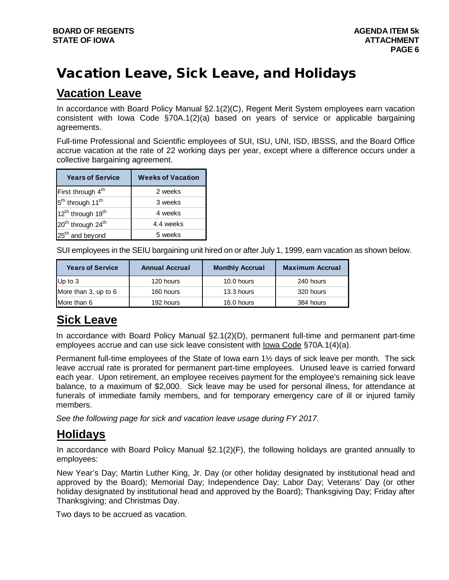# Vacation Leave, Sick Leave, and Holidays

# **Vacation Leave**

In accordance with Board Policy Manual §2.1(2)(C), Regent Merit System employees earn vacation consistent with Iowa Code §70A.1(2)(a) based on years of service or applicable bargaining agreements.

Full-time Professional and Scientific employees of SUI, ISU, UNI, ISD, IBSSS, and the Board Office accrue vacation at the rate of 22 working days per year, except where a difference occurs under a collective bargaining agreement.

| <b>Years of Service</b>                   | <b>Weeks of Vacation</b> |
|-------------------------------------------|--------------------------|
| First through 4 <sup>th</sup>             | 2 weeks                  |
| 5 <sup>th</sup> through 11 <sup>th</sup>  | 3 weeks                  |
| 12 <sup>th</sup> through 19 <sup>th</sup> | 4 weeks                  |
| 20 <sup>th</sup> through 24 <sup>th</sup> | 4.4 weeks                |
| 25 <sup>th</sup> and beyond               | 5 weeks                  |

SUI employees in the SEIU bargaining unit hired on or after July 1, 1999, earn vacation as shown below.

| <b>Years of Service</b> | <b>Annual Accrual</b> | <b>Monthly Accrual</b> | <b>Maximum Accrual</b> |
|-------------------------|-----------------------|------------------------|------------------------|
| Up to $3$               | 120 hours             | 10.0 hours             | 240 hours              |
| More than 3, up to 6    | 160 hours             | 13.3 hours             | 320 hours              |
| More than 6             | 192 hours             | 16.0 hours             | 384 hours              |

# **Sick Leave**

In accordance with Board Policy Manual §2.1(2)(D), permanent full-time and permanent part-time employees accrue and can use sick leave consistent with Iowa Code §70A.1(4)(a).

Permanent full-time employees of the State of Iowa earn 1½ days of sick leave per month. The sick leave accrual rate is prorated for permanent part-time employees. Unused leave is carried forward each year. Upon retirement, an employee receives payment for the employee's remaining sick leave balance, to a maximum of \$2,000. Sick leave may be used for personal illness, for attendance at funerals of immediate family members, and for temporary emergency care of ill or injured family members.

*See the following page for sick and vacation leave usage during FY 2017.*

# **Holidays**

In accordance with Board Policy Manual §2.1(2)(F), the following holidays are granted annually to employees:

New Year's Day; Martin Luther King, Jr. Day (or other holiday designated by institutional head and approved by the Board); Memorial Day; Independence Day; Labor Day; Veterans' Day (or other holiday designated by institutional head and approved by the Board); Thanksgiving Day; Friday after Thanksgiving; and Christmas Day.

Two days to be accrued as vacation.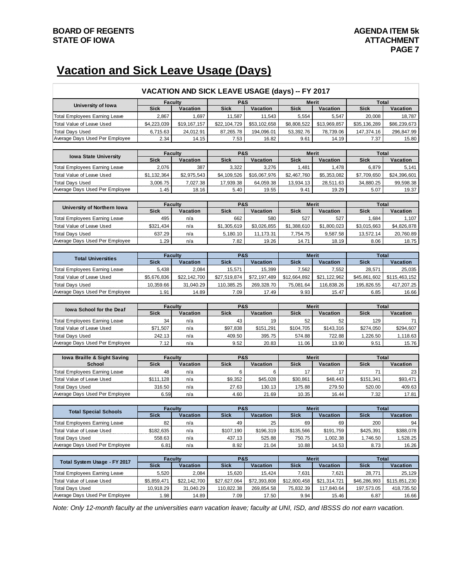# **Vacation and Sick Leave Usage (Days)**

|                                                          |                               | VACATION AND SICK LEAVE USAGE (days) -- FY 2017 |                        |                     |                   |                          |                      |                     |
|----------------------------------------------------------|-------------------------------|-------------------------------------------------|------------------------|---------------------|-------------------|--------------------------|----------------------|---------------------|
| University of Iowa                                       | <b>Faculty</b>                |                                                 | <b>P&amp;S</b>         |                     |                   | Merit                    | Total                |                     |
|                                                          | <b>Sick</b>                   | Vacation                                        | <b>Sick</b>            | Vacation            | <b>Sick</b>       | Vacation                 | <b>Sick</b>          | Vacation            |
| Total Employees Earning Leave                            | 2,867                         | 1,697                                           | 11,587                 | 11,543              | 5,554             | 5,547                    | 20,008               | 18,787              |
| Total Value of Leave Used                                | \$4,223,039                   | \$19,167,157                                    | \$22,104,729           | \$53,102,658        | \$8,808,522       | \$13,969,857             | \$35,136,289         | \$86,239,673        |
| <b>Total Days Used</b>                                   | 6,715.63                      | 24,012.91                                       | 87,265.78              | 194,096.01          | 53,392.76         | 78,739.06                | 147,374.16           | 296,847.99          |
| Average Days Used Per Employee                           | 2.34                          | 14.15                                           | 7.53                   | 16.82               | 9.61              | 14.19                    | 7.37                 | 15.80               |
|                                                          |                               |                                                 | <b>P&amp;S</b>         |                     |                   | <b>Merit</b>             | <b>Total</b>         |                     |
| <b>Iowa State University</b>                             | <b>Faculty</b><br><b>Sick</b> | Vacation                                        | <b>Sick</b>            | Vacation            | <b>Sick</b>       | Vacation                 | <b>Sick</b>          | Vacation            |
| <b>Total Employees Earning Leave</b>                     | 2,076                         | 387                                             | 3,322                  | 3,276               | 1,481             | 1,478                    | 6,879                | 5,141               |
| Total Value of Leave Used                                | \$1,132,364                   | \$2,975,543                                     | \$4,109,526            | \$16,067,976        | \$2,467,760       | \$5,353,082              | \$7,709,650          | \$24,396,601        |
| <b>Total Days Used</b>                                   | 3,006.75                      | 7,027.38                                        | 17,939.38              | 64,059.38           | 13,934.13         | 28,511.63                | 34,880.25            | 99,598.38           |
| Average Days Used Per Employee                           | 1.45                          | 18.16                                           | 5.40                   | 19.55               | 9.41              | 19.29                    | 5.07                 | 19.37               |
|                                                          |                               |                                                 |                        |                     |                   |                          |                      |                     |
|                                                          | <b>Faculty</b>                |                                                 | <b>P&amp;S</b>         |                     |                   | <b>Merit</b>             | <b>Total</b>         |                     |
| University of Northern Iowa                              | <b>Sick</b>                   | Vacation                                        | <b>Sick</b>            | Vacation            | <b>Sick</b>       | Vacation                 | <b>Sick</b>          | Vacation            |
| Total Employees Earning Leave                            | 495                           | n/a                                             | 662                    | 580                 | 527               | 527                      | 1,684                | 1,107               |
| Total Value of Leave Used                                | \$321,434                     | n/a                                             | \$1,305,619            | \$3,026,855         | \$1,388,610       | \$1,800,023              | \$3,015,663          | \$4,826,878         |
| <b>Total Days Used</b>                                   | 637.29                        | n/a                                             | 5,180.10               | 11,173.31           | 7,754.75          | 9,587.58                 | 13,572.14            | 20,760.89           |
| Average Days Used Per Employee                           | 1.29                          | n/a                                             | 7.82                   | 19.26               | 14.71             | 18.19                    | 8.06                 | 18.75               |
|                                                          |                               |                                                 |                        |                     |                   |                          |                      |                     |
| <b>Total Universities</b>                                | <b>Faculty</b>                |                                                 | <b>P&amp;S</b>         |                     |                   | <b>Merit</b>             | <b>Total</b>         |                     |
|                                                          | <b>Sick</b>                   | Vacation                                        | <b>Sick</b>            | Vacation            | <b>Sick</b>       | Vacation                 | <b>Sick</b>          | <b>Vacation</b>     |
| <b>Total Employees Earning Leave</b>                     | 5,438                         | 2,084                                           | 15,571                 | 15,399              | 7,562             | 7,552                    | 28,571               | 25,035              |
| <b>Total Value of Leave Used</b>                         | \$5,676,836                   | \$22,142,700                                    | \$27,519,874           | \$72,197,489        | \$12,664,892      | \$21,122,962             | \$45,861,602         | \$115,463,152       |
| <b>Total Days Used</b>                                   | 10,359.66                     | 31,040.29                                       | 110,385.25             | 269,328.70          | 75,081.64         | 116,838.26               | 195,826.55           | 417,207.25          |
|                                                          |                               |                                                 | 7.09                   |                     | 9.93              | 15.47                    | 6.85                 | 16.66               |
| Average Days Used Per Employee                           | 1.91                          | 14.89                                           |                        | 17.49               |                   |                          |                      |                     |
|                                                          |                               |                                                 |                        |                     |                   |                          |                      |                     |
| <b>Iowa School for the Deaf</b>                          |                               | <b>Faculty</b>                                  | <b>P&amp;S</b>         |                     |                   | <b>Merit</b>             | <b>Total</b>         |                     |
|                                                          | <b>Sick</b>                   | Vacation                                        | <b>Sick</b>            | Vacation            | <b>Sick</b>       | Vacation                 | <b>Sick</b>          | Vacation            |
| Total Employees Earning Leave                            | 34                            | n/a                                             | 43                     | 19                  | 52                | 52                       | 129                  | 71                  |
| Total Value of Leave Used                                | \$71,507                      | n/a                                             | \$97,838               | \$151,291           | \$104,705         | \$143,316                | \$274,050            | \$294,607           |
| <b>Total Days Used</b>                                   | 242.13                        | n/a                                             | 409.50                 | 395.75              | 574.88            | 722.88                   | 1,226.50             | 1,118.63            |
| Average Days Used Per Employee                           | 7.12                          | n/a                                             | 9.52                   | 20.83               | 11.06             | 13.90                    | 9.51                 | 15.76               |
|                                                          |                               |                                                 |                        |                     |                   |                          |                      |                     |
| Iowa Braille & Sight Saving                              | <b>Faculty</b>                |                                                 | <b>P&amp;S</b>         |                     |                   | <b>Merit</b>             | Total                |                     |
| <b>School</b>                                            | <b>Sick</b>                   | Vacation                                        | <b>Sick</b>            | Vacation            | <b>Sick</b>       | Vacation                 | <b>Sick</b>          | Vacation            |
| <b>Total Employees Earning Leave</b>                     | 48                            | n/a                                             | 6                      | 6                   | 17                | 17                       | 71                   | 23                  |
| Total Value of Leave Used                                | \$111,128                     | n/a                                             | \$9,352                | \$45,028            | \$30,861          | \$48,443                 | \$151,341            | \$93,471            |
| <b>Total Days Used</b>                                   | 316.50                        | n/a                                             | 27.63                  | 130.13              | 175.88            | 279.50                   | 520.00               | 409.63              |
| Average Days Used Per Employee                           | 6.59                          | n/a                                             | 4.60                   | 21.69               | 10.35             | 16.44                    | 7.32                 | 17.81               |
|                                                          |                               |                                                 |                        |                     |                   |                          |                      |                     |
| <b>Total Special Schools</b>                             | <b>Faculty</b><br>Sick        | Vacation                                        | <b>P&amp;S</b><br>Sick | Vacation            | Sick              | <b>Merit</b><br>Vacation | <b>Total</b><br>Sick | Vacation            |
| <b>Total Employees Earning Leave</b>                     | 82                            | n/a                                             | 49                     | 25                  | 69                | 69                       | 200                  | 94                  |
| Total Value of Leave Used                                | \$182,635                     | n/a                                             | \$107,190              | \$196,319           | \$135,566         | \$191,759                | \$425,391            | \$388,078           |
| <b>Total Days Used</b>                                   | 558.63                        | n/a                                             | 437.13                 | 525.88              | 750.75            | 1,002.38                 | 1,746.50             | 1,528.25            |
| Average Days Used Per Employee                           | 6.81                          | n/a                                             | 8.92                   | 21.04               | 10.88             | 14.53                    | 8.73                 | 16.26               |
|                                                          |                               |                                                 |                        |                     |                   |                          |                      |                     |
|                                                          | <b>Faculty</b>                |                                                 | <b>P&amp;S</b>         |                     |                   | <b>Merit</b>             | <b>Total</b>         |                     |
| Total System Usage - FY 2017                             | <b>Sick</b>                   | Vacation                                        | <b>Sick</b>            | Vacation            | <b>Sick</b>       | Vacation                 | <b>Sick</b>          | Vacation            |
| Total Employees Earning Leave                            | 5,520                         | 2,084                                           | 15,620                 | 15,424              | 7,631             | 7,621                    | 28,771               | 25,129              |
| Total Value of Leave Used                                | \$5,859,471                   | \$22,142,700                                    | \$27,627,064           | \$72,393,808        | \$12,800,458      | \$21,314,721             | \$46,286,993         | \$115,851,230       |
| <b>Total Days Used</b><br>Average Days Used Per Employee | 10,918.29<br>1.98             | 31,040.29<br>14.89                              | 110,822.38<br>7.09     | 269,854.58<br>17.50 | 75,832.39<br>9.94 | 117,840.64<br>15.46      | 197,573.05<br>6.87   | 418,735.50<br>16.66 |

*Note: Only 12-month faculty at the universities earn vacation leave; faculty at UNI, ISD, and IBSSS do not earn vacation.*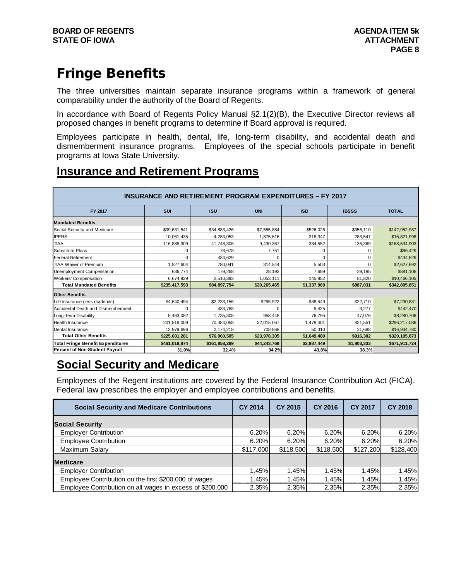# Fringe Benefits

The three universities maintain separate insurance programs within a framework of general comparability under the authority of the Board of Regents.

In accordance with Board of Regents Policy Manual §2.1(2)(B), the Executive Director reviews all proposed changes in benefit programs to determine if Board approval is required.

Employees participate in health, dental, life, long-term disability, and accidental death and dismemberment insurance programs. Employees of the special schools participate in benefit programs at Iowa State University.

# **Insurance and Retirement Programs**

| <b>INSURANCE AND RETIREMENT PROGRAM EXPENDITURES - FY 2017</b> |               |               |              |             |              |               |  |  |  |
|----------------------------------------------------------------|---------------|---------------|--------------|-------------|--------------|---------------|--|--|--|
| <b>FY 2017</b>                                                 | <b>SUI</b>    | <b>ISU</b>    | <b>UNI</b>   | <b>ISD</b>  | <b>IBSSS</b> | <b>TOTAL</b>  |  |  |  |
| <b>Mandated Benefits</b>                                       |               |               |              |             |              |               |  |  |  |
| Social Security and Medicare                                   | \$99,631,541  | \$34,883,426  | \$7,555,884  | \$526,026   | \$356,110    | \$142,952,987 |  |  |  |
| <b>IPERS</b>                                                   | 10,061,435    | 4.283.053     | 1.875.616    | 318.347     | 283.547      | \$16,821,998  |  |  |  |
| <b>TIAA</b>                                                    | 116,885,309   | 41,748,306    | 9,430,367    | 334,552     | 136,369      | \$168,534,903 |  |  |  |
| Substitute Plans                                               |               | 78.678        | 7,751        | 0           | C            | \$86,429      |  |  |  |
| <b>Federal Retirement</b>                                      |               | 434.629       | 0            | $\Omega$    | $\Omega$     | \$434,629     |  |  |  |
| <b>TIAA Waiver of Premium</b>                                  | 1,527,604     | 780,041       | 314,544      | 5,503       | $\Omega$     | \$2,627,692   |  |  |  |
| Unemployment Compensation                                      | 636,774       | 179,268       | 28,192       | 7,689       | 29,185       | \$881,108     |  |  |  |
| Workers' Compensation                                          | 6,674,929     | 2,510,393     | 1,053,111    | 145,852     | 81,820       | \$10,466,105  |  |  |  |
| <b>Total Mandated Benefits</b>                                 | \$235,417,593 | \$84,897,794  | \$20,265,465 | \$1,337,969 | \$887,031    | \$342,805,851 |  |  |  |
| <b>Other Benefits</b>                                          |               |               |              |             |              |               |  |  |  |
| Life Insurance (less dividends)                                | \$4,640,494   | \$2,233,156   | \$295,922    | \$38,549    | \$22,710     | \$7,230,831   |  |  |  |
| Accidental Death and Dismemberment                             | $\Omega$      | 433.768       | 0            | 5,425       | 3,277        | \$442,470     |  |  |  |
| Long-Term Disability                                           | 5,463,082     | 1,735,305     | 958,448      | 76.795      | 47,076       | \$8,280,706   |  |  |  |
| <b>Health Insurance</b>                                        | 201,518,009   | 70,384,058    | 22,015,067   | 1,478,401   | 821.551      | \$296,217,086 |  |  |  |
| Dental Insurance                                               | 13,979,696    | 2,174,218     | 708,868      | 50,310      | 21,688       | \$16,934,780  |  |  |  |
| <b>Total Other Benefits</b>                                    | \$225,601,281 | \$76,960,505  | \$23,978,305 | \$1,649,480 | \$916,302    | \$329,105,873 |  |  |  |
| <b>Total Fringe Benefit Expenditures</b>                       | \$461,018,874 | \$161,858,299 | \$44,243,769 | \$2,987,449 | \$1,803,333  | \$671,911,724 |  |  |  |
| <b>Percent of Non-Student Payroll</b>                          | 31.0%         | 32.4%         | 34.2%        | 43.8%       | 38.3%        |               |  |  |  |

# **Social Security and Medicare**

Employees of the Regent institutions are covered by the Federal Insurance Contribution Act (FICA). Federal law prescribes the employer and employee contributions and benefits.

| <b>Social Security and Medicare Contributions</b>         | <b>CY 2014</b> | <b>CY 2015</b> | <b>CY 2016</b> | <b>CY 2017</b> | <b>CY 2018</b> |
|-----------------------------------------------------------|----------------|----------------|----------------|----------------|----------------|
| <b>Social Security</b>                                    |                |                |                |                |                |
| <b>Employer Contribution</b>                              | 6.20%          | $6.20\%$       | 6.20%          | $6.20\%$       | $6.20\%$       |
| <b>Employee Contribution</b>                              | 6.20%          | 6.20%          | 6.20%          | $6.20\%$       | $6.20\%$       |
| Maximum Salary                                            | \$117,000      | \$118,500      | \$118,500      | \$127,200      | \$128,400      |
| <b>Medicare</b>                                           |                |                |                |                |                |
| <b>Employer Contribution</b>                              | 1.45%          | 1.45%          | 1.45%          | 1.45%          | 1.45%          |
| Employee Contribution on the first \$200,000 of wages     | 1.45%          | 1.45%          | 1.45%          | 1.45%          | 1.45%          |
| Employee Contribution on all wages in excess of \$200,000 | 2.35%          | 2.35%          | 2.35%          | 2.35%          | 2.35%          |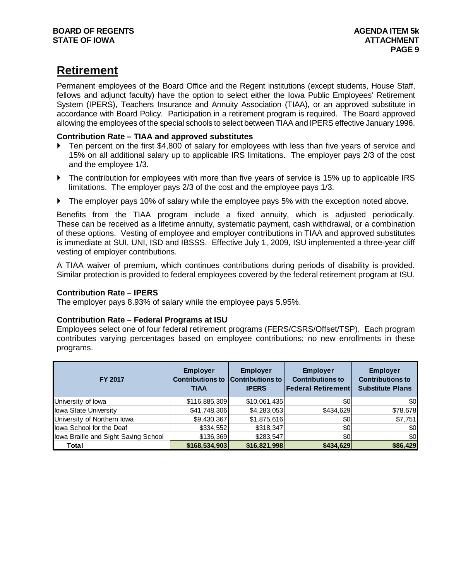# **Retirement**

Permanent employees of the Board Office and the Regent institutions (except students, House Staff, fellows and adjunct faculty) have the option to select either the Iowa Public Employees' Retirement System (IPERS), Teachers Insurance and Annuity Association (TIAA), or an approved substitute in accordance with Board Policy. Participation in a retirement program is required. The Board approved allowing the employees of the special schools to select between TIAA and IPERS effective January 1996.

# **Contribution Rate – TIAA and approved substitutes**

- ▶ Ten percent on the first \$4,800 of salary for employees with less than five years of service and 15% on all additional salary up to applicable IRS limitations. The employer pays 2/3 of the cost and the employee 1/3.
- The contribution for employees with more than five years of service is 15% up to applicable IRS limitations. The employer pays 2/3 of the cost and the employee pays 1/3.
- The employer pays 10% of salary while the employee pays 5% with the exception noted above.

Benefits from the TIAA program include a fixed annuity, which is adjusted periodically. These can be received as a lifetime annuity, systematic payment, cash withdrawal, or a combination of these options. Vesting of employee and employer contributions in TIAA and approved substitutes is immediate at SUI, UNI, ISD and IBSSS. Effective July 1, 2009, ISU implemented a three-year cliff vesting of employer contributions.

A TIAA waiver of premium, which continues contributions during periods of disability is provided. Similar protection is provided to federal employees covered by the federal retirement program at ISU.

# **Contribution Rate – IPERS**

The employer pays 8.93% of salary while the employee pays 5.95%.

# **Contribution Rate – Federal Programs at ISU**

Employees select one of four federal retirement programs (FERS/CSRS/Offset/TSP). Each program contributes varying percentages based on employee contributions; no new enrollments in these programs.

| <b>FY 2017</b>                       | <b>Employer</b><br><b>TIAA</b> | <b>Employer</b><br>Contributions to Contributions to<br><b>IPERS</b> | <b>Employer</b><br><b>Contributions to</b><br><b>Federal Retirement</b> | <b>Employer</b><br><b>Contributions to</b><br><b>Substitute Plans</b> |
|--------------------------------------|--------------------------------|----------------------------------------------------------------------|-------------------------------------------------------------------------|-----------------------------------------------------------------------|
| University of lowa                   | \$116,885,309                  | \$10,061,435                                                         | \$0                                                                     | \$0                                                                   |
| lowa State University                | \$41,748,306                   | \$4,283,053                                                          | \$434,629                                                               | \$78,678                                                              |
| University of Northern lowa          | \$9,430,367                    | \$1,875,616                                                          | \$0                                                                     | \$7,751                                                               |
| lowa School for the Deaf             | \$334,552                      | \$318,347                                                            | \$0                                                                     | \$0                                                                   |
| lowa Braille and Sight Saving School | \$136,369                      | \$283,547                                                            | \$0                                                                     | \$0                                                                   |
| Total                                | \$168,534,903                  | \$16,821,998                                                         | \$434,629                                                               | \$86,429                                                              |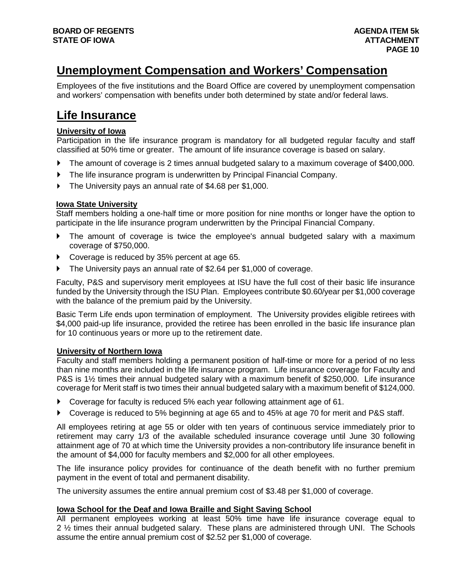# **Unemployment Compensation and Workers' Compensation**

Employees of the five institutions and the Board Office are covered by unemployment compensation and workers' compensation with benefits under both determined by state and/or federal laws.

# **Life Insurance**

# **University of Iowa**

Participation in the life insurance program is mandatory for all budgeted regular faculty and staff classified at 50% time or greater. The amount of life insurance coverage is based on salary.

- The amount of coverage is 2 times annual budgeted salary to a maximum coverage of \$400,000.
- The life insurance program is underwritten by Principal Financial Company.
- The University pays an annual rate of \$4.68 per \$1,000.

# **Iowa State University**

Staff members holding a one-half time or more position for nine months or longer have the option to participate in the life insurance program underwritten by the Principal Financial Company.

- The amount of coverage is twice the employee's annual budgeted salary with a maximum coverage of \$750,000.
- ▶ Coverage is reduced by 35% percent at age 65.
- The University pays an annual rate of \$2.64 per \$1,000 of coverage.

Faculty, P&S and supervisory merit employees at ISU have the full cost of their basic life insurance funded by the University through the ISU Plan. Employees contribute \$0.60/year per \$1,000 coverage with the balance of the premium paid by the University.

Basic Term Life ends upon termination of employment. The University provides eligible retirees with \$4,000 paid-up life insurance, provided the retiree has been enrolled in the basic life insurance plan for 10 continuous years or more up to the retirement date.

# **University of Northern Iowa**

Faculty and staff members holding a permanent position of half-time or more for a period of no less than nine months are included in the life insurance program. Life insurance coverage for Faculty and P&S is 1½ times their annual budgeted salary with a maximum benefit of \$250,000. Life insurance coverage for Merit staff is two times their annual budgeted salary with a maximum benefit of \$124,000.

- Coverage for faculty is reduced 5% each year following attainment age of 61.
- Coverage is reduced to 5% beginning at age 65 and to 45% at age 70 for merit and P&S staff.

All employees retiring at age 55 or older with ten years of continuous service immediately prior to retirement may carry 1/3 of the available scheduled insurance coverage until June 30 following attainment age of 70 at which time the University provides a non-contributory life insurance benefit in the amount of \$4,000 for faculty members and \$2,000 for all other employees.

The life insurance policy provides for continuance of the death benefit with no further premium payment in the event of total and permanent disability.

The university assumes the entire annual premium cost of \$3.48 per \$1,000 of coverage.

# **Iowa School for the Deaf and Iowa Braille and Sight Saving School**

All permanent employees working at least 50% time have life insurance coverage equal to 2 <sup>1/2</sup> times their annual budgeted salary. These plans are administered through UNI. The Schools assume the entire annual premium cost of \$2.52 per \$1,000 of coverage.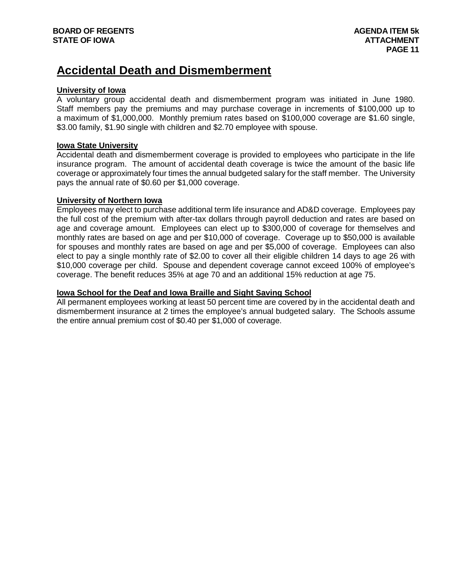# **Accidental Death and Dismemberment**

# **University of Iowa**

A voluntary group accidental death and dismemberment program was initiated in June 1980. Staff members pay the premiums and may purchase coverage in increments of \$100,000 up to a maximum of \$1,000,000. Monthly premium rates based on \$100,000 coverage are \$1.60 single, \$3.00 family, \$1.90 single with children and \$2.70 employee with spouse.

## **Iowa State University**

Accidental death and dismemberment coverage is provided to employees who participate in the life insurance program. The amount of accidental death coverage is twice the amount of the basic life coverage or approximately four times the annual budgeted salary for the staff member. The University pays the annual rate of \$0.60 per \$1,000 coverage.

## **University of Northern Iowa**

Employees may elect to purchase additional term life insurance and AD&D coverage. Employees pay the full cost of the premium with after-tax dollars through payroll deduction and rates are based on age and coverage amount. Employees can elect up to \$300,000 of coverage for themselves and monthly rates are based on age and per \$10,000 of coverage. Coverage up to \$50,000 is available for spouses and monthly rates are based on age and per \$5,000 of coverage. Employees can also elect to pay a single monthly rate of \$2.00 to cover all their eligible children 14 days to age 26 with \$10,000 coverage per child. Spouse and dependent coverage cannot exceed 100% of employee's coverage. The benefit reduces 35% at age 70 and an additional 15% reduction at age 75.

# **Iowa School for the Deaf and Iowa Braille and Sight Saving School**

All permanent employees working at least 50 percent time are covered by in the accidental death and dismemberment insurance at 2 times the employee's annual budgeted salary. The Schools assume the entire annual premium cost of \$0.40 per \$1,000 of coverage.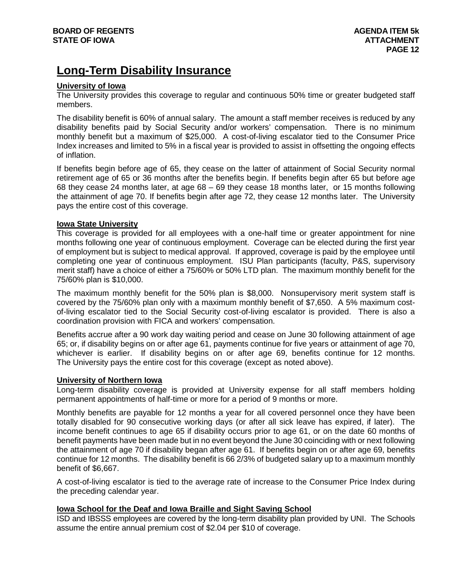# **Long-Term Disability Insurance**

## **University of Iowa**

The University provides this coverage to regular and continuous 50% time or greater budgeted staff members.

The disability benefit is 60% of annual salary. The amount a staff member receives is reduced by any disability benefits paid by Social Security and/or workers' compensation. There is no minimum monthly benefit but a maximum of \$25,000. A cost-of-living escalator tied to the Consumer Price Index increases and limited to 5% in a fiscal year is provided to assist in offsetting the ongoing effects of inflation.

If benefits begin before age of 65, they cease on the latter of attainment of Social Security normal retirement age of 65 or 36 months after the benefits begin. If benefits begin after 65 but before age 68 they cease 24 months later, at age 68 – 69 they cease 18 months later, or 15 months following the attainment of age 70. If benefits begin after age 72, they cease 12 months later. The University pays the entire cost of this coverage.

## **Iowa State University**

This coverage is provided for all employees with a one-half time or greater appointment for nine months following one year of continuous employment. Coverage can be elected during the first year of employment but is subject to medical approval. If approved, coverage is paid by the employee until completing one year of continuous employment. ISU Plan participants (faculty, P&S, supervisory merit staff) have a choice of either a 75/60% or 50% LTD plan. The maximum monthly benefit for the 75/60% plan is \$10,000.

The maximum monthly benefit for the 50% plan is \$8,000. Nonsupervisory merit system staff is covered by the 75/60% plan only with a maximum monthly benefit of \$7,650. A 5% maximum costof-living escalator tied to the Social Security cost-of-living escalator is provided. There is also a coordination provision with FICA and workers' compensation.

Benefits accrue after a 90 work day waiting period and cease on June 30 following attainment of age 65; or, if disability begins on or after age 61, payments continue for five years or attainment of age 70, whichever is earlier. If disability begins on or after age 69, benefits continue for 12 months. The University pays the entire cost for this coverage (except as noted above).

## **University of Northern Iowa**

Long-term disability coverage is provided at University expense for all staff members holding permanent appointments of half-time or more for a period of 9 months or more.

Monthly benefits are payable for 12 months a year for all covered personnel once they have been totally disabled for 90 consecutive working days (or after all sick leave has expired, if later). The income benefit continues to age 65 if disability occurs prior to age 61, or on the date 60 months of benefit payments have been made but in no event beyond the June 30 coinciding with or next following the attainment of age 70 if disability began after age 61. If benefits begin on or after age 69, benefits continue for 12 months. The disability benefit is 66 2/3% of budgeted salary up to a maximum monthly benefit of \$6,667.

A cost-of-living escalator is tied to the average rate of increase to the Consumer Price Index during the preceding calendar year.

# **Iowa School for the Deaf and Iowa Braille and Sight Saving School**

ISD and IBSSS employees are covered by the long-term disability plan provided by UNI. The Schools assume the entire annual premium cost of \$2.04 per \$10 of coverage.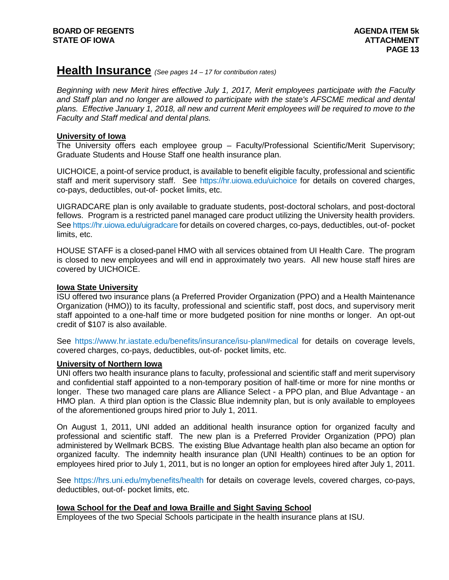# **Health Insurance** *(See pages 14 – 17 for contribution rates)*

*Beginning with new Merit hires effective July 1, 2017, Merit employees participate with the Faculty*  and Staff plan and no longer are allowed to participate with the state's AFSCME medical and dental *plans. Effective January 1, 2018, all new and current Merit employees will be required to move to the Faculty and Staff medical and dental plans.*

## **University of Iowa**

The University offers each employee group – Faculty/Professional Scientific/Merit Supervisory; Graduate Students and House Staff one health insurance plan.

UICHOICE, a point-of service product, is available to benefit eligible faculty, professional and scientific staff and merit supervisory staff. See<https://hr.uiowa.edu/uichoice> for details on covered charges, co-pays, deductibles, out-of- pocket limits, etc.

UIGRADCARE plan is only available to graduate students, post-doctoral scholars, and post-doctoral fellows. Program is a restricted panel managed care product utilizing the University health providers. See<https://hr.uiowa.edu/uigradcare> for details on covered charges, co-pays, deductibles, out-of- pocket limits, etc.

HOUSE STAFF is a closed-panel HMO with all services obtained from UI Health Care. The program is closed to new employees and will end in approximately two years. All new house staff hires are covered by UICHOICE.

## **Iowa State University**

ISU offered two insurance plans (a Preferred Provider Organization (PPO) and a Health Maintenance Organization (HMO)) to its faculty, professional and scientific staff, post docs, and supervisory merit staff appointed to a one-half time or more budgeted position for nine months or longer. An opt-out credit of \$107 is also available.

See<https://www.hr.iastate.edu/benefits/insurance/isu-plan#medical> for details on coverage levels, covered charges, co-pays, deductibles, out-of- pocket limits, etc.

# **University of Northern Iowa**

UNI offers two health insurance plans to faculty, professional and scientific staff and merit supervisory and confidential staff appointed to a non-temporary position of half-time or more for nine months or longer. These two managed care plans are Alliance Select - a PPO plan, and Blue Advantage - an HMO plan. A third plan option is the Classic Blue indemnity plan, but is only available to employees of the aforementioned groups hired prior to July 1, 2011.

On August 1, 2011, UNI added an additional health insurance option for organized faculty and professional and scientific staff. The new plan is a Preferred Provider Organization (PPO) plan administered by Wellmark BCBS. The existing Blue Advantage health plan also became an option for organized faculty. The indemnity health insurance plan (UNI Health) continues to be an option for employees hired prior to July 1, 2011, but is no longer an option for employees hired after July 1, 2011.

See<https://hrs.uni.edu/mybenefits/health> for details on coverage levels, covered charges, co-pays, deductibles, out-of- pocket limits, etc.

# **Iowa School for the Deaf and Iowa Braille and Sight Saving School**

Employees of the two Special Schools participate in the health insurance plans at ISU.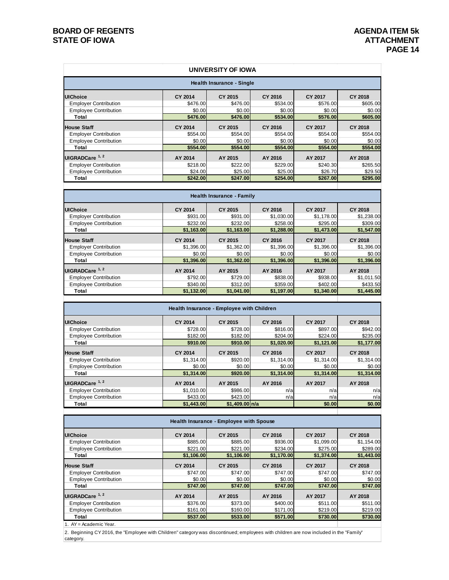$\overline{\phantom{a}}$ 

 $\overline{\phantom{a}}$ 

|                                  |          | UNIVERSITY OF IOWA |          |                |                |  |  |  |  |
|----------------------------------|----------|--------------------|----------|----------------|----------------|--|--|--|--|
| <b>Health Insurance - Single</b> |          |                    |          |                |                |  |  |  |  |
| <b>UIChoice</b>                  | CY 2014  | CY 2015            | CY 2016  | <b>CY 2017</b> | CY 2018        |  |  |  |  |
| <b>Employer Contribution</b>     | \$476.00 | \$476.00           | \$534.00 | \$576.00       | \$605.00       |  |  |  |  |
| <b>Employee Contribution</b>     | \$0.00   | \$0.00             | \$0.00   | \$0.00         | \$0.00         |  |  |  |  |
| Total                            | \$476,00 | \$476,00           | \$534.00 | \$576.00       | \$605.00       |  |  |  |  |
| <b>House Staff</b>               | CY 2014  | CY 2015            | CY 2016  | <b>CY 2017</b> | <b>CY 2018</b> |  |  |  |  |
| <b>Employer Contribution</b>     | \$554.00 | \$554.00           | \$554.00 | \$554.00       | \$554.00       |  |  |  |  |
| <b>Employee Contribution</b>     | \$0.00   | \$0.00             | \$0.00   | \$0.00         | \$0.00         |  |  |  |  |
| Total                            | \$554,00 | \$554.00           | \$554,00 | \$554,00       | \$554.00       |  |  |  |  |
| UIGRADCare <sup>1, 2</sup>       | AY 2014  | AY 2015            | AY 2016  | AY 2017        | AY 2018        |  |  |  |  |
| <b>Employer Contribution</b>     | \$218.00 | \$222.00           | \$229.00 | \$240.30       | \$265.50       |  |  |  |  |
| <b>Employee Contribution</b>     | \$24.00  | \$25.00            | \$25.00  | \$26.70        | \$29.50        |  |  |  |  |
| Total                            | \$242.00 | \$247.00           | \$254.00 | \$267.00       | \$295.00       |  |  |  |  |

| Health Insurance - Family    |                |            |                |            |            |  |  |
|------------------------------|----------------|------------|----------------|------------|------------|--|--|
| <b>UIChoice</b>              | <b>CY 2014</b> | CY 2015    | CY 2016        | CY 2017    | CY 2018    |  |  |
| <b>Employer Contribution</b> | \$931.00       | \$931.00   | \$1,030.00     | \$1,178.00 | \$1,238.00 |  |  |
| <b>Employee Contribution</b> | \$232.00       | \$232.00   | \$258.00       | \$295.00   | \$309.00   |  |  |
| Total                        | \$1,163.00     | \$1,163.00 | \$1,288.00     | \$1,473.00 | \$1,547.00 |  |  |
| <b>House Staff</b>           | <b>CY 2014</b> | CY 2015    | <b>CY 2016</b> | CY 2017    | CY 2018    |  |  |
| <b>Employer Contribution</b> | \$1,396.00     | \$1,362.00 | \$1,396.00     | \$1,396.00 | \$1,396.00 |  |  |
| <b>Employee Contribution</b> | \$0.00         | \$0.00     | \$0.00         | \$0.00     | \$0.00     |  |  |
| Total                        | \$1,396,00     | \$1.362.00 | \$1.396.00     | \$1,396,00 | \$1,396.00 |  |  |
| UIGRADCare <sup>1, 2</sup>   | AY 2014        | AY 2015    | AY 2016        | AY 2017    | AY 2018    |  |  |
| <b>Employer Contribution</b> | \$792.00       | \$729.00   | \$838.00       | \$938.00   | \$1,011.50 |  |  |
| <b>Employee Contribution</b> | \$340.00       | \$312.00   | \$359.00       | \$402.00   | \$433.50   |  |  |
| Total                        | \$1,132.00     | \$1,041.00 | \$1,197.00     | \$1,340.00 | \$1,445.00 |  |  |
|                              |                |            |                |            |            |  |  |

| Health Insurance - Employee with Children |            |                |            |            |                |  |  |
|-------------------------------------------|------------|----------------|------------|------------|----------------|--|--|
| <b>UIChoice</b>                           | CY 2014    | CY 2015        | CY 2016    | CY 2017    | <b>CY 2018</b> |  |  |
| <b>Employer Contribution</b>              | \$728.00   | \$728.00       | \$816.00   | \$897.00   | \$942.00       |  |  |
| <b>Employee Contribution</b>              | \$182.00   | \$182.00       | \$204.00   | \$224.00   | \$235.00       |  |  |
| Total                                     | \$910.00   | \$910,00       | \$1,020.00 | \$1,121.00 | \$1,177.00     |  |  |
| House Staff                               | CY 2014    | CY 2015        | CY 2016    | CY 2017    | CY 2018        |  |  |
| <b>Employer Contribution</b>              | \$1.314.00 | \$920.00       | \$1.314.00 | \$1,314.00 | \$1,314.00     |  |  |
| <b>Employee Contribution</b>              | \$0.00     | \$0.00         | \$0.00     | \$0.00     | \$0.00         |  |  |
| Total                                     | \$1,314.00 | \$920,00       | \$1,314.00 | \$1,314.00 | \$1,314.00     |  |  |
| UIGRADCare <sup>1, 2</sup>                | AY 2014    | AY 2015        | AY 2016    | AY 2017    | AY 2018        |  |  |
| <b>Employer Contribution</b>              | \$1,010.00 | \$986.00       | n/a        | n/a        | n/a            |  |  |
| <b>Employee Contribution</b>              | \$433.00   | \$423.00       | n/a        | n/al       | n/a            |  |  |
| Total                                     | \$1,443.00 | \$1,409.00 n/a |            | \$0.00     | \$0.00         |  |  |

| Health Insurance - Employee with Spouse |                |            |            |                |                |  |  |
|-----------------------------------------|----------------|------------|------------|----------------|----------------|--|--|
| <b>UIChoice</b>                         | <b>CY 2014</b> | CY 2015    | CY 2016    | <b>CY 2017</b> | <b>CY 2018</b> |  |  |
| <b>Employer Contribution</b>            | \$885.00       | \$885.00   | \$936.00   | \$1,099.00     | \$1,154.00     |  |  |
| <b>Employee Contribution</b>            | \$221.00       | \$221.00   | \$234.00   | \$275.00       | \$289.00       |  |  |
| Total                                   | \$1,106.00     | \$1,106.00 | \$1,170.00 | \$1,374.00     | \$1,443.00     |  |  |
| <b>House Staff</b>                      | <b>CY 2014</b> | CY 2015    | CY 2016    | <b>CY 2017</b> | CY 2018        |  |  |
| <b>Employer Contribution</b>            | \$747.00       | \$747.00   | \$747.00   | \$747.00       | \$747.00       |  |  |
| <b>Employee Contribution</b>            | \$0.00         | \$0.00     | \$0.00     | \$0.00         | \$0.00         |  |  |
| Total                                   | \$747.00       | \$747.00   | \$747.00   | \$747.00       | \$747.00       |  |  |
| UIGRADCare <sup>1, 2</sup>              | AY 2014        | AY 2015    | AY 2016    | AY 2017        | AY 2018        |  |  |
| <b>Employer Contribution</b>            | \$376.00       | \$373.00   | \$400.00   | \$511.00       | \$511.00       |  |  |
| <b>Employee Contribution</b>            | \$161.00       | \$160.00   | \$171.00   | \$219.00       | \$219.00       |  |  |
| Total                                   | \$537,00       | \$533,00   | \$571.00   | \$730,00       | \$730.00       |  |  |

1. AY = Academic Year.

2. Beginning CY 2016, the "Employee with Children" category was discontinued; employees with children are now included in the "Family" category.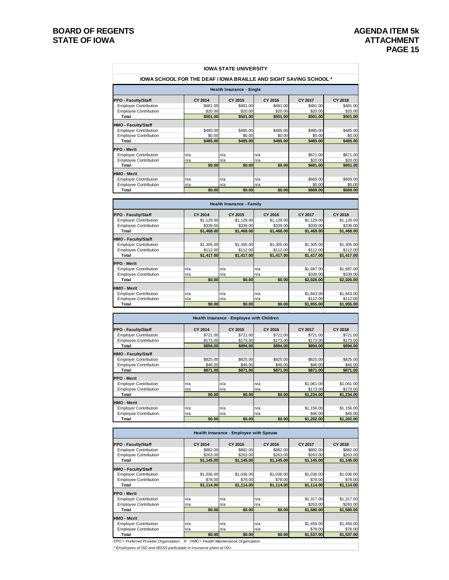|                                                              |                                                                          | <b>IOWA STATE UNIVERSITY</b>              |                       |                        |                        |
|--------------------------------------------------------------|--------------------------------------------------------------------------|-------------------------------------------|-----------------------|------------------------|------------------------|
|                                                              | <b>IOWA SCHOOL FOR THE DEAF / IOWA BRAILLE AND SIGHT SAVING SCHOOL *</b> |                                           |                       |                        |                        |
|                                                              |                                                                          | <b>Health Insurance - Single</b>          |                       |                        |                        |
| PPO - Faculty/Staff                                          | CY 2014                                                                  | CY 2015                                   | CY 2016               | CY 2017                | CY 2018                |
| <b>Employer Contribution</b>                                 | \$481.00                                                                 | \$481.00                                  | \$481.00              | \$481.00               | \$481.00               |
| <b>Employee Contribution</b>                                 | \$20.00                                                                  | \$20.00                                   | \$20.00               | \$20.00                | \$20.00                |
| Total                                                        | \$501.00                                                                 | \$501.00                                  | \$501.00              | \$501.00               | \$501.00               |
| HMO - Faculty/Staff                                          |                                                                          |                                           |                       |                        |                        |
| <b>Employer Contribution</b>                                 | \$485.00                                                                 | \$485.00                                  | \$485.00              | \$485.00               | \$485.00               |
| <b>Employee Contribution</b>                                 | \$0.00                                                                   | \$0.00                                    | \$0.00                | \$0.00                 | \$0.00                 |
| Total                                                        | \$485.00                                                                 | \$485.00                                  | \$485.00              | \$485.00               | \$485.00               |
| PPO - Merit                                                  |                                                                          |                                           |                       |                        |                        |
| <b>Employer Contribution</b>                                 | n/a                                                                      | n/a                                       | n/a                   | \$671.00               | \$671.00               |
| <b>Employee Contribution</b>                                 | n/a                                                                      | n/a                                       | n/a                   | \$20.00                | \$20.00                |
| Total                                                        | \$0.00                                                                   | \$0.00                                    | \$0.00                | \$691.00               | \$691.00               |
| HMO - Merit                                                  |                                                                          |                                           |                       |                        |                        |
| <b>Employer Contribution</b>                                 | n/a                                                                      | n/a                                       | n/a                   | \$669.00               | \$669.00               |
| <b>Employee Contribution</b>                                 | n/a                                                                      | n/a                                       | n/a                   | \$0.00                 | \$0.00                 |
| Total                                                        | \$0.00                                                                   | \$0.00                                    | \$0.00                | \$669.00               | \$669.00               |
|                                                              |                                                                          | <b>Health Insurance - Family</b>          |                       |                        |                        |
| PPO - Faculty/Staff                                          | CY 2014                                                                  | CY 2015                                   | CY 2016               | CY 2017                | CY 2018                |
| <b>Employer Contribution</b>                                 | \$1,129.00                                                               | \$1,129.00                                | \$1.129.00            | \$1,129.00             | \$1,129.00             |
| <b>Employee Contribution</b>                                 | \$339.00                                                                 | \$339.00                                  | \$339.00              | \$339.00               | \$339.00               |
| Total                                                        | \$1,468.00                                                               | \$1,468.00                                | \$1,468.00            | \$1,468.00             | \$1,468.00             |
| HMO - Faculty/Staff                                          |                                                                          |                                           |                       |                        |                        |
| <b>Employer Contribution</b>                                 | \$1,305.00                                                               | \$1,305.00                                | \$1,305.00            | \$1,305.00             | \$1,305.00             |
| <b>Employee Contribution</b>                                 | \$112.00                                                                 | \$112.00                                  | \$112.00              | \$112.00               | \$112.00               |
| Total                                                        | \$1,417.00                                                               | \$1,417.00                                | \$1,417.00            | \$1,417.00             | \$1,417.00             |
| <b>PPO - Merit</b>                                           |                                                                          |                                           |                       |                        |                        |
| <b>Employer Contribution</b>                                 | n/a                                                                      | n/a                                       | n/a                   | \$1,687.00             | \$1,687.00             |
| <b>Employee Contribution</b>                                 | n/a                                                                      | n/a                                       | n/a                   | \$339.00               | \$339.00               |
| Total                                                        | \$0.00                                                                   | \$0.00                                    | \$0.00                | \$2,026.00             | \$2,026.00             |
| HMO - Merit                                                  |                                                                          |                                           |                       |                        |                        |
| <b>Employer Contribution</b>                                 | n/a                                                                      | n/a                                       | n/a                   | \$1,843.00             | \$1,843.00             |
| <b>Employee Contribution</b>                                 | n/a                                                                      | n/a                                       | n/a                   | \$112.00               | \$112.00               |
| Total                                                        | \$0.00                                                                   | \$0.00                                    | \$0.00                | \$1,955.00             | \$1,955.00             |
|                                                              |                                                                          | Health Insurance - Employee with Children |                       |                        |                        |
|                                                              |                                                                          |                                           |                       |                        |                        |
| PPO - Faculty/Staff                                          | CY 2014<br>\$721.00                                                      | CY 2015<br>\$721.00                       | CY 2016<br>\$721.00   | CY 2017<br>\$721.00    | CY 2018<br>\$721.00    |
|                                                              |                                                                          |                                           |                       |                        |                        |
| <b>Employer Contribution</b>                                 |                                                                          |                                           |                       |                        |                        |
| <b>Employee Contribution</b>                                 | \$173.00<br>\$894.00                                                     | \$173.00                                  | \$173.00<br>\$894.00  | \$173.00               | \$173.00               |
| Total                                                        |                                                                          | \$894.00                                  |                       | \$894.00               | \$894.00               |
| HMO - Faculty/Staff                                          |                                                                          |                                           |                       |                        |                        |
| <b>Employer Contribution</b>                                 | \$825.00                                                                 | \$825.00                                  | \$825.00              | \$825.00               | \$825.00               |
| <b>Employee Contribution</b><br>Total                        | \$46.00<br>\$871.00                                                      | \$46.00<br>\$871.00                       | \$46.00<br>\$871.00   | \$46.00<br>\$871.00    | \$46.00<br>\$871.00    |
|                                                              |                                                                          |                                           |                       |                        |                        |
| PPO - Merit                                                  |                                                                          |                                           |                       |                        |                        |
| <b>Employer Contribution</b><br><b>Employee Contribution</b> | n/a<br>n/a                                                               | n/a<br>n/a                                | n/a<br>n/a            | \$1,061.00<br>\$173.00 | \$1.061.00<br>\$173.00 |
| Total                                                        | \$0.00                                                                   | \$0.00                                    | \$0.00                | \$1,234.00             | \$1,234.00             |
|                                                              |                                                                          |                                           |                       |                        |                        |
| HMO - Merit                                                  |                                                                          |                                           |                       |                        |                        |
| <b>Employer Contribution</b><br><b>Employee Contribution</b> | n/a<br>n/a                                                               | n/a<br>n/a                                | n/a<br>n/a            | \$1,156.00<br>\$46.00  | \$1,156.00<br>\$46.00  |
| Total                                                        | \$0.00                                                                   | \$0.00                                    | \$0.00                | \$1,202.00             | \$1,202.00             |
|                                                              |                                                                          |                                           |                       |                        |                        |
|                                                              |                                                                          | Health Insurance - Employee with Spouse   |                       |                        |                        |
| PPO - Faculty/Staff                                          | CY 2014                                                                  | CY 2015                                   | CY 2016               | CY 2017                | CY 2018                |
| <b>Employer Contribution</b>                                 | \$882.00                                                                 | \$882.00                                  | \$882.00              | \$882.00               | \$882.00               |
| <b>Employee Contribution</b><br>Total                        | \$263.00                                                                 | \$263.00                                  | \$263.00              | \$263.00               | \$263.00               |
|                                                              | \$1,145.00                                                               | \$1,145.00                                | \$1,145.00            | \$1,145.00             | \$1,145.00             |
| HMO - Faculty/Staff                                          |                                                                          |                                           |                       |                        |                        |
| <b>Employer Contribution</b>                                 | \$1,036.00                                                               | \$1,036.00                                | \$1,036.00            | \$1,036.00             | \$1,036.00             |
| <b>Employee Contribution</b><br>Total                        | \$78.00<br>\$1,114.00                                                    | \$78.00<br>\$1,114.00                     | \$78.00<br>\$1,114.00 | \$78.00<br>\$1,114.00  | \$78.00<br>\$1,114.00  |
|                                                              |                                                                          |                                           |                       |                        |                        |
| PPO - Merit                                                  |                                                                          |                                           |                       |                        |                        |
| <b>Employer Contribution</b>                                 | n/a                                                                      | n/a                                       | n/a                   | \$1,317.00             | \$1,317.00             |
| <b>Employee Contribution</b><br>Total                        | n/a<br>\$0.00                                                            | n/a<br>\$0.00                             | n/a<br>\$0.00         | \$263.00<br>\$1,580.00 | \$263.00<br>\$1,580.00 |
|                                                              |                                                                          |                                           |                       |                        |                        |
| HMO - Merit                                                  |                                                                          |                                           |                       |                        |                        |
| <b>Employer Contribution</b>                                 | n/a                                                                      | n/a                                       | n/a                   | \$1,459.00             | \$1,459.00             |
| <b>Employee Contribution</b><br>Total                        | n/a<br>\$0.00                                                            | n/a<br>\$0.00                             | n/a<br>\$0.00         | \$78.00<br>\$1,537.00  | \$78.00<br>\$1,537.00  |

*\* Employees of ISD and IBSSS participate in insurance plans at ISU.*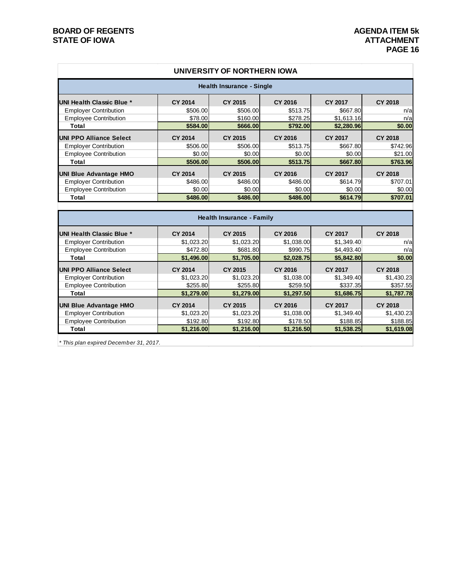| UNIVERSITY OF NORTHERN IOWA       |                |                |                |                |                |  |  |  |
|-----------------------------------|----------------|----------------|----------------|----------------|----------------|--|--|--|
| <b>Health Insurance - Single</b>  |                |                |                |                |                |  |  |  |
| <b>IUNI Health Classic Blue *</b> | <b>CY 2014</b> | CY 2015        | <b>CY 2016</b> | <b>CY 2017</b> | <b>CY 2018</b> |  |  |  |
| <b>Employer Contribution</b>      | \$506.00       | \$506.00       | \$513.75       | \$667,80       | n/a            |  |  |  |
| <b>Employee Contribution</b>      | \$78.00        | \$160.00       | \$278.25       | \$1,613.16     | n/a            |  |  |  |
| Total                             | \$584.00       | \$666,00       | \$792.00       | \$2,280.96     | \$0.00         |  |  |  |
| UNI PPO Alliance Select           | <b>CY 2014</b> | <b>CY 2015</b> | <b>CY 2016</b> | <b>CY 2017</b> | <b>CY 2018</b> |  |  |  |
| <b>Employer Contribution</b>      | \$506.00       | \$506.00       | \$513.75       | \$667.80       | \$742.96       |  |  |  |
| <b>Employee Contribution</b>      | \$0.00         | \$0.00         | \$0.00         | \$0.00         | \$21.00        |  |  |  |
| Total                             | \$506.00       | \$506,00       | \$513.75       | \$667.80       | \$763.96       |  |  |  |
| <b>UNI Blue Advantage HMO</b>     | <b>CY 2014</b> | <b>CY 2015</b> | <b>CY 2016</b> | <b>CY 2017</b> | <b>CY 2018</b> |  |  |  |
| <b>Employer Contribution</b>      | \$486.00       | \$486.00       | \$486.00       | \$614.79       | \$707.01       |  |  |  |
| <b>Employee Contribution</b>      | \$0.00         | \$0.00         | \$0.00         | \$0.00         | \$0.00         |  |  |  |
| Total                             | \$486,00       | \$486.00       | \$486.00       | \$614.79       | \$707.01       |  |  |  |
|                                   |                |                |                |                |                |  |  |  |

| Health Insurance - Family      |                |                |                |                |                |  |  |  |
|--------------------------------|----------------|----------------|----------------|----------------|----------------|--|--|--|
| UNI Health Classic Blue *      | <b>CY 2014</b> | <b>CY 2015</b> | <b>CY 2016</b> | <b>CY 2017</b> | <b>CY 2018</b> |  |  |  |
| <b>Employer Contribution</b>   | \$1,023.20     | \$1,023.20     | \$1,038.00     | \$1,349.40     | n/a            |  |  |  |
| <b>Employee Contribution</b>   | \$472.80       | \$681.80       | \$990.75       | \$4,493.40     | n/a            |  |  |  |
| Total                          | \$1,496.00     | \$1,705.00     | \$2,028.75     | \$5,842.80     | \$0.00         |  |  |  |
| <b>UNI PPO Alliance Select</b> | <b>CY 2014</b> | CY 2015        | <b>CY 2016</b> | <b>CY 2017</b> | <b>CY 2018</b> |  |  |  |
| <b>Employer Contribution</b>   | \$1,023.20     | \$1,023.20     | \$1,038.00     | \$1,349.40     | \$1,430.23     |  |  |  |
| <b>Employee Contribution</b>   | \$255.80       | \$255.80       | \$259.50       | \$337.35       | \$357.55       |  |  |  |
| Total                          | \$1,279.00     | \$1,279.00     | \$1,297.50     | \$1,686.75     | \$1,787.78     |  |  |  |
| <b>UNI Blue Advantage HMO</b>  | <b>CY 2014</b> | <b>CY 2015</b> | <b>CY 2016</b> | <b>CY 2017</b> | <b>CY 2018</b> |  |  |  |
| <b>Employer Contribution</b>   | \$1,023.20     | \$1,023.20     | \$1,038.00     | \$1,349.40     | \$1,430.23     |  |  |  |
| <b>Employee Contribution</b>   | \$192.80       | \$192.80       | \$178.50       | \$188.85       | \$188.85       |  |  |  |
| Total                          | \$1,216.00     | \$1,216.00     | \$1,216.50     | \$1,538.25     | \$1,619.08     |  |  |  |

*\* This plan expired December 31, 2017.*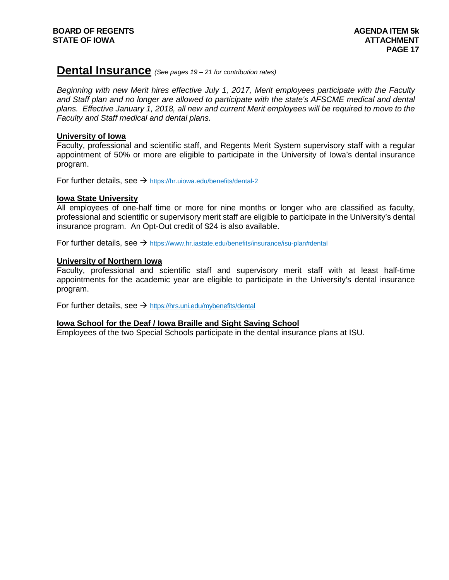# **Dental Insurance** *(See pages 19 – <sup>21</sup> for contribution rates)*

*Beginning with new Merit hires effective July 1, 2017, Merit employees participate with the Faculty*  and Staff plan and no longer are allowed to participate with the state's AFSCME medical and dental *plans. Effective January 1, 2018, all new and current Merit employees will be required to move to the Faculty and Staff medical and dental plans.*

## **University of Iowa**

Faculty, professional and scientific staff, and Regents Merit System supervisory staff with a regular appointment of 50% or more are eligible to participate in the University of Iowa's dental insurance program.

For further details, see  $\rightarrow$  <https://hr.uiowa.edu/benefits/dental-2>

## **Iowa State University**

All employees of one-half time or more for nine months or longer who are classified as faculty, professional and scientific or supervisory merit staff are eligible to participate in the University's dental insurance program. An Opt-Out credit of \$24 is also available.

For further details, see  $\rightarrow$  <https://www.hr.iastate.edu/benefits/insurance/isu-plan#dental>

## **University of Northern Iowa**

Faculty, professional and scientific staff and supervisory merit staff with at least half-time appointments for the academic year are eligible to participate in the University's dental insurance program.

For further details, see  $\rightarrow$  <https://hrs.uni.edu/mybenefits/dental>

## **Iowa School for the Deaf / Iowa Braille and Sight Saving School**

Employees of the two Special Schools participate in the dental insurance plans at ISU.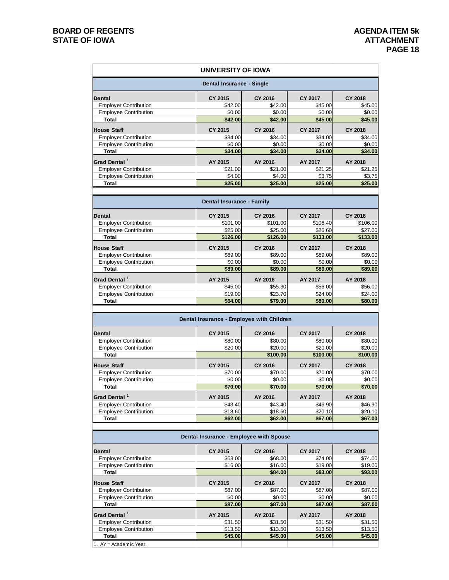1. AY = Academic Year.

|                                                              | UNIVERSITY OF IOWA                                   |                     |                           |                            |
|--------------------------------------------------------------|------------------------------------------------------|---------------------|---------------------------|----------------------------|
|                                                              | Dental Insurance - Single                            |                     |                           |                            |
| Dental                                                       | CY 2015                                              | <b>CY 2016</b>      | CY 2017                   | <b>CY 2018</b>             |
| <b>Employer Contribution</b>                                 | \$42.00                                              | \$42.00             | \$45.00                   | \$45.00                    |
| <b>Employee Contribution</b>                                 | \$0.00                                               | \$0.00              | \$0.00                    | \$0.00                     |
| Total                                                        | \$42.00                                              | \$42.00             | \$45.00                   | \$45.00                    |
| <b>House Staff</b>                                           | CY 2015                                              | <b>CY 2016</b>      | <b>CY 2017</b>            | <b>CY 2018</b>             |
| <b>Employer Contribution</b>                                 | \$34.00                                              | \$34.00             | \$34.00                   | \$34.00                    |
| <b>Employee Contribution</b>                                 | \$0.00                                               | \$0.00              | \$0.00                    | \$0.00                     |
| Total                                                        | \$34.00                                              | \$34.00             | \$34.00                   | \$34.00                    |
| Grad Dental <sup>1</sup>                                     | AY 2015                                              | AY 2016             | AY 2017                   | AY 2018                    |
| <b>Employer Contribution</b>                                 | \$21.00                                              | \$21.00             | \$21.25                   | \$21.25                    |
| <b>Employee Contribution</b>                                 | \$4.00                                               | \$4.00              | \$3.75                    | \$3.75                     |
| Total                                                        | \$25.00                                              | \$25.00             | \$25.00                   | \$25.00                    |
|                                                              | <b>Dental Insurance - Family</b>                     |                     |                           |                            |
|                                                              |                                                      |                     |                           |                            |
| Dental<br><b>Employer Contribution</b>                       | CY 2015<br>\$101.00                                  | CY 2016<br>\$101.00 | CY 2017<br>\$106.40       | <b>CY 2018</b><br>\$106.00 |
| <b>Employee Contribution</b>                                 | \$25.00                                              | \$25.00             | \$26.60                   | \$27.00                    |
| Total                                                        | \$126.00                                             | \$126.00            | \$133.00                  | \$133.00                   |
|                                                              |                                                      |                     |                           |                            |
| <b>House Staff</b>                                           | CY 2015<br>\$89.00                                   | <b>CY 2016</b>      | <b>CY 2017</b>            | <b>CY 2018</b>             |
| <b>Employer Contribution</b><br><b>Employee Contribution</b> | \$0.00                                               | \$89.00<br>\$0.00   | \$89.00<br>\$0.00         | \$89.00<br>\$0.00          |
| Total                                                        | \$89.00                                              | \$89.00             | \$89.00                   | \$89.00                    |
|                                                              |                                                      |                     |                           |                            |
| Grad Dental <sup>1</sup>                                     | AY 2015                                              | AY 2016             | AY 2017                   | AY 2018                    |
| <b>Employer Contribution</b>                                 | \$45.00                                              | \$55.30             | \$56.00                   | \$56.00                    |
| <b>Employee Contribution</b><br>Total                        | \$19.00<br>\$64.00                                   | \$23.70<br>\$79.00  | \$24.00<br>\$80.00        | \$24.00<br>\$80.00         |
| <b>Dental</b>                                                | Dental Insurance - Employee with Children<br>CY 2015 | CY 2016             | <b>CY 2017</b>            | <b>CY 2018</b>             |
| <b>Employer Contribution</b>                                 | \$80.00                                              | \$80.00             | \$80.00                   | \$80.00                    |
| <b>Employee Contribution</b>                                 | \$20.00                                              | \$20.00             | \$20.00                   | \$20.00                    |
| Total                                                        |                                                      | \$100.00            | \$100.00                  | \$100.00                   |
| <b>House Staff</b>                                           | CY 2015                                              | <b>CY 2016</b>      | <b>CY 2017</b>            | <b>CY 2018</b>             |
| <b>Employer Contribution</b>                                 | \$70.00                                              | \$70.00             | \$70.00                   | \$70.00                    |
| <b>Employee Contribution</b>                                 | \$0.00                                               | \$0.00              | \$0.00                    | \$0.00                     |
| Total                                                        | \$70.00                                              | \$70.00             | \$70.00                   | \$70.00                    |
| Grad Dental <sup>1</sup>                                     | AY 2015                                              | AY 2016             | AY 2017                   | AY 2018                    |
| <b>Employer Contribution</b>                                 | \$43.40                                              | \$43.40             | \$46.90                   | \$46.90                    |
| <b>Employee Contribution</b>                                 | \$18.60                                              | \$18.60             | \$20.10                   | \$20.10                    |
| Total                                                        | \$62.00                                              | \$62.00             | \$67.00                   | \$67.00                    |
|                                                              | Dental Insurance - Employee with Spouse              |                     |                           |                            |
|                                                              |                                                      |                     |                           |                            |
| Dental                                                       | CY 2015<br>\$68.00                                   | CY 2016             | <b>CY 2017</b><br>\$74.00 | <b>CY 2018</b>             |
| <b>Employer Contribution</b><br><b>Employee Contribution</b> | \$16.00                                              | \$68.00<br>\$16.00  | \$19.00                   | \$74.00<br>\$19.00         |
| Total                                                        |                                                      | \$84.00             | \$93.00                   | \$93.00                    |
| <b>House Staff</b>                                           | CY 2015                                              | <b>CY 2016</b>      | <b>CY 2017</b>            | <b>CY 2018</b>             |
| <b>Employer Contribution</b>                                 | \$87.00                                              | \$87.00             | \$87.00                   | \$87.00                    |
| <b>Employee Contribution</b>                                 | \$0.00                                               | \$0.00              | \$0.00                    | \$0.00                     |
| Total                                                        | \$87.00                                              | \$87.00             | \$87.00                   | \$87.00                    |
| Grad Dental <sup>1</sup>                                     | AY 2015                                              | AY 2016             | AY 2017                   | AY 2018                    |
| <b>Employer Contribution</b>                                 | \$31.50                                              | \$31.50             | \$31.50                   | \$31.50                    |
| <b>Employee Contribution</b>                                 | \$13.50                                              | \$13.50             | \$13.50                   | \$13.50                    |
| Total                                                        | \$45.00                                              | \$45.00             | \$45.00                   | \$45.00                    |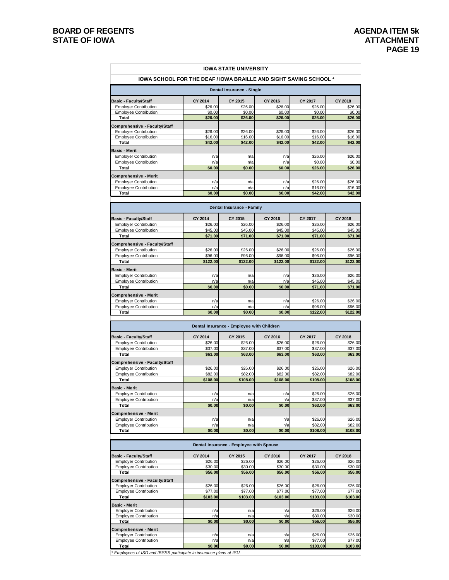| <b>IOWA SCHOOL FOR THE DEAF / IOWA BRAILLE AND SIGHT SAVING SCHOOL *</b> |                           | <b>IOWA STATE UNIVERSITY</b>              |                    |                     |                           |
|--------------------------------------------------------------------------|---------------------------|-------------------------------------------|--------------------|---------------------|---------------------------|
|                                                                          |                           | Dental Insurance - Single                 |                    |                     |                           |
| <b>Basic - Faculty/Staff</b>                                             | CY 2014                   | CY 2015                                   | CY 2016            | CY 2017             | <b>CY 2018</b>            |
| <b>Employer Contribution</b>                                             | \$26.00                   | \$26.00                                   | \$26.00            | \$26.00             | \$26.00                   |
| <b>Employee Contribution</b>                                             | \$0.00                    | \$0.00                                    | \$0.00             | \$0.00              | \$0.00                    |
| Total                                                                    | \$26.00                   | \$26.00                                   | \$26.00            | \$26.00             | \$26.00                   |
| Comprehensive - Faculty/Staff<br><b>Employer Contribution</b>            | \$26.00                   | \$26.00                                   | \$26.00            | \$26.00             | \$26.00                   |
| <b>Employee Contribution</b>                                             | \$16.00                   | \$16.00                                   | \$16.00            | \$16.00             | \$16.00                   |
| Total                                                                    | \$42.00                   | \$42.00                                   | \$42.00            | \$42.00             | \$42.00                   |
| Basic - Merit                                                            |                           |                                           |                    |                     |                           |
| <b>Employer Contribution</b>                                             | n/a                       | n/a                                       | n/a                | \$26.00             | \$26.00                   |
| <b>Employee Contribution</b><br>Total                                    | n/a                       | n/a                                       | n/a                | \$0.00              | \$0.00                    |
|                                                                          | \$0.00                    | \$0.00                                    | \$0.00             | \$26.00             | \$26.00                   |
| Comprehensive - Merit<br><b>Employer Contribution</b>                    | n/a                       | n/a                                       | n/a                | \$26.00             | \$26.00                   |
| <b>Employee Contribution</b>                                             | n/a                       | n/a                                       | n/a                | \$16.00             | \$16.00                   |
| Total                                                                    | \$0.00                    | \$0.00                                    | \$0.00             | \$42.00             | \$42.00                   |
|                                                                          |                           |                                           |                    |                     |                           |
|                                                                          |                           | Dental Insurance - Family                 |                    |                     |                           |
| Basic - Faculty/Staff<br><b>Employer Contribution</b>                    | <b>CY 2014</b><br>\$26.00 | CY 2015<br>\$26.00                        | CY 2016<br>\$26.00 | CY 2017<br>\$26.00  | <b>CY 2018</b><br>\$26.00 |
| <b>Employee Contribution</b>                                             | \$45.00                   | \$45.00                                   | \$45.00            | \$45.00             | \$45.00                   |
| Total                                                                    | \$71.00                   | \$71.00                                   | \$71.00            | \$71.00             | \$71.00                   |
| Comprehensive - Faculty/Staff                                            |                           |                                           |                    |                     |                           |
| <b>Employer Contribution</b>                                             | \$26.00                   | \$26.00                                   | \$26.00            | \$26.00             | \$26.00                   |
| <b>Employee Contribution</b>                                             | \$96.00                   | \$96.00                                   | \$96.00            | \$96.00             | \$96.00                   |
| Total                                                                    | \$122.00                  | \$122.00                                  | \$122.00           | \$122.00            | \$122.00                  |
| <b>Basic - Merit</b>                                                     |                           |                                           |                    |                     |                           |
| <b>Employer Contribution</b><br><b>Employee Contribution</b>             | n/a<br>n/a                | n/a<br>n/a                                | n/a<br>n/a         | \$26.00<br>\$45.00  | \$26.00<br>\$45.00        |
| Total                                                                    | \$0.00                    | \$0.00                                    | \$0.00             | \$71.00             | \$71.00                   |
| Comprehensive - Merit                                                    |                           |                                           |                    |                     |                           |
| <b>Employer Contribution</b>                                             | n/a                       | n/a                                       | n/a                | \$26.00             | \$26.00                   |
| <b>Employee Contribution</b>                                             | n/a                       | n/a                                       | n/a                | \$96.00             | \$96.00                   |
| Total                                                                    | \$0.00                    | \$0.00                                    | \$0.00             | \$122.00            | \$122.00                  |
|                                                                          |                           | Dental Insurance - Employee with Children |                    |                     |                           |
| <b>Basic - Faculty/Staff</b>                                             | <b>CY 2014</b>            | CY 2015                                   | CY 2016            | CY 2017             | <b>CY 2018</b>            |
| <b>Employer Contribution</b>                                             | \$26.00                   | \$26.00                                   | \$26.00            | \$26.00             | \$26.00                   |
| <b>Employee Contribution</b>                                             | \$37.00                   | \$37.00                                   | \$37.00            | \$37.00             | \$37.00                   |
| Total                                                                    | \$63.00                   | \$63.00                                   | \$63.00            | \$63.00             | \$63.00                   |
| Comprehensive - Faculty/Staff                                            |                           |                                           |                    |                     |                           |
| <b>Employer Contribution</b><br><b>Employee Contribution</b>             | \$26.00<br>\$82.00        | \$26.00<br>\$82.00                        | \$26.00<br>\$82.00 | \$26.00<br>\$82.00  | \$26.00<br>\$82.00        |
| Total                                                                    | \$108.00                  | \$108.00                                  | \$108.00           | \$108.00            | \$108.00                  |
| Basic - Merit                                                            |                           |                                           |                    |                     |                           |
| <b>Employer Contribution</b>                                             | n/a                       | n/a                                       | n/a                | \$26.00             | \$26.00                   |
| <b>Employee Contribution</b>                                             | n/a                       | n/a                                       | n/a                | \$37.00             | \$37.00                   |
| Total                                                                    | \$0.00                    | \$0.00                                    | \$0.00             | \$63.00             | \$63.00                   |
| Comprehensive - Merit                                                    |                           |                                           |                    |                     |                           |
| <b>Employer Contribution</b>                                             | n/a                       | n/a                                       | n/a                | \$26.00             | \$26.00                   |
| <b>Employee Contribution</b><br>Total                                    | n/a<br>\$0.00             | n/a<br>\$0.00                             | n/a<br>\$0.00      | \$82.00<br>\$108.00 | \$82.00<br>\$108.00       |
|                                                                          |                           |                                           |                    |                     |                           |
|                                                                          |                           | Dental Insurance - Employee with Spouse   |                    |                     |                           |
| <b>Basic - Faculty/Staff</b>                                             | CY 2014                   | CY 2015                                   | CY 2016            | CY 2017             | CY 2018                   |
| <b>Employer Contribution</b>                                             | \$26.00                   | \$26.00                                   | \$26.00            | \$26.00             | \$26.00                   |
| <b>Employee Contribution</b><br>Total                                    | \$30.00<br>\$56.00        | \$30.00<br>\$56.00                        | \$30.00<br>\$56.00 | \$30.00<br>\$56.00  | \$30.00<br>\$56.00        |
|                                                                          |                           |                                           |                    |                     |                           |
| Comprehensive - Faculty/Staff<br><b>Employer Contribution</b>            | \$26.00                   | \$26.00                                   | \$26.00            | \$26.00             | \$26.00                   |
| <b>Employee Contribution</b>                                             | \$77.00                   | \$77.00                                   | \$77.00            | \$77.00             | \$77.00                   |
| Total                                                                    | \$103.00                  | \$103.00                                  | \$103.00           | \$103.00            | \$103.00                  |
| Basic - Merit                                                            |                           |                                           |                    |                     |                           |
| <b>Employer Contribution</b>                                             | n/a                       | n/a                                       | n/a                | \$26.00             | \$26.00                   |
| <b>Employee Contribution</b><br>Total                                    | n/a<br>\$0.00             | n/a<br>\$0.00                             | n/a<br>\$0.00      | \$30.00<br>\$56.00  | \$30.00<br>\$56.00        |
| Comprehensive - Merit                                                    |                           |                                           |                    |                     |                           |
| <b>Employer Contribution</b>                                             | n/a                       | n/a                                       | n/a                | \$26.00             | \$26.00                   |
| <b>Employee Contribution</b>                                             | n/a                       | n/a                                       | n/a                | \$77.00             | \$77.00                   |
| Total                                                                    | \$0.00                    | \$0.00                                    | \$0.00             | \$103.00            | \$103.00                  |

*\* Employees of ISD and IBSSS participate in insurance plans at ISU.*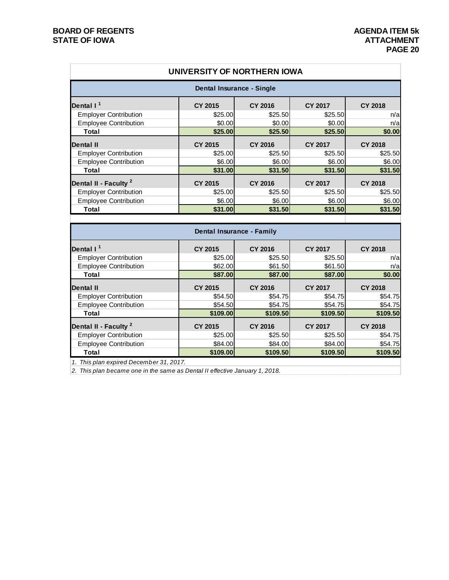|                                  | UNIVERSITY OF NORTHERN IOWA      |                |                |                |
|----------------------------------|----------------------------------|----------------|----------------|----------------|
|                                  | <b>Dental Insurance - Single</b> |                |                |                |
| Dental I <sup>1</sup>            | <b>CY 2015</b>                   | <b>CY 2016</b> | <b>CY 2017</b> | <b>CY 2018</b> |
| <b>Employer Contribution</b>     | \$25.00                          | \$25.50        | \$25.50        | n/a            |
| <b>Employee Contribution</b>     | \$0.00                           | \$0.00         | \$0.00         | n/a            |
| <b>Total</b>                     | \$25.00                          | \$25.50        | \$25.50        | \$0.00         |
| <b>Dental II</b>                 | <b>CY 2015</b>                   | <b>CY 2016</b> | <b>CY 2017</b> | <b>CY 2018</b> |
| <b>Employer Contribution</b>     | \$25.00                          | \$25.50        | \$25.50        | \$25.50        |
| <b>Employee Contribution</b>     | \$6.00                           | \$6.00         | \$6.00         | \$6.00         |
| <b>Total</b>                     | \$31.00                          | \$31.50        | \$31.50        | \$31.50        |
| Dental II - Faculty <sup>2</sup> | <b>CY 2015</b>                   | <b>CY 2016</b> | <b>CY 2017</b> | <b>CY 2018</b> |
| <b>Employer Contribution</b>     | \$25.00                          | \$25.50        | \$25.50        | \$25.50        |
| <b>Employee Contribution</b>     | \$6.00                           | \$6.00         | \$6.00         | \$6.00         |
| Total                            | \$31.00                          | \$31.50        | \$31.50        | \$31.50        |
|                                  |                                  |                |                |                |
|                                  | <b>Dental Insurance - Family</b> |                |                |                |
| Dental I <sup>1</sup>            | <b>CY 2015</b>                   | <b>CY 2016</b> | <b>CY 2017</b> | <b>CY 2018</b> |
| <b>Employer Contribution</b>     | \$25.00                          | \$25.50        | \$25.50        | n/a            |
| <b>Employee Contribution</b>     | \$62.00                          | \$61.50        | \$61.50        | n/a            |
| <b>Total</b>                     | \$87.00                          | \$87.00        | \$87.00        | \$0.00         |
| <b>Dental II</b>                 | <b>CY 2015</b>                   | <b>CY 2016</b> | <b>CY 2017</b> | <b>CY 2018</b> |
| <b>Employer Contribution</b>     | \$54.50                          | \$54.75        | \$54.75        | \$54.75        |
| <b>Employee Contribution</b>     | \$54.50                          | \$54.75        | \$54.75        | \$54.75        |
| <b>Total</b>                     | \$109.00                         | \$109.50       | \$109.50       | \$109.50       |

**Dental II - Faculty <sup>2</sup> CY 2015 CY 2016 CY 2017 CY 2018** Employer Contribution \$25.00 \$25.50 \$25.50 \$54.75 Employee Contribution <br>
Total 
Total 
554.75<br>
Total 
564.00

554.75

564.00

564.00

584.00

584.00

584.00

584.00

584.00

584.00

554.75

50 **Total \$109.00 \$109.50 \$109.50 \$109.50**

*1. This plan expired December 31, 2017.*

*2. This plan became one in the same as Dental II effective January 1, 2018.*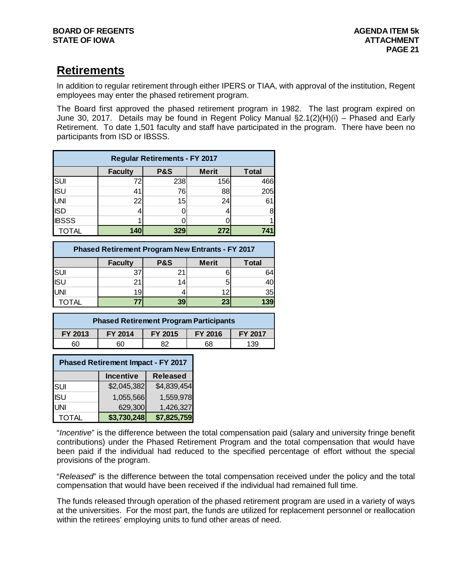# **Retirements**

In addition to regular retirement through either IPERS or TIAA, with approval of the institution, Regent employees may enter the phased retirement program.

The Board first approved the phased retirement program in 1982. The last program expired on June 30, 2017. Details may be found in Regent Policy Manual §2.1(2)(H)(i) – Phased and Early Retirement. To date 1,501 faculty and staff have participated in the program. There have been no participants from ISD or IBSSS.

| <b>Regular Retirements - FY 2017</b> |                                                                  |     |     |     |  |  |  |
|--------------------------------------|------------------------------------------------------------------|-----|-----|-----|--|--|--|
|                                      | <b>P&amp;S</b><br><b>Merit</b><br><b>Total</b><br><b>Faculty</b> |     |     |     |  |  |  |
|                                      | 72                                                               | 238 | 156 | 466 |  |  |  |
| SUI<br>ISU                           | 41                                                               | 76  | 88  | 205 |  |  |  |
| UNI                                  | 22                                                               | 15  | 24  | 61  |  |  |  |
| <b>ISD</b>                           |                                                                  |     |     | 8   |  |  |  |
| <b>IBSSS</b>                         |                                                                  |     |     |     |  |  |  |
| <b>TOTAL</b>                         | 140                                                              | 329 | 272 | 741 |  |  |  |

| <b>Phased Retirement Program New Entrants - FY 2017</b> |                                                                  |    |    |     |  |  |  |
|---------------------------------------------------------|------------------------------------------------------------------|----|----|-----|--|--|--|
|                                                         | <b>P&amp;S</b><br><b>Merit</b><br><b>Faculty</b><br><b>Total</b> |    |    |     |  |  |  |
|                                                         | 37                                                               |    |    | 64  |  |  |  |
| $\frac{\overline{S}}{\overline{S}}$                     | 21                                                               | 14 |    | 40  |  |  |  |
|                                                         | 19                                                               |    | 12 | 35  |  |  |  |
|                                                         |                                                                  |    | 23 | 139 |  |  |  |

| <b>Phased Retirement Program Participants</b> |                                                 |  |  |  |  |  |
|-----------------------------------------------|-------------------------------------------------|--|--|--|--|--|
| FY 2013                                       | FY 2014<br>FY 2015<br>FY 2016<br><b>FY 2017</b> |  |  |  |  |  |
| 60                                            | 139<br>68<br>60                                 |  |  |  |  |  |

| <b>Phased Retirement Impact - FY 2017</b> |                                     |             |  |  |  |  |
|-------------------------------------------|-------------------------------------|-------------|--|--|--|--|
|                                           | <b>Released</b><br><b>Incentive</b> |             |  |  |  |  |
| SUI                                       | \$2,045,382                         | \$4,839,454 |  |  |  |  |
| <b>ISU</b>                                | 1,055,566                           | 1,559,978   |  |  |  |  |
| UNI                                       | 629,300                             | 1,426,327   |  |  |  |  |
| <b>TOTAL</b>                              | \$3,730,248                         | \$7,825,759 |  |  |  |  |

"*Incentive*" is the difference between the total compensation paid (salary and university fringe benefit contributions) under the Phased Retirement Program and the total compensation that would have been paid if the individual had reduced to the specified percentage of effort without the special provisions of the program.

"*Released*" is the difference between the total compensation received under the policy and the total compensation that would have been received if the individual had remained full time.

The funds released through operation of the phased retirement program are used in a variety of ways at the universities. For the most part, the funds are utilized for replacement personnel or reallocation within the retirees' employing units to fund other areas of need.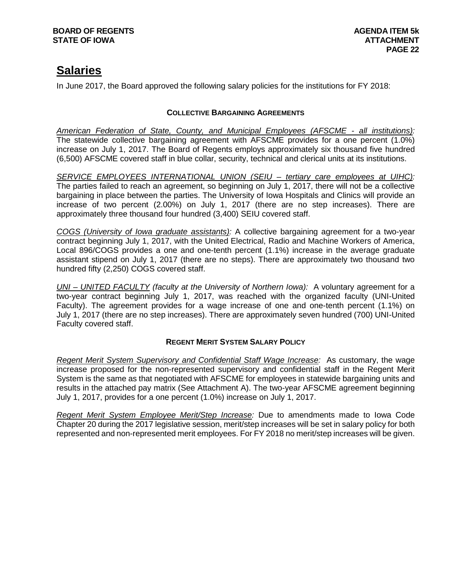# **Salaries**

In June 2017, the Board approved the following salary policies for the institutions for FY 2018:

# **COLLECTIVE BARGAINING AGREEMENTS**

*American Federation of State, County, and Municipal Employees (AFSCME - all institutions):* The statewide collective bargaining agreement with AFSCME provides for a one percent (1.0%) increase on July 1, 2017. The Board of Regents employs approximately six thousand five hundred (6,500) AFSCME covered staff in blue collar, security, technical and clerical units at its institutions.

*SERVICE EMPLOYEES INTERNATIONAL UNION (SEIU – tertiary care employees at UIHC):* The parties failed to reach an agreement, so beginning on July 1, 2017, there will not be a collective bargaining in place between the parties. The University of Iowa Hospitals and Clinics will provide an increase of two percent (2.00%) on July 1, 2017 (there are no step increases). There are approximately three thousand four hundred (3,400) SEIU covered staff.

*COGS (University of Iowa graduate assistants):* A collective bargaining agreement for a two-year contract beginning July 1, 2017, with the United Electrical, Radio and Machine Workers of America, Local 896/COGS provides a one and one-tenth percent (1.1%) increase in the average graduate assistant stipend on July 1, 2017 (there are no steps). There are approximately two thousand two hundred fifty (2,250) COGS covered staff.

*UNI – UNITED FACULTY (faculty at the University of Northern Iowa):* A voluntary agreement for a two-year contract beginning July 1, 2017, was reached with the organized faculty (UNI-United Faculty). The agreement provides for a wage increase of one and one-tenth percent (1.1%) on July 1, 2017 (there are no step increases). There are approximately seven hundred (700) UNI-United Faculty covered staff.

# **REGENT MERIT SYSTEM SALARY POLICY**

*Regent Merit System Supervisory and Confidential Staff Wage Increase:* As customary, the wage increase proposed for the non-represented supervisory and confidential staff in the Regent Merit System is the same as that negotiated with AFSCME for employees in statewide bargaining units and results in the attached pay matrix (See Attachment A). The two-year AFSCME agreement beginning July 1, 2017, provides for a one percent (1.0%) increase on July 1, 2017.

*Regent Merit System Employee Merit/Step Increase:* Due to amendments made to Iowa Code Chapter 20 during the 2017 legislative session, merit/step increases will be set in salary policy for both represented and non-represented merit employees. For FY 2018 no merit/step increases will be given.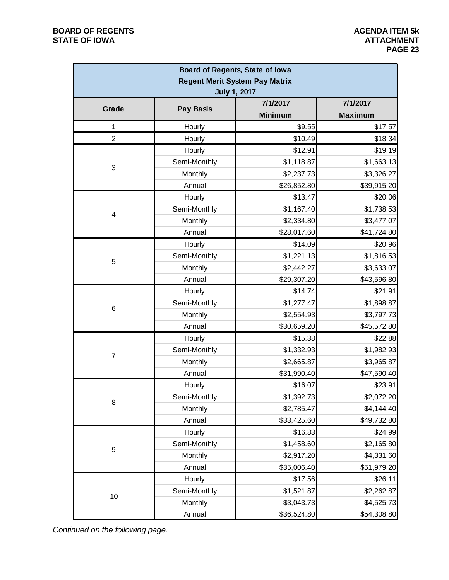| Board of Regents, State of Iowa       |                  |                |                |  |  |  |
|---------------------------------------|------------------|----------------|----------------|--|--|--|
| <b>Regent Merit System Pay Matrix</b> |                  |                |                |  |  |  |
| <b>July 1, 2017</b>                   |                  |                |                |  |  |  |
| Grade                                 | <b>Pay Basis</b> | 7/1/2017       | 7/1/2017       |  |  |  |
|                                       |                  | <b>Minimum</b> | <b>Maximum</b> |  |  |  |
| $\mathbf 1$                           | Hourly           | \$9.55         | \$17.57        |  |  |  |
| $\overline{2}$                        | Hourly           | \$10.49        | \$18.34        |  |  |  |
|                                       | Hourly           | \$12.91        | \$19.19        |  |  |  |
| 3                                     | Semi-Monthly     | \$1,118.87     | \$1,663.13     |  |  |  |
|                                       | Monthly          | \$2,237.73     | \$3,326.27     |  |  |  |
|                                       | Annual           | \$26,852.80    | \$39,915.20    |  |  |  |
|                                       | Hourly           | \$13.47        | \$20.06        |  |  |  |
| $\overline{4}$                        | Semi-Monthly     | \$1,167.40     | \$1,738.53     |  |  |  |
|                                       | Monthly          | \$2,334.80     | \$3,477.07     |  |  |  |
|                                       | Annual           | \$28,017.60    | \$41,724.80    |  |  |  |
|                                       | Hourly           | \$14.09        | \$20.96        |  |  |  |
|                                       | Semi-Monthly     | \$1,221.13     | \$1,816.53     |  |  |  |
| 5                                     | Monthly          | \$2,442.27     | \$3,633.07     |  |  |  |
|                                       | Annual           | \$29,307.20    | \$43,596.80    |  |  |  |
|                                       | Hourly           | \$14.74        | \$21.91        |  |  |  |
|                                       | Semi-Monthly     | \$1,277.47     | \$1,898.87     |  |  |  |
| 6                                     | Monthly          | \$2,554.93     | \$3,797.73     |  |  |  |
|                                       | Annual           | \$30,659.20    | \$45,572.80    |  |  |  |
|                                       | Hourly           | \$15.38        | \$22.88        |  |  |  |
|                                       | Semi-Monthly     | \$1,332.93     | \$1,982.93     |  |  |  |
| $\overline{7}$                        | Monthly          | \$2,665.87     | \$3,965.87     |  |  |  |
|                                       | Annual           | \$31,990.40    | \$47,590.40    |  |  |  |
|                                       | Hourly           | \$16.07        | \$23.91        |  |  |  |
|                                       | Semi-Monthly     | \$1,392.73     | \$2,072.20     |  |  |  |
| 8                                     | Monthly          | \$2,785.47     | \$4,144.40     |  |  |  |
|                                       | Annual           | \$33,425.60    | \$49,732.80    |  |  |  |
|                                       | Hourly           | \$16.83        | \$24.99        |  |  |  |
|                                       | Semi-Monthly     | \$1,458.60     | \$2,165.80     |  |  |  |
| 9                                     | Monthly          | \$2,917.20     | \$4,331.60     |  |  |  |
|                                       | Annual           | \$35,006.40    | \$51,979.20    |  |  |  |
|                                       | Hourly           | \$17.56        | \$26.11        |  |  |  |
|                                       | Semi-Monthly     | \$1,521.87     | \$2,262.87     |  |  |  |
| 10                                    | Monthly          | \$3,043.73     | \$4,525.73     |  |  |  |
|                                       | Annual           | \$36,524.80    | \$54,308.80    |  |  |  |

*Continued on the following page.*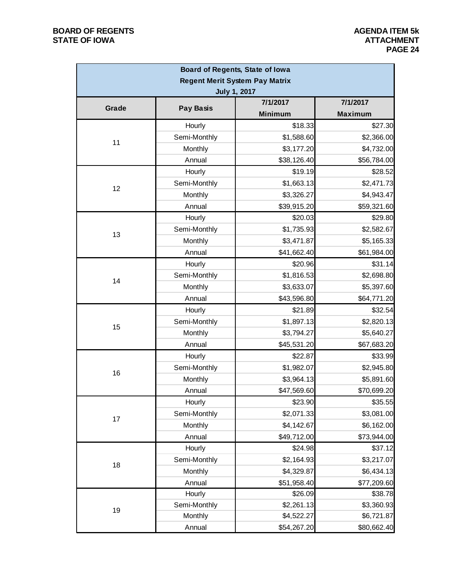| Board of Regents, State of Iowa |                  |                                       |                |  |
|---------------------------------|------------------|---------------------------------------|----------------|--|
|                                 |                  | <b>Regent Merit System Pay Matrix</b> |                |  |
|                                 |                  | <b>July 1, 2017</b>                   |                |  |
| Grade                           | <b>Pay Basis</b> | 7/1/2017                              | 7/1/2017       |  |
|                                 |                  | <b>Minimum</b>                        | <b>Maximum</b> |  |
|                                 | Hourly           | \$18.33                               | \$27.30        |  |
| 11                              | Semi-Monthly     | \$1,588.60                            | \$2,366.00     |  |
|                                 | Monthly          | \$3,177.20                            | \$4,732.00     |  |
|                                 | Annual           | \$38,126.40                           | \$56,784.00    |  |
|                                 | Hourly           | \$19.19                               | \$28.52        |  |
| 12                              | Semi-Monthly     | \$1,663.13                            | \$2,471.73     |  |
|                                 | Monthly          | \$3,326.27                            | \$4,943.47     |  |
|                                 | Annual           | \$39,915.20                           | \$59,321.60    |  |
|                                 | Hourly           | \$20.03                               | \$29.80        |  |
| 13                              | Semi-Monthly     | \$1,735.93                            | \$2,582.67     |  |
|                                 | Monthly          | \$3,471.87                            | \$5,165.33     |  |
|                                 | Annual           | \$41,662.40                           | \$61,984.00    |  |
|                                 | Hourly           | \$20.96                               | \$31.14        |  |
| 14                              | Semi-Monthly     | \$1,816.53                            | \$2,698.80     |  |
|                                 | Monthly          | \$3,633.07                            | \$5,397.60     |  |
|                                 | Annual           | \$43,596.80                           | \$64,771.20    |  |
|                                 | Hourly           | \$21.89                               | \$32.54        |  |
| 15                              | Semi-Monthly     | \$1,897.13                            | \$2,820.13     |  |
|                                 | Monthly          | \$3,794.27                            | \$5,640.27     |  |
|                                 | Annual           | \$45,531.20                           | \$67,683.20    |  |
|                                 | Hourly           | \$22.87                               | \$33.99        |  |
| 16                              | Semi-Monthly     | \$1,982.07                            | \$2,945.80     |  |
|                                 | Monthly          | \$3,964.13                            | \$5,891.60     |  |
|                                 | Annual           | \$47,569.60                           | \$70,699.20    |  |
|                                 | Hourly           | \$23.90                               | \$35.55        |  |
|                                 | Semi-Monthly     | \$2,071.33                            | \$3,081.00     |  |
| 17                              | Monthly          | \$4,142.67                            | \$6,162.00     |  |
|                                 | Annual           | \$49,712.00                           | \$73,944.00    |  |
|                                 | Hourly           | \$24.98                               | \$37.12        |  |
|                                 | Semi-Monthly     | \$2,164.93                            | \$3,217.07     |  |
| 18                              | Monthly          | \$4,329.87                            | \$6,434.13     |  |
|                                 | Annual           | \$51,958.40                           | \$77,209.60    |  |
|                                 | Hourly           | \$26.09                               | \$38.78        |  |
| 19                              | Semi-Monthly     | \$2,261.13                            | \$3,360.93     |  |
|                                 | Monthly          | \$4,522.27                            | \$6,721.87     |  |
|                                 | Annual           | \$54,267.20                           | \$80,662.40    |  |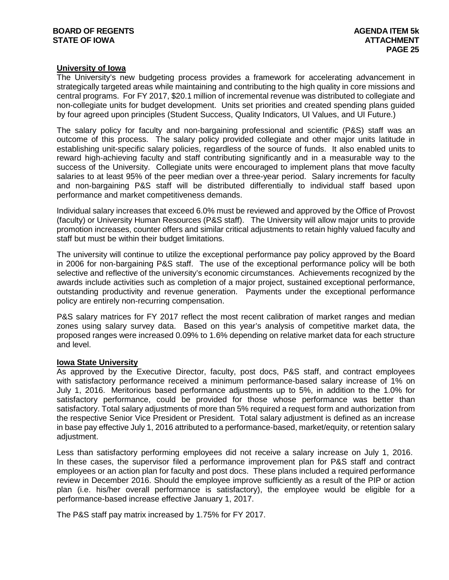## **University of Iowa**

The University's new budgeting process provides a framework for accelerating advancement in strategically targeted areas while maintaining and contributing to the high quality in core missions and central programs. For FY 2017, \$20.1 million of incremental revenue was distributed to collegiate and non-collegiate units for budget development. Units set priorities and created spending plans guided by four agreed upon principles (Student Success, Quality Indicators, UI Values, and UI Future.)

The salary policy for faculty and non-bargaining professional and scientific (P&S) staff was an outcome of this process. The salary policy provided collegiate and other major units latitude in establishing unit-specific salary policies, regardless of the source of funds. It also enabled units to reward high-achieving faculty and staff contributing significantly and in a measurable way to the success of the University. Collegiate units were encouraged to implement plans that move faculty salaries to at least 95% of the peer median over a three-year period. Salary increments for faculty and non-bargaining P&S staff will be distributed differentially to individual staff based upon performance and market competitiveness demands.

Individual salary increases that exceed 6.0% must be reviewed and approved by the Office of Provost (faculty) or University Human Resources (P&S staff). The University will allow major units to provide promotion increases, counter offers and similar critical adjustments to retain highly valued faculty and staff but must be within their budget limitations.

The university will continue to utilize the exceptional performance pay policy approved by the Board in 2006 for non-bargaining P&S staff. The use of the exceptional performance policy will be both selective and reflective of the university's economic circumstances. Achievements recognized by the awards include activities such as completion of a major project, sustained exceptional performance, outstanding productivity and revenue generation. Payments under the exceptional performance policy are entirely non-recurring compensation.

P&S salary matrices for FY 2017 reflect the most recent calibration of market ranges and median zones using salary survey data. Based on this year's analysis of competitive market data, the proposed ranges were increased 0.09% to 1.6% depending on relative market data for each structure and level.

#### **Iowa State University**

As approved by the Executive Director, faculty, post docs, P&S staff, and contract employees with satisfactory performance received a minimum performance-based salary increase of 1% on July 1, 2016. Meritorious based performance adjustments up to 5%, in addition to the 1.0% for satisfactory performance, could be provided for those whose performance was better than satisfactory. Total salary adjustments of more than 5% required a request form and authorization from the respective Senior Vice President or President. Total salary adjustment is defined as an increase in base pay effective July 1, 2016 attributed to a performance-based, market/equity, or retention salary adjustment.

Less than satisfactory performing employees did not receive a salary increase on July 1, 2016. In these cases, the supervisor filed a performance improvement plan for P&S staff and contract employees or an action plan for faculty and post docs. These plans included a required performance review in December 2016. Should the employee improve sufficiently as a result of the PIP or action plan (i.e. his/her overall performance is satisfactory), the employee would be eligible for a performance-based increase effective January 1, 2017.

The P&S staff pay matrix increased by 1.75% for FY 2017.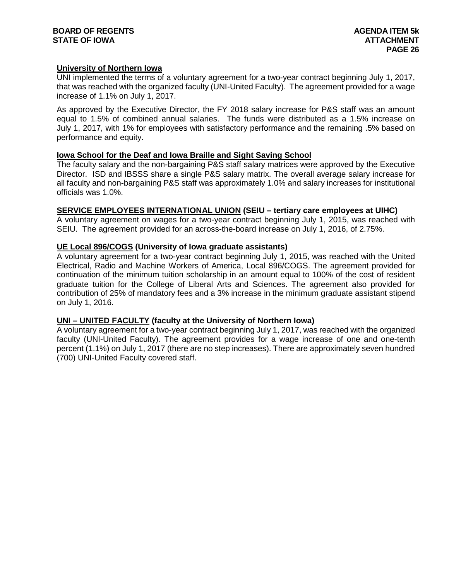## **BOARD OF REGENTS AGENDA ITEM 5k STATE OF IOWA**

## **University of Northern Iowa**

UNI implemented the terms of a voluntary agreement for a two-year contract beginning July 1, 2017, that was reached with the organized faculty (UNI-United Faculty). The agreement provided for a wage increase of 1.1% on July 1, 2017.

As approved by the Executive Director, the FY 2018 salary increase for P&S staff was an amount equal to 1.5% of combined annual salaries. The funds were distributed as a 1.5% increase on July 1, 2017, with 1% for employees with satisfactory performance and the remaining .5% based on performance and equity.

## **Iowa School for the Deaf and Iowa Braille and Sight Saving School**

The faculty salary and the non-bargaining P&S staff salary matrices were approved by the Executive Director. ISD and IBSSS share a single P&S salary matrix. The overall average salary increase for all faculty and non-bargaining P&S staff was approximately 1.0% and salary increases for institutional officials was 1.0%.

## **SERVICE EMPLOYEES INTERNATIONAL UNION (SEIU – tertiary care employees at UIHC)**

A voluntary agreement on wages for a two-year contract beginning July 1, 2015, was reached with SEIU. The agreement provided for an across-the-board increase on July 1, 2016, of 2.75%.

## **UE Local 896/COGS (University of Iowa graduate assistants)**

A voluntary agreement for a two-year contract beginning July 1, 2015, was reached with the United Electrical, Radio and Machine Workers of America, Local 896/COGS. The agreement provided for continuation of the minimum tuition scholarship in an amount equal to 100% of the cost of resident graduate tuition for the College of Liberal Arts and Sciences. The agreement also provided for contribution of 25% of mandatory fees and a 3% increase in the minimum graduate assistant stipend on July 1, 2016.

## **UNI – UNITED FACULTY (faculty at the University of Northern Iowa)**

A voluntary agreement for a two-year contract beginning July 1, 2017, was reached with the organized faculty (UNI-United Faculty). The agreement provides for a wage increase of one and one-tenth percent (1.1%) on July 1, 2017 (there are no step increases). There are approximately seven hundred (700) UNI-United Faculty covered staff.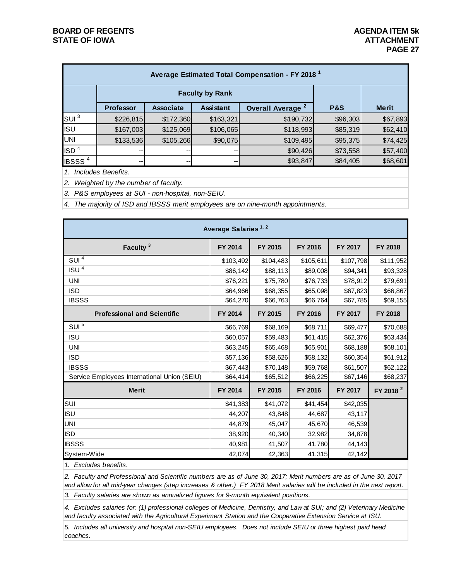| Average Estimated Total Compensation - FY 2018 <sup>1</sup> |                                                                                          |           |           |           |          |              |
|-------------------------------------------------------------|------------------------------------------------------------------------------------------|-----------|-----------|-----------|----------|--------------|
|                                                             | <b>Faculty by Rank</b>                                                                   |           |           |           |          |              |
|                                                             | <b>Assistant</b><br><b>Professor</b><br><b>Associate</b><br>Overall Average <sup>2</sup> |           |           |           |          | <b>Merit</b> |
| SUI <sup>3</sup>                                            | \$226,815                                                                                | \$172,360 | \$163,321 | \$190,732 | \$96,303 | \$67,893     |
| <b>I</b> ISU                                                | \$167,003                                                                                | \$125,069 | \$106,065 | \$118,993 | \$85,319 | \$62,410     |
| UNI                                                         | \$133,536                                                                                | \$105,266 | \$90,075  | \$109,495 | \$95,375 | \$74,425     |
| ISD <sup>4</sup>                                            | --                                                                                       |           | --        | \$90,426  | \$73,558 | \$57,400     |
| <b>IBSSS<sup>4</sup></b>                                    | $- -$                                                                                    |           | --        | \$93,847  | \$84,405 | \$68,601     |

*1. Includes Benefits.*

*2. Weighted by the number of faculty.*

*3. P&S employees at SUI - non-hospital, non-SEIU.*

*4. The majority of ISD and IBSSS merit employees are on nine-month appointments.*

| Average Salaries <sup>1, 2</sup>             |           |           |           |                |                      |  |  |
|----------------------------------------------|-----------|-----------|-----------|----------------|----------------------|--|--|
| Faculty <sup>3</sup>                         | FY 2014   | FY 2015   | FY 2016   | <b>FY 2017</b> | <b>FY 2018</b>       |  |  |
| $SUI$ <sup>4</sup>                           | \$103,492 | \$104,483 | \$105,611 | \$107,798      | \$111,952            |  |  |
| ISU <sup>4</sup>                             | \$86,142  | \$88,113  | \$89,008  | \$94,341       | \$93,328             |  |  |
| <b>UNI</b>                                   | \$76,221  | \$75,780  | \$76,733  | \$78,912       | \$79,691             |  |  |
| <b>ISD</b>                                   | \$64,966  | \$68,355  | \$65,098  | \$67,823       | \$66,867             |  |  |
| <b>IBSSS</b>                                 | \$64,270  | \$66,763  | \$66,764  | \$67,785       | \$69,155             |  |  |
| <b>Professional and Scientific</b>           | FY 2014   | FY 2015   | FY 2016   | FY 2017        | <b>FY 2018</b>       |  |  |
| SUI <sup>5</sup>                             | \$66,769  | \$68,169  | \$68,711  | \$69,477       | \$70,688             |  |  |
| <b>ISU</b>                                   | \$60,057  | \$59,483  | \$61,415  | \$62,376       | \$63,434             |  |  |
| <b>UNI</b>                                   | \$63,245  | \$65,468  | \$65,901  | \$68,188       | \$68,101             |  |  |
| <b>ISD</b>                                   | \$57,136  | \$58,626  | \$58,132  | \$60,354       | \$61,912             |  |  |
| <b>IBSSS</b>                                 | \$67,443  | \$70,148  | \$59,768  | \$61,507       | \$62,122             |  |  |
| Service Employees International Union (SEIU) | \$64,414  | \$65,512  | \$66,225  | \$67,146       | \$68,237             |  |  |
| <b>Merit</b>                                 | FY 2014   | FY 2015   | FY 2016   | FY 2017        | FY 2018 <sup>2</sup> |  |  |
| SUI                                          | \$41,383  | \$41,072  | \$41,454  | \$42,035       |                      |  |  |
| <b>ISU</b>                                   | 44,207    | 43,848    | 44,687    | 43,117         |                      |  |  |
| <b>UNI</b>                                   | 44,879    | 45,047    | 45,670    | 46,539         |                      |  |  |
| <b>ISD</b>                                   | 38,920    | 40,340    | 32,982    | 34,878         |                      |  |  |
| <b>IBSSS</b>                                 | 40,981    | 41,507    | 41,780    | 44,143         |                      |  |  |
| System-Wide                                  | 42,074    | 42,363    | 41,315    | 42,142         |                      |  |  |

*1. Excludes benefits.*

*2. Faculty and Professional and Scientific numbers are as of June 30, 2017; Merit numbers are as of June 30, 2017 and allow for all mid-year changes (step increases & other.) FY 2018 Merit salaries will be included in the next report.*

*3. Faculty salaries are shown as annualized figures for 9-month equivalent positions.*

*4. Excludes salaries for: (1) professional colleges of Medicine, Dentistry, and Law at SUI; and (2) Veterinary Medicine and faculty associated with the Agricultural Experiment Station and the Cooperative Extension Service at ISU.*

*5. Includes all university and hospital non-SEIU employees. Does not include SEIU or three highest paid head coaches.*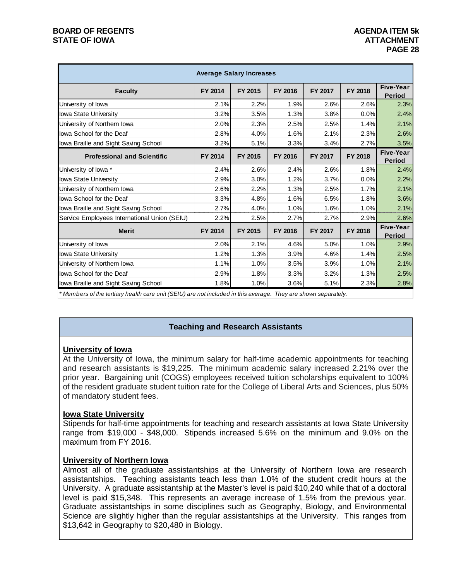# **BOARD OF REGENTS AGENDA ITEM 5k STATE OF IOWA**

| <b>Average Salary Increases</b>              |         |         |                |         |         |                            |
|----------------------------------------------|---------|---------|----------------|---------|---------|----------------------------|
| <b>Faculty</b>                               | FY 2014 | FY 2015 | FY 2016        | FY 2017 | FY 2018 | Five-Year<br><b>Period</b> |
| University of lowa                           | 2.1%    | 2.2%    | 1.9%           | 2.6%    | 2.6%    | 2.3%                       |
| Iowa State University                        | 3.2%    | 3.5%    | 1.3%           | 3.8%    | 0.0%    | 2.4%                       |
| University of Northern lowa                  | 2.0%    | 2.3%    | 2.5%           | 2.5%    | 1.4%    | 2.1%                       |
| lowa School for the Deaf                     | 2.8%    | 4.0%    | 1.6%           | 2.1%    | 2.3%    | 2.6%                       |
| lowa Braille and Sight Saving School         | 3.2%    | 5.1%    | 3.3%           | 3.4%    | 2.7%    | 3.5%                       |
| <b>Professional and Scientific</b>           | FY 2014 | FY 2015 | <b>FY 2016</b> | FY 2017 | FY 2018 | Five-Year<br><b>Period</b> |
| University of lowa *                         | 2.4%    | 2.6%    | 2.4%           | 2.6%    | 1.8%    | 2.4%                       |
| Iowa State University                        | 2.9%    | 3.0%    | 1.2%           | 3.7%    | 0.0%    | 2.2%                       |
| University of Northern Iowa                  | 2.6%    | 2.2%    | 1.3%           | 2.5%    | 1.7%    | 2.1%                       |
| lowa School for the Deaf                     | 3.3%    | 4.8%    | 1.6%           | 6.5%    | 1.8%    | 3.6%                       |
| lowa Braille and Sight Saving School         | 2.7%    | 4.0%    | 1.0%           | 1.6%    | 1.0%    | 2.1%                       |
| Service Employees International Union (SEIU) | 2.2%    | 2.5%    | 2.7%           | 2.7%    | 2.9%    | 2.6%                       |
| <b>Merit</b>                                 | FY 2014 | FY 2015 | FY 2016        | FY 2017 | FY 2018 | Five-Year<br><b>Period</b> |
| University of lowa                           | 2.0%    | 2.1%    | 4.6%           | 5.0%    | 1.0%    | 2.9%                       |
| lowa State University                        | 1.2%    | 1.3%    | 3.9%           | 4.6%    | 1.4%    | 2.5%                       |
| University of Northern lowa                  | 1.1%    | 1.0%    | 3.5%           | 3.9%    | 1.0%    | 2.1%                       |
| lowa School for the Deaf                     | 2.9%    | 1.8%    | 3.3%           | 3.2%    | 1.3%    | 2.5%                       |
| lowa Braille and Sight Saving School         | 1.8%    | 1.0%    | 3.6%           | 5.1%    | 2.3%    | 2.8%                       |

*\* Members of the tertiary health care unit (SEIU) are not included in this average. They are shown separately.*

## **Teaching and Research Assistants**

## **University of Iowa**

At the University of Iowa, the minimum salary for half-time academic appointments for teaching and research assistants is \$19,225. The minimum academic salary increased 2.21% over the prior year. Bargaining unit (COGS) employees received tuition scholarships equivalent to 100% of the resident graduate student tuition rate for the College of Liberal Arts and Sciences, plus 50% of mandatory student fees.

## **Iowa State University**

Stipends for half-time appointments for teaching and research assistants at Iowa State University range from \$19,000 - \$48,000. Stipends increased 5.6% on the minimum and 9.0% on the maximum from FY 2016.

## **University of Northern Iowa**

Almost all of the graduate assistantships at the University of Northern Iowa are research assistantships. Teaching assistants teach less than 1.0% of the student credit hours at the University. A graduate assistantship at the Master's level is paid \$10,240 while that of a doctoral level is paid \$15,348. This represents an average increase of 1.5% from the previous year. Graduate assistantships in some disciplines such as Geography, Biology, and Environmental Science are slightly higher than the regular assistantships at the University. This ranges from \$13,642 in Geography to \$20,480 in Biology.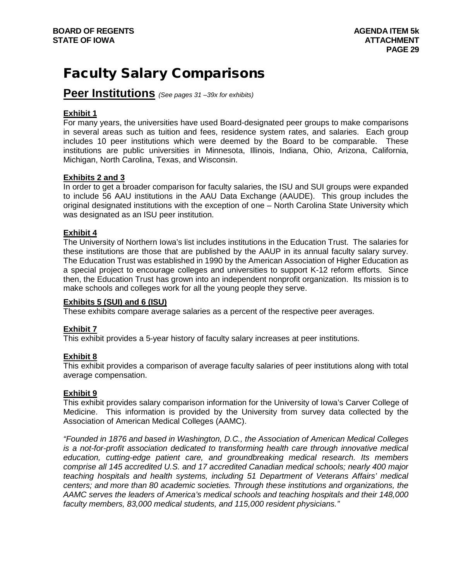# Faculty Salary Comparisons

# **Peer Institutions** *(See pages 31 –39x for exhibits)*

# **Exhibit 1**

For many years, the universities have used Board-designated peer groups to make comparisons in several areas such as tuition and fees, residence system rates, and salaries. Each group includes 10 peer institutions which were deemed by the Board to be comparable. These institutions are public universities in Minnesota, Illinois, Indiana, Ohio, Arizona, California, Michigan, North Carolina, Texas, and Wisconsin.

# **Exhibits 2 and 3**

In order to get a broader comparison for faculty salaries, the ISU and SUI groups were expanded to include 56 AAU institutions in the AAU Data Exchange (AAUDE). This group includes the original designated institutions with the exception of one – North Carolina State University which was designated as an ISU peer institution.

# **Exhibit 4**

The University of Northern Iowa's list includes institutions in the Education Trust. The salaries for these institutions are those that are published by the AAUP in its annual faculty salary survey. The Education Trust was established in 1990 by the American Association of Higher Education as a special project to encourage colleges and universities to support K-12 reform efforts. Since then, the Education Trust has grown into an independent nonprofit organization. Its mission is to make schools and colleges work for all the young people they serve.

# **Exhibits 5 (SUI) and 6 (ISU)**

These exhibits compare average salaries as a percent of the respective peer averages.

# **Exhibit 7**

This exhibit provides a 5-year history of faculty salary increases at peer institutions.

## **Exhibit 8**

This exhibit provides a comparison of average faculty salaries of peer institutions along with total average compensation.

# **Exhibit 9**

This exhibit provides salary comparison information for the University of Iowa's Carver College of Medicine. This information is provided by the University from survey data collected by the Association of American Medical Colleges (AAMC).

*"Founded in 1876 and based in Washington, D.C., the Association of American Medical Colleges is a not-for-profit association dedicated to transforming health care through innovative medical education, cutting-edge patient care, and groundbreaking medical research. Its members comprise all 145 accredited U.S. and 17 accredited Canadian medical schools; nearly 400 major teaching hospitals and health systems, including 51 Department of Veterans Affairs' medical centers; and more than 80 academic societies. Through these institutions and organizations, the AAMC serves the leaders of America's medical schools and teaching hospitals and their 148,000 faculty members, 83,000 medical students, and 115,000 resident physicians."*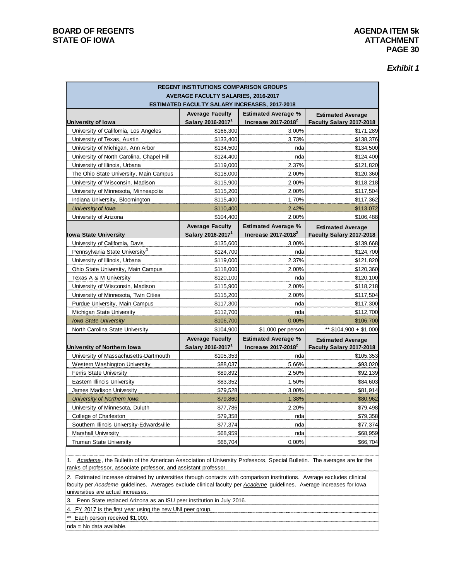## **BOARD OF REGENTS AGENDA ITEM 5k STATE OF IOWA**

| Exhibit 1 |  |  |
|-----------|--|--|
|-----------|--|--|

| <b>REGENT INSTITUTIONS COMPARISON GROUPS</b> |                                                                                                    |                                                        |                                                      |  |
|----------------------------------------------|----------------------------------------------------------------------------------------------------|--------------------------------------------------------|------------------------------------------------------|--|
|                                              | <b>AVERAGE FACULTY SALARIES, 2016-2017</b><br><b>ESTIMATED FACULTY SALARY INCREASES, 2017-2018</b> |                                                        |                                                      |  |
|                                              | <b>Average Faculty</b>                                                                             | <b>Estimated Average %</b>                             | <b>Estimated Average</b>                             |  |
| University of Iowa                           | Salary 2016-2017 <sup>1</sup>                                                                      | Increase 2017-2018 <sup>2</sup>                        | Faculty Salary 2017-2018                             |  |
| University of California, Los Angeles        | \$166,300                                                                                          | 3.00%                                                  | \$171,289                                            |  |
| University of Texas, Austin                  | \$133,400                                                                                          | 3.73%                                                  | \$138,376                                            |  |
| University of Michigan, Ann Arbor            | \$134,500                                                                                          | nda                                                    | \$134,500                                            |  |
| University of North Carolina, Chapel Hill    | \$124,400                                                                                          | nda                                                    | \$124,400                                            |  |
| University of Illinois, Urbana               | \$119,000                                                                                          | 2.37%                                                  | \$121,820                                            |  |
| The Ohio State University, Main Campus       | \$118,000                                                                                          | 2.00%                                                  | \$120,360                                            |  |
| University of Wisconsin, Madison             | \$115,900                                                                                          | 2.00%                                                  | \$118,218                                            |  |
| University of Minnesota, Minneapolis         | \$115,200                                                                                          | 2.00%                                                  | \$117,504                                            |  |
| Indiana University, Bloomington              | \$115,400                                                                                          | 1.70%                                                  | \$117,362                                            |  |
| University of Iowa                           | \$110,400                                                                                          | 2.42%                                                  | \$113,072                                            |  |
| University of Arizona                        | \$104,400                                                                                          | 2.00%                                                  | \$106,488                                            |  |
|                                              | <b>Average Faculty</b>                                                                             | <b>Estimated Average %</b>                             | <b>Estimated Average</b>                             |  |
| <b>Iowa State University</b>                 | Salary 2016-2017                                                                                   | Increase $2017-2018^2$                                 | Faculty Salary 2017-2018                             |  |
| University of California, Davis              | \$135,600                                                                                          | 3.00%                                                  | \$139,668                                            |  |
| Pennsylvania State University <sup>3</sup>   | \$124,700                                                                                          | nda                                                    | \$124,700                                            |  |
| University of Illinois, Urbana               | \$119,000                                                                                          | 2.37%                                                  | \$121,820                                            |  |
| Ohio State University, Main Campus           | \$118,000                                                                                          | 2.00%                                                  | \$120,360                                            |  |
| Texas A & M University                       | \$120,100                                                                                          | nda                                                    | \$120,100                                            |  |
| University of Wisconsin, Madison             | \$115,900                                                                                          | 2.00%                                                  | \$118,218                                            |  |
| University of Minnesota, Twin Cities         | \$115,200                                                                                          | 2.00%                                                  | \$117,504                                            |  |
| Purdue University, Main Campus               | \$117,300                                                                                          | nda                                                    | \$117,300                                            |  |
| Michigan State University                    | \$112,700                                                                                          | nda                                                    | \$112,700                                            |  |
| <b>Iowa State University</b>                 | \$106,700                                                                                          | 0.00%                                                  | \$106,700                                            |  |
| North Carolina State University              | \$104,900                                                                                          | \$1,000 per person                                     | ** \$104,900 + \$1,000                               |  |
| University of Northern Iowa                  | <b>Average Faculty</b><br>Salary 2016-2017 <sup>1</sup>                                            | <b>Estimated Average %</b><br>Increase $2017 - 2018^2$ | <b>Estimated Average</b><br>Faculty Salary 2017-2018 |  |
| University of Massachusetts-Dartmouth        | \$105,353                                                                                          | nda                                                    | \$105,353                                            |  |
| Western Washington University                | \$88,037                                                                                           | 5.66%                                                  | \$93,020                                             |  |
| Ferris State University                      | \$89,892                                                                                           | 2.50%                                                  | \$92,139                                             |  |
| Eastern Illinois University                  | \$83,352                                                                                           | 1.50%                                                  | \$84,603                                             |  |
| James Madison University                     | \$79,528                                                                                           | 3.00%                                                  | \$81,914                                             |  |
| University of Northern Iowa                  | \$79,860                                                                                           | 1.38%                                                  | \$80,962                                             |  |
| University of Minnesota, Duluth              | \$77,786                                                                                           | 2.20%                                                  | \$79,498                                             |  |
| College of Charleston                        | \$79,358                                                                                           | nda                                                    | \$79,358                                             |  |
| Southern Illinois University-Edwardsville    | \$77,374                                                                                           | nda                                                    | \$77,374                                             |  |
| <b>Marshall University</b>                   | \$68,959                                                                                           | nda                                                    | \$68,959                                             |  |
| <b>Truman State University</b>               | \$66,704                                                                                           | 0.00%                                                  | \$66,704                                             |  |
|                                              |                                                                                                    |                                                        |                                                      |  |

1. *Academe*, the Bulletin of the American Association of University Professors, Special Bulletin. The averages are for the ranks of professor, associate professor, and assistant professor.

2. Estimated increase obtained by universities through contacts with comparison institutions. Average excludes clinical faculty per *Academe* guidelines. Averages exclude clinical faculty per *Academe* guidelines. Average increases for Iowa universities are actual increases.

3. Penn State replaced Arizona as an ISU peer institution in July 2016.

4. FY 2017 is the first year using the new UNI peer group.

\*\* Each person received \$1,000.

nda = No data available.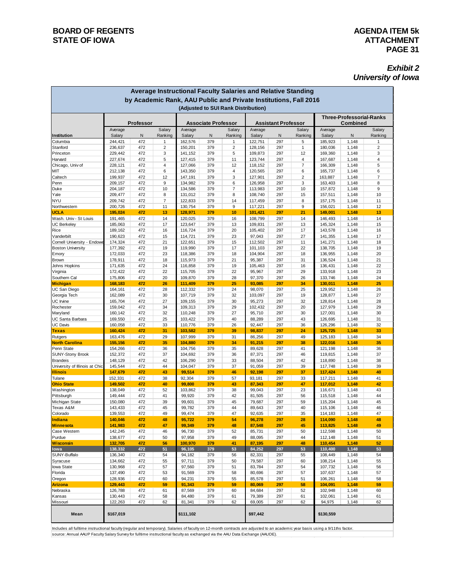# **PAGE 31**

## *Exhibit 2 University of Iowa*

| Average Instructional Faculty Salaries and Relative Standing                                            |                    |            |                     |                            |            |                     |                            |            |                |                                             |                |                     |
|---------------------------------------------------------------------------------------------------------|--------------------|------------|---------------------|----------------------------|------------|---------------------|----------------------------|------------|----------------|---------------------------------------------|----------------|---------------------|
| by Academic Rank, AAU Public and Private Institutions, Fall 2016<br>(Adjusted to SUI Rank Distribution) |                    |            |                     |                            |            |                     |                            |            |                |                                             |                |                     |
|                                                                                                         |                    | Professor  |                     | <b>Associate Professor</b> |            |                     | <b>Assistant Professor</b> |            |                | <b>Three-Professorial-Ranks</b><br>Combined |                |                     |
|                                                                                                         | Average            |            | Salary              | Average                    |            | Salary              | Average                    |            | Salary         | Average                                     |                | Salary              |
| Institution                                                                                             | Salary             | N<br>472   | Ranking             | Salary                     | N          | Ranking             | Salary                     | N<br>297   | Ranking        | Salary                                      | N              | Ranking             |
| Columbia<br>Stanford                                                                                    | 244,421<br>236,637 | 472        | 1<br>$\overline{2}$ | 162,576<br>150,201         | 379<br>379 | 1<br>$\overline{2}$ | 122,751<br>128,156         | 297        | 5<br>1         | 185,923<br>180,036                          | 1,148<br>1,148 | 1<br>$\overline{2}$ |
| Princeton                                                                                               | 229,442            | 472        | 3                   | 141,152                    | 379        | 5                   | 109,873                    | 297        | 12             | 169,360                                     | 1,148          | 3                   |
| Harvard                                                                                                 | 227,674            | 472        | 5                   | 127,415                    | 379        | 11                  | 123,744                    | 297        | 4              | 167,687                                     | 1,148          | 4                   |
| Chicago, Univ of                                                                                        | 228,121            | 472        | 4                   | 127,066                    | 379        | 12                  | 118,152                    | 297        | $\overline{7}$ | 166,309                                     | 1,148          | 5                   |
| MIT                                                                                                     | 212,138            | 472        | 6                   | 143,350                    | 379        | 4                   | 120,565                    | 297        | 6              | 165,737                                     | 1,148          | 6                   |
| Caltech                                                                                                 | 199,937            | 472        | 12                  | 147,191                    | 379        | 3                   | 127,901                    | 297        | $\overline{2}$ | 163,887                                     | 1,148          | $\overline{7}$      |
| Penn                                                                                                    | 209,157            | 472        | 9                   | 134,982                    | 379        | 6                   | 126,958                    | 297        | 3              | 163,403                                     | 1,148          | 8                   |
| Duke<br>Yale                                                                                            | 204,187<br>209,477 | 472<br>472 | 10<br>8             | 134,586<br>131,012         | 379<br>379 | $\overline{7}$<br>8 | 113,983<br>108,740         | 297<br>297 | 10<br>15       | 157,872<br>157,511                          | 1,148<br>1,148 | 9<br>10             |
| <b>NYU</b>                                                                                              | 209,742            | 472        | $\overline{7}$      | 122,833                    | 379        | 14                  | 117,459                    | 297        | 8              | 157,175                                     | 1,148          | 11                  |
| Northwestern                                                                                            | 200,726            | 472        | 11                  | 130,754                    | 379        | 9                   | 117,221                    | 297        | 9              | 156,021                                     | 1,148          | 12                  |
| <b>UCLA</b>                                                                                             | 195,024            | 472        | 13                  | 128,971                    | 379        | 10                  | 101,421                    | 297        | 21             | 149,001                                     | 1,148          | 13                  |
| Wash. Univ - St Louis                                                                                   | 191,465            | 472        | 14                  | 120,025                    | 379        | 16                  | 108,799                    | 297        | 14             | 146,493                                     | 1,148          | 14                  |
| <b>UC Berkeley</b>                                                                                      | 185,063            | 472        | 17                  | 123,647                    | 379        | 13                  | 109,831                    | 297        | 13             | 145,324                                     | 1,148          | 15                  |
| Rice                                                                                                    | 189,162            | 472        | 16                  | 116,724                    | 379        | 20                  | 105,402                    | 297        | 17             | 143,578                                     | 1,148          | 16                  |
| Vanderbilt                                                                                              | 190,623            | 472        | 15                  | 114,721                    | 379        | 23                  | 97,043                     | 297        | 27<br>11       | 141,355                                     | 1,148          | 17<br>18            |
| Cornell University - Endowe<br><b>Boston University</b>                                                 | 174,324<br>177,392 | 472<br>472 | 21<br>19            | 122,651<br>119,990         | 379<br>379 | 15<br>17            | 112,502<br>101,103         | 297<br>297 | 22             | 141,271<br>138,705                          | 1,148<br>1,148 | 19                  |
| Emory                                                                                                   | 172,033            | 472        | 23                  | 118,386                    | 379        | 18                  | 104,904                    | 297        | 18             | 136,955                                     | 1,148          | 20                  |
| <b>Brown</b>                                                                                            | 178,911            | 472        | 18                  | 115,973                    | 379        | 21                  | 95,387                     | 297        | 31             | 136,524                                     | 1,148          | 21                  |
| Johns Hopkins                                                                                           | 171,635            | 472        | 24                  | 116,858                    | 379        | 19                  | 105,463                    | 297        | 16             | 136,431                                     | 1,148          | 22                  |
| Virginia                                                                                                | 172,422            | 472        | 22                  | 115,705                    | 379        | 22                  | 95,967                     | 297        | 29             | 133,918                                     | 1,148          | 23                  |
| Southern Cal                                                                                            | 175,806            | 472        | 20                  | 109,870                    | 379        | 28                  | 97,370                     | 297        | 26             | 133,746                                     | 1,148          | 24                  |
| <b>Michigan</b>                                                                                         | 168,183            | 472        | 26                  | 111,409                    | 379        | 25                  | 93,085                     | 297        | 34             | 130,011                                     | 1,148          | 25                  |
| UC San Diego                                                                                            | 164,161            | 472        | 28                  | 112,332<br>107,719         | 379        | 24                  | 98,070                     | 297        | 25             | 129,952                                     | 1,148          | 26                  |
| Georgia Tech<br>UC Irvine                                                                               | 162,089<br>165,704 | 472<br>472 | 30<br>27            | 109,155                    | 379<br>379 | 32<br>30            | 103,097<br>95,273          | 297<br>297 | 19<br>32       | 128,877<br>128,814                          | 1,148<br>1,148 | 27<br>28            |
| Rochester                                                                                               | 159,042            | 472        | 34                  | 109,313                    | 379        | 29                  | 102,432                    | 297        | 20             | 127,979                                     | 1,148          | 29                  |
| Maryland                                                                                                | 160,142            | 472        | 32                  | 110,248                    | 379        | 27                  | 95,710                     | 297        | 30             | 127,001                                     | 1,148          | 30                  |
| UC Santa Barbara                                                                                        | 169,550            | 472        | 25                  | 103,422                    | 379        | 40                  | 88,289                     | 297        | 43             | 126,695                                     | 1,148          | 31                  |
| <b>UC Davis</b>                                                                                         | 160,058            | 472        | 33                  | 110,776                    | 379        | 26                  | 92,447                     | 297        | 36             | 126,296                                     | 1,148          | 32                  |
| <b>Texas</b>                                                                                            | 160,424            | 472        | 31                  | 103,582                    | 379        | 39                  | 98,837                     | 297        | 24             | 125,725                                     | 1,148          | 33                  |
| Rutgers<br><b>North Carolina</b>                                                                        | 163,476            | 472        | 29                  | 107,999                    | 379<br>379 | 31<br>34            | 86,256                     | 297<br>297 | 49<br>38       | 125,183                                     | 1,148          | 34<br>35            |
| Penn State                                                                                              | 155,156<br>154,266 | 472<br>472 | 35<br>36            | 104,880<br>104,756         | 379        | 35                  | 91,215<br>89,628           | 297        | 41             | 122,016<br>121,198                          | 1,148<br>1,148 | 36                  |
| <b>SUNY-Stony Brook</b>                                                                                 | 152,372            | 472        | 37                  | 104,692                    | 379        | 36                  | 87,371                     | 297        | 46             | 119,815                                     | 1,148          | 37                  |
| <b>Brandeis</b>                                                                                         | 148,129            | 472        | 42                  | 106,290                    | 379        | 33                  | 88,504                     | 297        | 42             | 118,890                                     | 1,148          | 38                  |
| University of Illinois at Chic                                                                          | 145,544            | 472        | 44                  | 104,047                    | 379        | 37                  | 91,059                     | 297        | 39             | 117,748                                     | 1,148          | 39                  |
| <b>Illinois</b>                                                                                         | 147,679            | 472        | 43                  | 99,514                     | 379        | 46                  | 92,198                     | 297        | 37             | 117,424                                     | 1,148          | 40                  |
| Tulane                                                                                                  | 152,331            | 472        | 38                  | 92,304                     | 379        | 57                  | 93,181                     | 297        | 33             | 117,211                                     | 1,148          | 41                  |
| <b>Ohio State</b>                                                                                       | 149,502            | 472        | 40                  | 99,800                     | 379        | 43                  | 87,343                     | 297        | 47             | 117,012                                     | 1,148          | 42                  |
| Washington<br>Pittsburgh                                                                                | 138,049<br>149,444 | 472<br>472 | 52<br>41            | 103,862<br>99,920          | 379<br>379 | 38<br>42            | 99,043<br>81,505           | 297<br>297 | 23<br>56       | 116,671<br>115,518                          | 1,148<br>1,148 | 43<br>44            |
| Michigan State                                                                                          | 150,080            | 472        | 39                  | 99,601                     | 379        | 45                  | 79,687                     | 297        | 59             | 115,204                                     | 1,148          | 45                  |
| Texas A&M                                                                                               | 143,433            | 472        | 45                  | 99,782                     | 379        | 44                  | 89,643                     | 297        | 40             | 115,106                                     | 1,148          | 46                  |
| Colorado                                                                                                | 139,553            | 472        | 49                  | 99,474                     | 379        | 47                  | 92,635                     | 297        | 35             | 114,183                                     | 1,148          | 47                  |
| Indiana                                                                                                 | 140,046            | 472        | 48                  | 95,722                     | 379        | 54                  | 96,278                     | 297        | 28             | 114,090                                     | 1,148          | 48                  |
| <b>Minnesota</b>                                                                                        | 141,983            | 472        | 47                  | 99,349                     | 379        | 48                  | 87,548                     | 297        | 45             | 113,825                                     | 1,148          | 49                  |
| Case Western                                                                                            | 142,245            | 472        | 46                  | 96,730                     | 379        | 52                  | 85,731                     | 297        | 50             | 112,598                                     | 1,148          | 50                  |
| Purdue<br>Wisconsin                                                                                     | 138,677<br>132,705 | 472<br>472 | 50<br>56            | 97,958<br>100,970          | 379<br>379 | 49<br>41            | 88,095<br>87,195           | 297<br>297 | 44<br>48       | 112,148<br>110,454                          | 1,148<br>1,148 | 51<br>52            |
| <b>lowa</b>                                                                                             | 138,332            | 472        | 51                  | 96,105                     | 379        | 53                  | 84,252                     | 297        | 53             | 110,400                                     | 1,148          | 53                  |
| SUNY-Buffalo                                                                                            | 136,340            | 472        | 54                  | 94,182                     | 379        | 56                  | 82,331                     | 297        | 55             | 108,449                                     | 1,148          | 54                  |
| Syracuse                                                                                                | 134,662            | 472        | 55                  | 97,711                     | 379        | 50                  | 79,587                     | 297        | 60             | 108,214                                     | 1,148          | 55                  |
| <b>lowa State</b>                                                                                       | 130,968            | 472        | 57                  | 97,560                     | 379        | 51                  | 83,784                     | 297        | 54             | 107,732                                     | 1,148          | 56                  |
| Florida                                                                                                 | 137,490            | 472        | 53                  | 91,569                     | 379        | 58                  | 80,696                     | 297        | 57             | 107,637                                     | 1,148          | 57                  |
| Oregon                                                                                                  | 128,936            | 472        | 60                  | 94,231                     | 379        | 55                  | 85,578                     | 297        | 51             | 106,261                                     | 1,148          | 58                  |
| Arizona<br>Nebraska                                                                                     | 129,443<br>126,788 | 472<br>472 | 59<br>61            | 91,343<br>87,569           | 379<br>379 | 59<br>60            | 80,069<br>84,684           | 297<br>297 | 58<br>52       | 104,091<br>102,948                          | 1,148<br>1,148 | 59<br>60            |
| Kansas                                                                                                  | 130,443            | 472        | 58                  | 84,480                     | 379        | 61                  | 79,389                     | 297        | 61             | 102,061                                     | 1,148          | 61                  |
| Missouri                                                                                                | 122,263            | 472        | 62                  | 81,341                     | 379        | 62                  | 69,005                     | 297        | 62             | 94,975                                      | 1,148          | 62                  |
| Mean                                                                                                    | \$167,019          |            |                     | \$111,102                  |            |                     | \$97,442                   |            |                | \$130,559                                   |                |                     |
|                                                                                                         |                    |            |                     |                            |            |                     |                            |            |                |                                             |                |                     |

Includes all fulltime instructional faculty (regular and temporary). Salaries of faculty on 12-month contracts are adjusted to an academic year basis using a 9/11ths factor. source: Annual AAUP Faculty Salary Survey for fulltime instructional faculty as exchanged via the AAU Data Exchange (AAUDE).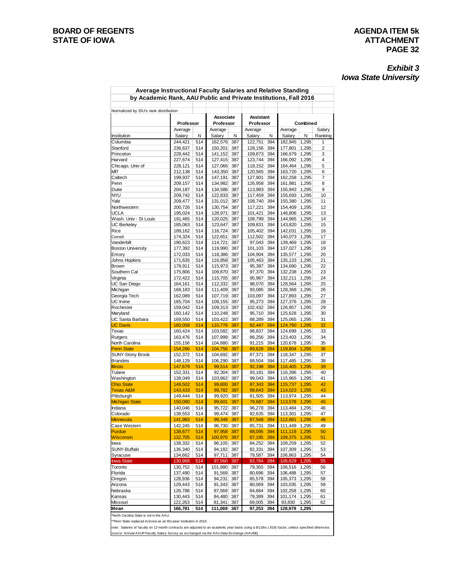# **PAGE 32**

## *Exhibit 3 Iowa State University*

| Normalized by ISU's rank distribution<br>Associate<br>Assistant<br>Professor<br>Professor<br>Professor<br>Average<br>Average<br>Average<br>Average<br>Salary<br>Salary<br>N<br>Salary<br>N<br>N<br>Salary<br>N<br>Institution<br>244,421<br>514<br>162,576<br>122,751<br>394<br>182,945<br>1,295<br>Columbia<br>387<br>Stanford<br>236,637<br>514<br>150,201<br>387<br>128,156<br>394<br>177,801<br>1,295<br>514<br>394<br>Princeton<br>229,442<br>141,152<br>387<br>109,873<br>166,679<br>1,295<br>514<br>Harvard<br>227,674<br>127,415<br>387<br>123,744<br>394<br>166,092<br>1,295<br>Chicago, Univ of<br>228,121<br>514<br>127,066<br>387<br>118,152<br>394<br>164,464<br>1,295<br>394<br>МΙТ<br>212,138<br>514<br>143,350<br>387<br>120,565<br>163,720<br>1,295<br>Caltech<br>514<br>147,191<br>387<br>127,901<br>394<br>162,258<br>1,295<br>199,937<br>Penn<br>209,157<br>514<br>134,982<br>387<br>126,958<br>394<br>161,981<br>1,295<br>514<br>394<br>Duke<br>204,187<br>134,586<br>387<br>113,983<br>155,943<br>1,295<br>nyu<br>209,742<br>514<br>122,833<br>387<br>394<br>117,459<br>155,693<br>1,295<br>514<br>394<br>Yale<br>209,477<br>131,012<br>387<br>108,740<br>155,380<br>1,295<br>514<br>394<br>Northwestern<br>200,726<br>130,754<br>387<br>117,221<br>154,409<br>1,295<br>UCLA<br>195,024<br>514<br>128,971<br>387<br>101,421<br>394<br>146,806<br>1,295<br>Wash. Univ - St Louis<br>514<br>191,465<br>120,025<br>387<br>108,799<br>394<br>144,965<br>1,295<br>UC Berkeley<br>514<br>123,647<br>387<br>109,831<br>394<br>143,820<br>1,295<br>185,063<br>189,162<br>514<br>116,724<br>387<br>105,402<br>394<br>142,031<br>1,295<br>Rice<br>514<br>394<br>174,324<br>122,651<br>387<br>112,502<br>140,073<br>1,295<br>Cornell<br>Vanderbilt<br>190,623<br>514<br>114,721<br>387<br>97,043<br>394<br>139,469<br>1,295<br>Boston University<br>177,392<br>514<br>119,990<br>387<br>101,103<br>394<br>137,027<br>1,295<br>514<br>172,033<br>118,386<br>387<br>104,904<br>394<br>135,577<br>1,295<br>Emory<br>Johns Hopkins<br>171,635<br>514<br>116,858<br>387<br>105,463<br>394<br>135,133<br>1,295<br>394<br>Brown<br>178,911<br>514<br>115,973<br>387<br>95,387<br>134,690<br>1,295<br>Southern Cal<br>175,806<br>514<br>109,870<br>387<br>97,370<br>394<br>132,238<br>1,295<br>Virginia<br>172,422<br>514<br>115,705<br>387<br>95,967<br>394<br>132,211<br>1,295<br>394<br>UC San Diego<br>164,161<br>514<br>112,332<br>387<br>98,070<br>128,564<br>1,295<br>Michigan<br>514<br>111,409<br>387<br>93,085<br>394<br>128,368<br>1,295<br>168,183<br>514<br>394<br>Georgia Tech<br>162,089<br>107,719<br>387<br>103,097<br>127,893<br>1,295<br>UC Irvine<br>165,704<br>514<br>109,155<br>387<br>95,273<br>394<br>127,376<br>1,295<br>Rochester<br>159,042<br>514<br>109,313<br>387<br>102,432<br>394<br>126,957<br>1,295<br>514<br>Maryland<br>160,142<br>110,248<br>387<br>95,710<br>394<br>125,628<br>1,295<br>UC Santa Barbara<br>514<br>103,422<br>387<br>88,289<br>394<br>125,065<br>169,550<br>1,295<br><b>UC Davis</b><br>160,058<br>514<br>110,776<br>387<br>92,447<br>394<br>124,760<br>1,295<br>514<br>394<br>160,424<br>103,582<br>387<br>98,837<br>124,699<br>1,295<br>Texas<br>514<br>107,999<br>387<br>86,256<br>394<br>123,403<br>1,295<br>Rutgers<br>163,476<br>North Carolina<br>155,156<br>514<br>104,880<br>387<br>91,215<br>394<br>120,678 1,295<br>514<br>387<br>394<br>Penn State<br>154,266<br>104,756<br>89,628<br>119,804 1,295<br>SUNY-Stony Brook<br>152,372<br>514<br>104,692<br>387<br>87,371<br>394<br>118,347<br>1,295<br>Brandeis<br>148,129<br>514<br>106,290<br>387<br>88,504<br>394<br>117,485 1,295<br>514<br>387<br>394<br>147,679<br>99,514<br>92,198<br>116,405 1,295<br><u>Illinois</u><br>Tulane<br>152,331<br>514<br>92,304<br>387<br>93,181<br>394<br>116,396 1,295<br>394<br>138,049<br>514<br>103,862<br>387<br>99,043<br>115,965 1,295<br>Washington<br>394<br>149,502<br>514<br>387<br>87,343<br>115,737<br>99,800<br>1,295<br><b>Texas A&amp;M</b><br>143,433<br>514<br>99,782<br>387<br>89,643<br>394<br>114,023 1,295<br>99,920<br>Pittsburgh<br>149,444<br>514<br>387<br>81,505<br>394<br>113,974 1,295<br>150,080<br>514<br>99,601<br>387<br>79,687<br>394<br>113,578 1,295<br>514<br>95,722<br>96,278<br>394<br>113,484 1,295<br>Indiana<br>140,046<br>387<br>139,553<br>514<br>99,474 387<br>92,635 394<br>113,301 1,295<br>141,983<br>514<br>99,349 387<br>87,548 394<br>112,681 1,295<br>142,245<br>514<br>96,730 387<br>85,731 394<br>111,449 1,295<br>138,677<br>97,958<br>88,095<br>111,119 1,295<br>514<br>387<br>394<br>132,705<br>514<br>100,970<br>87,195<br>109,375 1,295<br>387<br>394<br>138,332<br>514<br>96,105<br>84,252<br>109,259 1,295<br>387<br>394<br>136,340<br>94,182<br>82,331<br>394<br>107,309<br>1,295<br>514<br>387<br>97,711<br>79,587<br>394<br>134,662<br>514<br>387<br>106,863 1,295<br>130,968<br>514<br>97,560<br>394<br>106,629 1,295<br>387<br>83,784<br>Toronto<br>130,752<br>514<br>101,980<br>79,355<br>394<br>106,516 1,295<br>387<br>91,569<br>106,488 1,295<br>137,490<br>514<br>387<br>80,696<br>394 |          | Average Instructional Faculty Salaries and Relative Standing<br>by Academic Rank, AAU Public and Private Institutions, Fall 2016 |         |  |        |  |        |     |         |        |  |  |  |
|----------------------------------------------------------------------------------------------------------------------------------------------------------------------------------------------------------------------------------------------------------------------------------------------------------------------------------------------------------------------------------------------------------------------------------------------------------------------------------------------------------------------------------------------------------------------------------------------------------------------------------------------------------------------------------------------------------------------------------------------------------------------------------------------------------------------------------------------------------------------------------------------------------------------------------------------------------------------------------------------------------------------------------------------------------------------------------------------------------------------------------------------------------------------------------------------------------------------------------------------------------------------------------------------------------------------------------------------------------------------------------------------------------------------------------------------------------------------------------------------------------------------------------------------------------------------------------------------------------------------------------------------------------------------------------------------------------------------------------------------------------------------------------------------------------------------------------------------------------------------------------------------------------------------------------------------------------------------------------------------------------------------------------------------------------------------------------------------------------------------------------------------------------------------------------------------------------------------------------------------------------------------------------------------------------------------------------------------------------------------------------------------------------------------------------------------------------------------------------------------------------------------------------------------------------------------------------------------------------------------------------------------------------------------------------------------------------------------------------------------------------------------------------------------------------------------------------------------------------------------------------------------------------------------------------------------------------------------------------------------------------------------------------------------------------------------------------------------------------------------------------------------------------------------------------------------------------------------------------------------------------------------------------------------------------------------------------------------------------------------------------------------------------------------------------------------------------------------------------------------------------------------------------------------------------------------------------------------------------------------------------------------------------------------------------------------------------------------------------------------------------------------------------------------------------------------------------------------------------------------------------------------------------------------------------------------------------------------------------------------------------------------------------------------------------------------------------------------------------------------------------------------------------------------------------------------------------------------------------------------------------------------------------------------------------------------------------------------------------------------------------------------------------------------------------------------------------------------------------------------------------------------------------------------------------------------------------------------------------------------------------------------------------------------------------------------------------------------------------------------------------------------------------------------------------------------------------------------------------------------------------------------------------------------------------------------------------------------------------------------------------------------------------------------------------------------------------------------------------------------|----------|----------------------------------------------------------------------------------------------------------------------------------|---------|--|--------|--|--------|-----|---------|--------|--|--|--|
| <b>Ohio State</b><br><b>Michigan State</b><br>Colorado<br><b>Minnesota</b><br>Case Western<br>Purdue<br><b>Wisconsin</b><br>lowa<br>SUNY-Buffalo<br>Syracuse<br>lowa State<br>Florida                                                                                                                                                                                                                                                                                                                                                                                                                                                                                                                                                                                                                                                                                                                                                                                                                                                                                                                                                                                                                                                                                                                                                                                                                                                                                                                                                                                                                                                                                                                                                                                                                                                                                                                                                                                                                                                                                                                                                                                                                                                                                                                                                                                                                                                                                                                                                                                                                                                                                                                                                                                                                                                                                                                                                                                                                                                                                                                                                                                                                                                                                                                                                                                                                                                                                                                                                                                                                                                                                                                                                                                                                                                                                                                                                                                                                                                                                                                                                                                                                                                                                                                                                                                                                                                                                                                                                                                                                                                                                                                                                                                                                                                                                                                                                                                                                                                                                                                                |          | Combined                                                                                                                         |         |  |        |  |        |     |         |        |  |  |  |
|                                                                                                                                                                                                                                                                                                                                                                                                                                                                                                                                                                                                                                                                                                                                                                                                                                                                                                                                                                                                                                                                                                                                                                                                                                                                                                                                                                                                                                                                                                                                                                                                                                                                                                                                                                                                                                                                                                                                                                                                                                                                                                                                                                                                                                                                                                                                                                                                                                                                                                                                                                                                                                                                                                                                                                                                                                                                                                                                                                                                                                                                                                                                                                                                                                                                                                                                                                                                                                                                                                                                                                                                                                                                                                                                                                                                                                                                                                                                                                                                                                                                                                                                                                                                                                                                                                                                                                                                                                                                                                                                                                                                                                                                                                                                                                                                                                                                                                                                                                                                                                                                                                                      | Salary   |                                                                                                                                  |         |  |        |  |        |     |         |        |  |  |  |
|                                                                                                                                                                                                                                                                                                                                                                                                                                                                                                                                                                                                                                                                                                                                                                                                                                                                                                                                                                                                                                                                                                                                                                                                                                                                                                                                                                                                                                                                                                                                                                                                                                                                                                                                                                                                                                                                                                                                                                                                                                                                                                                                                                                                                                                                                                                                                                                                                                                                                                                                                                                                                                                                                                                                                                                                                                                                                                                                                                                                                                                                                                                                                                                                                                                                                                                                                                                                                                                                                                                                                                                                                                                                                                                                                                                                                                                                                                                                                                                                                                                                                                                                                                                                                                                                                                                                                                                                                                                                                                                                                                                                                                                                                                                                                                                                                                                                                                                                                                                                                                                                                                                      | Ranking  |                                                                                                                                  |         |  |        |  |        |     |         |        |  |  |  |
|                                                                                                                                                                                                                                                                                                                                                                                                                                                                                                                                                                                                                                                                                                                                                                                                                                                                                                                                                                                                                                                                                                                                                                                                                                                                                                                                                                                                                                                                                                                                                                                                                                                                                                                                                                                                                                                                                                                                                                                                                                                                                                                                                                                                                                                                                                                                                                                                                                                                                                                                                                                                                                                                                                                                                                                                                                                                                                                                                                                                                                                                                                                                                                                                                                                                                                                                                                                                                                                                                                                                                                                                                                                                                                                                                                                                                                                                                                                                                                                                                                                                                                                                                                                                                                                                                                                                                                                                                                                                                                                                                                                                                                                                                                                                                                                                                                                                                                                                                                                                                                                                                                                      | 1        |                                                                                                                                  |         |  |        |  |        |     |         |        |  |  |  |
|                                                                                                                                                                                                                                                                                                                                                                                                                                                                                                                                                                                                                                                                                                                                                                                                                                                                                                                                                                                                                                                                                                                                                                                                                                                                                                                                                                                                                                                                                                                                                                                                                                                                                                                                                                                                                                                                                                                                                                                                                                                                                                                                                                                                                                                                                                                                                                                                                                                                                                                                                                                                                                                                                                                                                                                                                                                                                                                                                                                                                                                                                                                                                                                                                                                                                                                                                                                                                                                                                                                                                                                                                                                                                                                                                                                                                                                                                                                                                                                                                                                                                                                                                                                                                                                                                                                                                                                                                                                                                                                                                                                                                                                                                                                                                                                                                                                                                                                                                                                                                                                                                                                      | 2        |                                                                                                                                  |         |  |        |  |        |     |         |        |  |  |  |
|                                                                                                                                                                                                                                                                                                                                                                                                                                                                                                                                                                                                                                                                                                                                                                                                                                                                                                                                                                                                                                                                                                                                                                                                                                                                                                                                                                                                                                                                                                                                                                                                                                                                                                                                                                                                                                                                                                                                                                                                                                                                                                                                                                                                                                                                                                                                                                                                                                                                                                                                                                                                                                                                                                                                                                                                                                                                                                                                                                                                                                                                                                                                                                                                                                                                                                                                                                                                                                                                                                                                                                                                                                                                                                                                                                                                                                                                                                                                                                                                                                                                                                                                                                                                                                                                                                                                                                                                                                                                                                                                                                                                                                                                                                                                                                                                                                                                                                                                                                                                                                                                                                                      | 3        |                                                                                                                                  |         |  |        |  |        |     |         |        |  |  |  |
|                                                                                                                                                                                                                                                                                                                                                                                                                                                                                                                                                                                                                                                                                                                                                                                                                                                                                                                                                                                                                                                                                                                                                                                                                                                                                                                                                                                                                                                                                                                                                                                                                                                                                                                                                                                                                                                                                                                                                                                                                                                                                                                                                                                                                                                                                                                                                                                                                                                                                                                                                                                                                                                                                                                                                                                                                                                                                                                                                                                                                                                                                                                                                                                                                                                                                                                                                                                                                                                                                                                                                                                                                                                                                                                                                                                                                                                                                                                                                                                                                                                                                                                                                                                                                                                                                                                                                                                                                                                                                                                                                                                                                                                                                                                                                                                                                                                                                                                                                                                                                                                                                                                      | 4        |                                                                                                                                  |         |  |        |  |        |     |         |        |  |  |  |
|                                                                                                                                                                                                                                                                                                                                                                                                                                                                                                                                                                                                                                                                                                                                                                                                                                                                                                                                                                                                                                                                                                                                                                                                                                                                                                                                                                                                                                                                                                                                                                                                                                                                                                                                                                                                                                                                                                                                                                                                                                                                                                                                                                                                                                                                                                                                                                                                                                                                                                                                                                                                                                                                                                                                                                                                                                                                                                                                                                                                                                                                                                                                                                                                                                                                                                                                                                                                                                                                                                                                                                                                                                                                                                                                                                                                                                                                                                                                                                                                                                                                                                                                                                                                                                                                                                                                                                                                                                                                                                                                                                                                                                                                                                                                                                                                                                                                                                                                                                                                                                                                                                                      | 5        |                                                                                                                                  |         |  |        |  |        |     |         |        |  |  |  |
|                                                                                                                                                                                                                                                                                                                                                                                                                                                                                                                                                                                                                                                                                                                                                                                                                                                                                                                                                                                                                                                                                                                                                                                                                                                                                                                                                                                                                                                                                                                                                                                                                                                                                                                                                                                                                                                                                                                                                                                                                                                                                                                                                                                                                                                                                                                                                                                                                                                                                                                                                                                                                                                                                                                                                                                                                                                                                                                                                                                                                                                                                                                                                                                                                                                                                                                                                                                                                                                                                                                                                                                                                                                                                                                                                                                                                                                                                                                                                                                                                                                                                                                                                                                                                                                                                                                                                                                                                                                                                                                                                                                                                                                                                                                                                                                                                                                                                                                                                                                                                                                                                                                      | 6        |                                                                                                                                  |         |  |        |  |        |     |         |        |  |  |  |
|                                                                                                                                                                                                                                                                                                                                                                                                                                                                                                                                                                                                                                                                                                                                                                                                                                                                                                                                                                                                                                                                                                                                                                                                                                                                                                                                                                                                                                                                                                                                                                                                                                                                                                                                                                                                                                                                                                                                                                                                                                                                                                                                                                                                                                                                                                                                                                                                                                                                                                                                                                                                                                                                                                                                                                                                                                                                                                                                                                                                                                                                                                                                                                                                                                                                                                                                                                                                                                                                                                                                                                                                                                                                                                                                                                                                                                                                                                                                                                                                                                                                                                                                                                                                                                                                                                                                                                                                                                                                                                                                                                                                                                                                                                                                                                                                                                                                                                                                                                                                                                                                                                                      | 7        |                                                                                                                                  |         |  |        |  |        |     |         |        |  |  |  |
|                                                                                                                                                                                                                                                                                                                                                                                                                                                                                                                                                                                                                                                                                                                                                                                                                                                                                                                                                                                                                                                                                                                                                                                                                                                                                                                                                                                                                                                                                                                                                                                                                                                                                                                                                                                                                                                                                                                                                                                                                                                                                                                                                                                                                                                                                                                                                                                                                                                                                                                                                                                                                                                                                                                                                                                                                                                                                                                                                                                                                                                                                                                                                                                                                                                                                                                                                                                                                                                                                                                                                                                                                                                                                                                                                                                                                                                                                                                                                                                                                                                                                                                                                                                                                                                                                                                                                                                                                                                                                                                                                                                                                                                                                                                                                                                                                                                                                                                                                                                                                                                                                                                      | 8        |                                                                                                                                  |         |  |        |  |        |     |         |        |  |  |  |
|                                                                                                                                                                                                                                                                                                                                                                                                                                                                                                                                                                                                                                                                                                                                                                                                                                                                                                                                                                                                                                                                                                                                                                                                                                                                                                                                                                                                                                                                                                                                                                                                                                                                                                                                                                                                                                                                                                                                                                                                                                                                                                                                                                                                                                                                                                                                                                                                                                                                                                                                                                                                                                                                                                                                                                                                                                                                                                                                                                                                                                                                                                                                                                                                                                                                                                                                                                                                                                                                                                                                                                                                                                                                                                                                                                                                                                                                                                                                                                                                                                                                                                                                                                                                                                                                                                                                                                                                                                                                                                                                                                                                                                                                                                                                                                                                                                                                                                                                                                                                                                                                                                                      | 9        |                                                                                                                                  |         |  |        |  |        |     |         |        |  |  |  |
|                                                                                                                                                                                                                                                                                                                                                                                                                                                                                                                                                                                                                                                                                                                                                                                                                                                                                                                                                                                                                                                                                                                                                                                                                                                                                                                                                                                                                                                                                                                                                                                                                                                                                                                                                                                                                                                                                                                                                                                                                                                                                                                                                                                                                                                                                                                                                                                                                                                                                                                                                                                                                                                                                                                                                                                                                                                                                                                                                                                                                                                                                                                                                                                                                                                                                                                                                                                                                                                                                                                                                                                                                                                                                                                                                                                                                                                                                                                                                                                                                                                                                                                                                                                                                                                                                                                                                                                                                                                                                                                                                                                                                                                                                                                                                                                                                                                                                                                                                                                                                                                                                                                      | 10       |                                                                                                                                  |         |  |        |  |        |     |         |        |  |  |  |
|                                                                                                                                                                                                                                                                                                                                                                                                                                                                                                                                                                                                                                                                                                                                                                                                                                                                                                                                                                                                                                                                                                                                                                                                                                                                                                                                                                                                                                                                                                                                                                                                                                                                                                                                                                                                                                                                                                                                                                                                                                                                                                                                                                                                                                                                                                                                                                                                                                                                                                                                                                                                                                                                                                                                                                                                                                                                                                                                                                                                                                                                                                                                                                                                                                                                                                                                                                                                                                                                                                                                                                                                                                                                                                                                                                                                                                                                                                                                                                                                                                                                                                                                                                                                                                                                                                                                                                                                                                                                                                                                                                                                                                                                                                                                                                                                                                                                                                                                                                                                                                                                                                                      | 11       |                                                                                                                                  |         |  |        |  |        |     |         |        |  |  |  |
|                                                                                                                                                                                                                                                                                                                                                                                                                                                                                                                                                                                                                                                                                                                                                                                                                                                                                                                                                                                                                                                                                                                                                                                                                                                                                                                                                                                                                                                                                                                                                                                                                                                                                                                                                                                                                                                                                                                                                                                                                                                                                                                                                                                                                                                                                                                                                                                                                                                                                                                                                                                                                                                                                                                                                                                                                                                                                                                                                                                                                                                                                                                                                                                                                                                                                                                                                                                                                                                                                                                                                                                                                                                                                                                                                                                                                                                                                                                                                                                                                                                                                                                                                                                                                                                                                                                                                                                                                                                                                                                                                                                                                                                                                                                                                                                                                                                                                                                                                                                                                                                                                                                      | 12       |                                                                                                                                  |         |  |        |  |        |     |         |        |  |  |  |
|                                                                                                                                                                                                                                                                                                                                                                                                                                                                                                                                                                                                                                                                                                                                                                                                                                                                                                                                                                                                                                                                                                                                                                                                                                                                                                                                                                                                                                                                                                                                                                                                                                                                                                                                                                                                                                                                                                                                                                                                                                                                                                                                                                                                                                                                                                                                                                                                                                                                                                                                                                                                                                                                                                                                                                                                                                                                                                                                                                                                                                                                                                                                                                                                                                                                                                                                                                                                                                                                                                                                                                                                                                                                                                                                                                                                                                                                                                                                                                                                                                                                                                                                                                                                                                                                                                                                                                                                                                                                                                                                                                                                                                                                                                                                                                                                                                                                                                                                                                                                                                                                                                                      | 13       |                                                                                                                                  |         |  |        |  |        |     |         |        |  |  |  |
|                                                                                                                                                                                                                                                                                                                                                                                                                                                                                                                                                                                                                                                                                                                                                                                                                                                                                                                                                                                                                                                                                                                                                                                                                                                                                                                                                                                                                                                                                                                                                                                                                                                                                                                                                                                                                                                                                                                                                                                                                                                                                                                                                                                                                                                                                                                                                                                                                                                                                                                                                                                                                                                                                                                                                                                                                                                                                                                                                                                                                                                                                                                                                                                                                                                                                                                                                                                                                                                                                                                                                                                                                                                                                                                                                                                                                                                                                                                                                                                                                                                                                                                                                                                                                                                                                                                                                                                                                                                                                                                                                                                                                                                                                                                                                                                                                                                                                                                                                                                                                                                                                                                      | 14       |                                                                                                                                  |         |  |        |  |        |     |         |        |  |  |  |
|                                                                                                                                                                                                                                                                                                                                                                                                                                                                                                                                                                                                                                                                                                                                                                                                                                                                                                                                                                                                                                                                                                                                                                                                                                                                                                                                                                                                                                                                                                                                                                                                                                                                                                                                                                                                                                                                                                                                                                                                                                                                                                                                                                                                                                                                                                                                                                                                                                                                                                                                                                                                                                                                                                                                                                                                                                                                                                                                                                                                                                                                                                                                                                                                                                                                                                                                                                                                                                                                                                                                                                                                                                                                                                                                                                                                                                                                                                                                                                                                                                                                                                                                                                                                                                                                                                                                                                                                                                                                                                                                                                                                                                                                                                                                                                                                                                                                                                                                                                                                                                                                                                                      | 15       |                                                                                                                                  |         |  |        |  |        |     |         |        |  |  |  |
|                                                                                                                                                                                                                                                                                                                                                                                                                                                                                                                                                                                                                                                                                                                                                                                                                                                                                                                                                                                                                                                                                                                                                                                                                                                                                                                                                                                                                                                                                                                                                                                                                                                                                                                                                                                                                                                                                                                                                                                                                                                                                                                                                                                                                                                                                                                                                                                                                                                                                                                                                                                                                                                                                                                                                                                                                                                                                                                                                                                                                                                                                                                                                                                                                                                                                                                                                                                                                                                                                                                                                                                                                                                                                                                                                                                                                                                                                                                                                                                                                                                                                                                                                                                                                                                                                                                                                                                                                                                                                                                                                                                                                                                                                                                                                                                                                                                                                                                                                                                                                                                                                                                      | 16       |                                                                                                                                  |         |  |        |  |        |     |         |        |  |  |  |
|                                                                                                                                                                                                                                                                                                                                                                                                                                                                                                                                                                                                                                                                                                                                                                                                                                                                                                                                                                                                                                                                                                                                                                                                                                                                                                                                                                                                                                                                                                                                                                                                                                                                                                                                                                                                                                                                                                                                                                                                                                                                                                                                                                                                                                                                                                                                                                                                                                                                                                                                                                                                                                                                                                                                                                                                                                                                                                                                                                                                                                                                                                                                                                                                                                                                                                                                                                                                                                                                                                                                                                                                                                                                                                                                                                                                                                                                                                                                                                                                                                                                                                                                                                                                                                                                                                                                                                                                                                                                                                                                                                                                                                                                                                                                                                                                                                                                                                                                                                                                                                                                                                                      | 17       |                                                                                                                                  |         |  |        |  |        |     |         |        |  |  |  |
|                                                                                                                                                                                                                                                                                                                                                                                                                                                                                                                                                                                                                                                                                                                                                                                                                                                                                                                                                                                                                                                                                                                                                                                                                                                                                                                                                                                                                                                                                                                                                                                                                                                                                                                                                                                                                                                                                                                                                                                                                                                                                                                                                                                                                                                                                                                                                                                                                                                                                                                                                                                                                                                                                                                                                                                                                                                                                                                                                                                                                                                                                                                                                                                                                                                                                                                                                                                                                                                                                                                                                                                                                                                                                                                                                                                                                                                                                                                                                                                                                                                                                                                                                                                                                                                                                                                                                                                                                                                                                                                                                                                                                                                                                                                                                                                                                                                                                                                                                                                                                                                                                                                      | 18       |                                                                                                                                  |         |  |        |  |        |     |         |        |  |  |  |
|                                                                                                                                                                                                                                                                                                                                                                                                                                                                                                                                                                                                                                                                                                                                                                                                                                                                                                                                                                                                                                                                                                                                                                                                                                                                                                                                                                                                                                                                                                                                                                                                                                                                                                                                                                                                                                                                                                                                                                                                                                                                                                                                                                                                                                                                                                                                                                                                                                                                                                                                                                                                                                                                                                                                                                                                                                                                                                                                                                                                                                                                                                                                                                                                                                                                                                                                                                                                                                                                                                                                                                                                                                                                                                                                                                                                                                                                                                                                                                                                                                                                                                                                                                                                                                                                                                                                                                                                                                                                                                                                                                                                                                                                                                                                                                                                                                                                                                                                                                                                                                                                                                                      | 19       |                                                                                                                                  |         |  |        |  |        |     |         |        |  |  |  |
|                                                                                                                                                                                                                                                                                                                                                                                                                                                                                                                                                                                                                                                                                                                                                                                                                                                                                                                                                                                                                                                                                                                                                                                                                                                                                                                                                                                                                                                                                                                                                                                                                                                                                                                                                                                                                                                                                                                                                                                                                                                                                                                                                                                                                                                                                                                                                                                                                                                                                                                                                                                                                                                                                                                                                                                                                                                                                                                                                                                                                                                                                                                                                                                                                                                                                                                                                                                                                                                                                                                                                                                                                                                                                                                                                                                                                                                                                                                                                                                                                                                                                                                                                                                                                                                                                                                                                                                                                                                                                                                                                                                                                                                                                                                                                                                                                                                                                                                                                                                                                                                                                                                      | 20       |                                                                                                                                  |         |  |        |  |        |     |         |        |  |  |  |
|                                                                                                                                                                                                                                                                                                                                                                                                                                                                                                                                                                                                                                                                                                                                                                                                                                                                                                                                                                                                                                                                                                                                                                                                                                                                                                                                                                                                                                                                                                                                                                                                                                                                                                                                                                                                                                                                                                                                                                                                                                                                                                                                                                                                                                                                                                                                                                                                                                                                                                                                                                                                                                                                                                                                                                                                                                                                                                                                                                                                                                                                                                                                                                                                                                                                                                                                                                                                                                                                                                                                                                                                                                                                                                                                                                                                                                                                                                                                                                                                                                                                                                                                                                                                                                                                                                                                                                                                                                                                                                                                                                                                                                                                                                                                                                                                                                                                                                                                                                                                                                                                                                                      | 21       |                                                                                                                                  |         |  |        |  |        |     |         |        |  |  |  |
|                                                                                                                                                                                                                                                                                                                                                                                                                                                                                                                                                                                                                                                                                                                                                                                                                                                                                                                                                                                                                                                                                                                                                                                                                                                                                                                                                                                                                                                                                                                                                                                                                                                                                                                                                                                                                                                                                                                                                                                                                                                                                                                                                                                                                                                                                                                                                                                                                                                                                                                                                                                                                                                                                                                                                                                                                                                                                                                                                                                                                                                                                                                                                                                                                                                                                                                                                                                                                                                                                                                                                                                                                                                                                                                                                                                                                                                                                                                                                                                                                                                                                                                                                                                                                                                                                                                                                                                                                                                                                                                                                                                                                                                                                                                                                                                                                                                                                                                                                                                                                                                                                                                      | 22       |                                                                                                                                  |         |  |        |  |        |     |         |        |  |  |  |
|                                                                                                                                                                                                                                                                                                                                                                                                                                                                                                                                                                                                                                                                                                                                                                                                                                                                                                                                                                                                                                                                                                                                                                                                                                                                                                                                                                                                                                                                                                                                                                                                                                                                                                                                                                                                                                                                                                                                                                                                                                                                                                                                                                                                                                                                                                                                                                                                                                                                                                                                                                                                                                                                                                                                                                                                                                                                                                                                                                                                                                                                                                                                                                                                                                                                                                                                                                                                                                                                                                                                                                                                                                                                                                                                                                                                                                                                                                                                                                                                                                                                                                                                                                                                                                                                                                                                                                                                                                                                                                                                                                                                                                                                                                                                                                                                                                                                                                                                                                                                                                                                                                                      | 23       |                                                                                                                                  |         |  |        |  |        |     |         |        |  |  |  |
|                                                                                                                                                                                                                                                                                                                                                                                                                                                                                                                                                                                                                                                                                                                                                                                                                                                                                                                                                                                                                                                                                                                                                                                                                                                                                                                                                                                                                                                                                                                                                                                                                                                                                                                                                                                                                                                                                                                                                                                                                                                                                                                                                                                                                                                                                                                                                                                                                                                                                                                                                                                                                                                                                                                                                                                                                                                                                                                                                                                                                                                                                                                                                                                                                                                                                                                                                                                                                                                                                                                                                                                                                                                                                                                                                                                                                                                                                                                                                                                                                                                                                                                                                                                                                                                                                                                                                                                                                                                                                                                                                                                                                                                                                                                                                                                                                                                                                                                                                                                                                                                                                                                      | 24       |                                                                                                                                  |         |  |        |  |        |     |         |        |  |  |  |
|                                                                                                                                                                                                                                                                                                                                                                                                                                                                                                                                                                                                                                                                                                                                                                                                                                                                                                                                                                                                                                                                                                                                                                                                                                                                                                                                                                                                                                                                                                                                                                                                                                                                                                                                                                                                                                                                                                                                                                                                                                                                                                                                                                                                                                                                                                                                                                                                                                                                                                                                                                                                                                                                                                                                                                                                                                                                                                                                                                                                                                                                                                                                                                                                                                                                                                                                                                                                                                                                                                                                                                                                                                                                                                                                                                                                                                                                                                                                                                                                                                                                                                                                                                                                                                                                                                                                                                                                                                                                                                                                                                                                                                                                                                                                                                                                                                                                                                                                                                                                                                                                                                                      | 25       |                                                                                                                                  |         |  |        |  |        |     |         |        |  |  |  |
|                                                                                                                                                                                                                                                                                                                                                                                                                                                                                                                                                                                                                                                                                                                                                                                                                                                                                                                                                                                                                                                                                                                                                                                                                                                                                                                                                                                                                                                                                                                                                                                                                                                                                                                                                                                                                                                                                                                                                                                                                                                                                                                                                                                                                                                                                                                                                                                                                                                                                                                                                                                                                                                                                                                                                                                                                                                                                                                                                                                                                                                                                                                                                                                                                                                                                                                                                                                                                                                                                                                                                                                                                                                                                                                                                                                                                                                                                                                                                                                                                                                                                                                                                                                                                                                                                                                                                                                                                                                                                                                                                                                                                                                                                                                                                                                                                                                                                                                                                                                                                                                                                                                      | 26       |                                                                                                                                  |         |  |        |  |        |     |         |        |  |  |  |
|                                                                                                                                                                                                                                                                                                                                                                                                                                                                                                                                                                                                                                                                                                                                                                                                                                                                                                                                                                                                                                                                                                                                                                                                                                                                                                                                                                                                                                                                                                                                                                                                                                                                                                                                                                                                                                                                                                                                                                                                                                                                                                                                                                                                                                                                                                                                                                                                                                                                                                                                                                                                                                                                                                                                                                                                                                                                                                                                                                                                                                                                                                                                                                                                                                                                                                                                                                                                                                                                                                                                                                                                                                                                                                                                                                                                                                                                                                                                                                                                                                                                                                                                                                                                                                                                                                                                                                                                                                                                                                                                                                                                                                                                                                                                                                                                                                                                                                                                                                                                                                                                                                                      | 27       |                                                                                                                                  |         |  |        |  |        |     |         |        |  |  |  |
|                                                                                                                                                                                                                                                                                                                                                                                                                                                                                                                                                                                                                                                                                                                                                                                                                                                                                                                                                                                                                                                                                                                                                                                                                                                                                                                                                                                                                                                                                                                                                                                                                                                                                                                                                                                                                                                                                                                                                                                                                                                                                                                                                                                                                                                                                                                                                                                                                                                                                                                                                                                                                                                                                                                                                                                                                                                                                                                                                                                                                                                                                                                                                                                                                                                                                                                                                                                                                                                                                                                                                                                                                                                                                                                                                                                                                                                                                                                                                                                                                                                                                                                                                                                                                                                                                                                                                                                                                                                                                                                                                                                                                                                                                                                                                                                                                                                                                                                                                                                                                                                                                                                      | 28       |                                                                                                                                  |         |  |        |  |        |     |         |        |  |  |  |
|                                                                                                                                                                                                                                                                                                                                                                                                                                                                                                                                                                                                                                                                                                                                                                                                                                                                                                                                                                                                                                                                                                                                                                                                                                                                                                                                                                                                                                                                                                                                                                                                                                                                                                                                                                                                                                                                                                                                                                                                                                                                                                                                                                                                                                                                                                                                                                                                                                                                                                                                                                                                                                                                                                                                                                                                                                                                                                                                                                                                                                                                                                                                                                                                                                                                                                                                                                                                                                                                                                                                                                                                                                                                                                                                                                                                                                                                                                                                                                                                                                                                                                                                                                                                                                                                                                                                                                                                                                                                                                                                                                                                                                                                                                                                                                                                                                                                                                                                                                                                                                                                                                                      | 29       |                                                                                                                                  |         |  |        |  |        |     |         |        |  |  |  |
|                                                                                                                                                                                                                                                                                                                                                                                                                                                                                                                                                                                                                                                                                                                                                                                                                                                                                                                                                                                                                                                                                                                                                                                                                                                                                                                                                                                                                                                                                                                                                                                                                                                                                                                                                                                                                                                                                                                                                                                                                                                                                                                                                                                                                                                                                                                                                                                                                                                                                                                                                                                                                                                                                                                                                                                                                                                                                                                                                                                                                                                                                                                                                                                                                                                                                                                                                                                                                                                                                                                                                                                                                                                                                                                                                                                                                                                                                                                                                                                                                                                                                                                                                                                                                                                                                                                                                                                                                                                                                                                                                                                                                                                                                                                                                                                                                                                                                                                                                                                                                                                                                                                      | 30       |                                                                                                                                  |         |  |        |  |        |     |         |        |  |  |  |
|                                                                                                                                                                                                                                                                                                                                                                                                                                                                                                                                                                                                                                                                                                                                                                                                                                                                                                                                                                                                                                                                                                                                                                                                                                                                                                                                                                                                                                                                                                                                                                                                                                                                                                                                                                                                                                                                                                                                                                                                                                                                                                                                                                                                                                                                                                                                                                                                                                                                                                                                                                                                                                                                                                                                                                                                                                                                                                                                                                                                                                                                                                                                                                                                                                                                                                                                                                                                                                                                                                                                                                                                                                                                                                                                                                                                                                                                                                                                                                                                                                                                                                                                                                                                                                                                                                                                                                                                                                                                                                                                                                                                                                                                                                                                                                                                                                                                                                                                                                                                                                                                                                                      | 31<br>32 |                                                                                                                                  |         |  |        |  |        |     |         |        |  |  |  |
|                                                                                                                                                                                                                                                                                                                                                                                                                                                                                                                                                                                                                                                                                                                                                                                                                                                                                                                                                                                                                                                                                                                                                                                                                                                                                                                                                                                                                                                                                                                                                                                                                                                                                                                                                                                                                                                                                                                                                                                                                                                                                                                                                                                                                                                                                                                                                                                                                                                                                                                                                                                                                                                                                                                                                                                                                                                                                                                                                                                                                                                                                                                                                                                                                                                                                                                                                                                                                                                                                                                                                                                                                                                                                                                                                                                                                                                                                                                                                                                                                                                                                                                                                                                                                                                                                                                                                                                                                                                                                                                                                                                                                                                                                                                                                                                                                                                                                                                                                                                                                                                                                                                      |          |                                                                                                                                  |         |  |        |  |        |     |         |        |  |  |  |
|                                                                                                                                                                                                                                                                                                                                                                                                                                                                                                                                                                                                                                                                                                                                                                                                                                                                                                                                                                                                                                                                                                                                                                                                                                                                                                                                                                                                                                                                                                                                                                                                                                                                                                                                                                                                                                                                                                                                                                                                                                                                                                                                                                                                                                                                                                                                                                                                                                                                                                                                                                                                                                                                                                                                                                                                                                                                                                                                                                                                                                                                                                                                                                                                                                                                                                                                                                                                                                                                                                                                                                                                                                                                                                                                                                                                                                                                                                                                                                                                                                                                                                                                                                                                                                                                                                                                                                                                                                                                                                                                                                                                                                                                                                                                                                                                                                                                                                                                                                                                                                                                                                                      | 33       |                                                                                                                                  |         |  |        |  |        |     |         |        |  |  |  |
|                                                                                                                                                                                                                                                                                                                                                                                                                                                                                                                                                                                                                                                                                                                                                                                                                                                                                                                                                                                                                                                                                                                                                                                                                                                                                                                                                                                                                                                                                                                                                                                                                                                                                                                                                                                                                                                                                                                                                                                                                                                                                                                                                                                                                                                                                                                                                                                                                                                                                                                                                                                                                                                                                                                                                                                                                                                                                                                                                                                                                                                                                                                                                                                                                                                                                                                                                                                                                                                                                                                                                                                                                                                                                                                                                                                                                                                                                                                                                                                                                                                                                                                                                                                                                                                                                                                                                                                                                                                                                                                                                                                                                                                                                                                                                                                                                                                                                                                                                                                                                                                                                                                      | 34       |                                                                                                                                  |         |  |        |  |        |     |         |        |  |  |  |
|                                                                                                                                                                                                                                                                                                                                                                                                                                                                                                                                                                                                                                                                                                                                                                                                                                                                                                                                                                                                                                                                                                                                                                                                                                                                                                                                                                                                                                                                                                                                                                                                                                                                                                                                                                                                                                                                                                                                                                                                                                                                                                                                                                                                                                                                                                                                                                                                                                                                                                                                                                                                                                                                                                                                                                                                                                                                                                                                                                                                                                                                                                                                                                                                                                                                                                                                                                                                                                                                                                                                                                                                                                                                                                                                                                                                                                                                                                                                                                                                                                                                                                                                                                                                                                                                                                                                                                                                                                                                                                                                                                                                                                                                                                                                                                                                                                                                                                                                                                                                                                                                                                                      | 35<br>36 |                                                                                                                                  |         |  |        |  |        |     |         |        |  |  |  |
|                                                                                                                                                                                                                                                                                                                                                                                                                                                                                                                                                                                                                                                                                                                                                                                                                                                                                                                                                                                                                                                                                                                                                                                                                                                                                                                                                                                                                                                                                                                                                                                                                                                                                                                                                                                                                                                                                                                                                                                                                                                                                                                                                                                                                                                                                                                                                                                                                                                                                                                                                                                                                                                                                                                                                                                                                                                                                                                                                                                                                                                                                                                                                                                                                                                                                                                                                                                                                                                                                                                                                                                                                                                                                                                                                                                                                                                                                                                                                                                                                                                                                                                                                                                                                                                                                                                                                                                                                                                                                                                                                                                                                                                                                                                                                                                                                                                                                                                                                                                                                                                                                                                      | 37       |                                                                                                                                  |         |  |        |  |        |     |         |        |  |  |  |
|                                                                                                                                                                                                                                                                                                                                                                                                                                                                                                                                                                                                                                                                                                                                                                                                                                                                                                                                                                                                                                                                                                                                                                                                                                                                                                                                                                                                                                                                                                                                                                                                                                                                                                                                                                                                                                                                                                                                                                                                                                                                                                                                                                                                                                                                                                                                                                                                                                                                                                                                                                                                                                                                                                                                                                                                                                                                                                                                                                                                                                                                                                                                                                                                                                                                                                                                                                                                                                                                                                                                                                                                                                                                                                                                                                                                                                                                                                                                                                                                                                                                                                                                                                                                                                                                                                                                                                                                                                                                                                                                                                                                                                                                                                                                                                                                                                                                                                                                                                                                                                                                                                                      | 38       |                                                                                                                                  |         |  |        |  |        |     |         |        |  |  |  |
|                                                                                                                                                                                                                                                                                                                                                                                                                                                                                                                                                                                                                                                                                                                                                                                                                                                                                                                                                                                                                                                                                                                                                                                                                                                                                                                                                                                                                                                                                                                                                                                                                                                                                                                                                                                                                                                                                                                                                                                                                                                                                                                                                                                                                                                                                                                                                                                                                                                                                                                                                                                                                                                                                                                                                                                                                                                                                                                                                                                                                                                                                                                                                                                                                                                                                                                                                                                                                                                                                                                                                                                                                                                                                                                                                                                                                                                                                                                                                                                                                                                                                                                                                                                                                                                                                                                                                                                                                                                                                                                                                                                                                                                                                                                                                                                                                                                                                                                                                                                                                                                                                                                      | 39       |                                                                                                                                  |         |  |        |  |        |     |         |        |  |  |  |
|                                                                                                                                                                                                                                                                                                                                                                                                                                                                                                                                                                                                                                                                                                                                                                                                                                                                                                                                                                                                                                                                                                                                                                                                                                                                                                                                                                                                                                                                                                                                                                                                                                                                                                                                                                                                                                                                                                                                                                                                                                                                                                                                                                                                                                                                                                                                                                                                                                                                                                                                                                                                                                                                                                                                                                                                                                                                                                                                                                                                                                                                                                                                                                                                                                                                                                                                                                                                                                                                                                                                                                                                                                                                                                                                                                                                                                                                                                                                                                                                                                                                                                                                                                                                                                                                                                                                                                                                                                                                                                                                                                                                                                                                                                                                                                                                                                                                                                                                                                                                                                                                                                                      | 40       |                                                                                                                                  |         |  |        |  |        |     |         |        |  |  |  |
|                                                                                                                                                                                                                                                                                                                                                                                                                                                                                                                                                                                                                                                                                                                                                                                                                                                                                                                                                                                                                                                                                                                                                                                                                                                                                                                                                                                                                                                                                                                                                                                                                                                                                                                                                                                                                                                                                                                                                                                                                                                                                                                                                                                                                                                                                                                                                                                                                                                                                                                                                                                                                                                                                                                                                                                                                                                                                                                                                                                                                                                                                                                                                                                                                                                                                                                                                                                                                                                                                                                                                                                                                                                                                                                                                                                                                                                                                                                                                                                                                                                                                                                                                                                                                                                                                                                                                                                                                                                                                                                                                                                                                                                                                                                                                                                                                                                                                                                                                                                                                                                                                                                      | 41       |                                                                                                                                  |         |  |        |  |        |     |         |        |  |  |  |
|                                                                                                                                                                                                                                                                                                                                                                                                                                                                                                                                                                                                                                                                                                                                                                                                                                                                                                                                                                                                                                                                                                                                                                                                                                                                                                                                                                                                                                                                                                                                                                                                                                                                                                                                                                                                                                                                                                                                                                                                                                                                                                                                                                                                                                                                                                                                                                                                                                                                                                                                                                                                                                                                                                                                                                                                                                                                                                                                                                                                                                                                                                                                                                                                                                                                                                                                                                                                                                                                                                                                                                                                                                                                                                                                                                                                                                                                                                                                                                                                                                                                                                                                                                                                                                                                                                                                                                                                                                                                                                                                                                                                                                                                                                                                                                                                                                                                                                                                                                                                                                                                                                                      | 42       |                                                                                                                                  |         |  |        |  |        |     |         |        |  |  |  |
|                                                                                                                                                                                                                                                                                                                                                                                                                                                                                                                                                                                                                                                                                                                                                                                                                                                                                                                                                                                                                                                                                                                                                                                                                                                                                                                                                                                                                                                                                                                                                                                                                                                                                                                                                                                                                                                                                                                                                                                                                                                                                                                                                                                                                                                                                                                                                                                                                                                                                                                                                                                                                                                                                                                                                                                                                                                                                                                                                                                                                                                                                                                                                                                                                                                                                                                                                                                                                                                                                                                                                                                                                                                                                                                                                                                                                                                                                                                                                                                                                                                                                                                                                                                                                                                                                                                                                                                                                                                                                                                                                                                                                                                                                                                                                                                                                                                                                                                                                                                                                                                                                                                      | 43       |                                                                                                                                  |         |  |        |  |        |     |         |        |  |  |  |
|                                                                                                                                                                                                                                                                                                                                                                                                                                                                                                                                                                                                                                                                                                                                                                                                                                                                                                                                                                                                                                                                                                                                                                                                                                                                                                                                                                                                                                                                                                                                                                                                                                                                                                                                                                                                                                                                                                                                                                                                                                                                                                                                                                                                                                                                                                                                                                                                                                                                                                                                                                                                                                                                                                                                                                                                                                                                                                                                                                                                                                                                                                                                                                                                                                                                                                                                                                                                                                                                                                                                                                                                                                                                                                                                                                                                                                                                                                                                                                                                                                                                                                                                                                                                                                                                                                                                                                                                                                                                                                                                                                                                                                                                                                                                                                                                                                                                                                                                                                                                                                                                                                                      | 44       |                                                                                                                                  |         |  |        |  |        |     |         |        |  |  |  |
|                                                                                                                                                                                                                                                                                                                                                                                                                                                                                                                                                                                                                                                                                                                                                                                                                                                                                                                                                                                                                                                                                                                                                                                                                                                                                                                                                                                                                                                                                                                                                                                                                                                                                                                                                                                                                                                                                                                                                                                                                                                                                                                                                                                                                                                                                                                                                                                                                                                                                                                                                                                                                                                                                                                                                                                                                                                                                                                                                                                                                                                                                                                                                                                                                                                                                                                                                                                                                                                                                                                                                                                                                                                                                                                                                                                                                                                                                                                                                                                                                                                                                                                                                                                                                                                                                                                                                                                                                                                                                                                                                                                                                                                                                                                                                                                                                                                                                                                                                                                                                                                                                                                      | 45       |                                                                                                                                  |         |  |        |  |        |     |         |        |  |  |  |
|                                                                                                                                                                                                                                                                                                                                                                                                                                                                                                                                                                                                                                                                                                                                                                                                                                                                                                                                                                                                                                                                                                                                                                                                                                                                                                                                                                                                                                                                                                                                                                                                                                                                                                                                                                                                                                                                                                                                                                                                                                                                                                                                                                                                                                                                                                                                                                                                                                                                                                                                                                                                                                                                                                                                                                                                                                                                                                                                                                                                                                                                                                                                                                                                                                                                                                                                                                                                                                                                                                                                                                                                                                                                                                                                                                                                                                                                                                                                                                                                                                                                                                                                                                                                                                                                                                                                                                                                                                                                                                                                                                                                                                                                                                                                                                                                                                                                                                                                                                                                                                                                                                                      | 46       |                                                                                                                                  |         |  |        |  |        |     |         |        |  |  |  |
|                                                                                                                                                                                                                                                                                                                                                                                                                                                                                                                                                                                                                                                                                                                                                                                                                                                                                                                                                                                                                                                                                                                                                                                                                                                                                                                                                                                                                                                                                                                                                                                                                                                                                                                                                                                                                                                                                                                                                                                                                                                                                                                                                                                                                                                                                                                                                                                                                                                                                                                                                                                                                                                                                                                                                                                                                                                                                                                                                                                                                                                                                                                                                                                                                                                                                                                                                                                                                                                                                                                                                                                                                                                                                                                                                                                                                                                                                                                                                                                                                                                                                                                                                                                                                                                                                                                                                                                                                                                                                                                                                                                                                                                                                                                                                                                                                                                                                                                                                                                                                                                                                                                      | 47       |                                                                                                                                  |         |  |        |  |        |     |         |        |  |  |  |
|                                                                                                                                                                                                                                                                                                                                                                                                                                                                                                                                                                                                                                                                                                                                                                                                                                                                                                                                                                                                                                                                                                                                                                                                                                                                                                                                                                                                                                                                                                                                                                                                                                                                                                                                                                                                                                                                                                                                                                                                                                                                                                                                                                                                                                                                                                                                                                                                                                                                                                                                                                                                                                                                                                                                                                                                                                                                                                                                                                                                                                                                                                                                                                                                                                                                                                                                                                                                                                                                                                                                                                                                                                                                                                                                                                                                                                                                                                                                                                                                                                                                                                                                                                                                                                                                                                                                                                                                                                                                                                                                                                                                                                                                                                                                                                                                                                                                                                                                                                                                                                                                                                                      | 48       |                                                                                                                                  |         |  |        |  |        |     |         |        |  |  |  |
|                                                                                                                                                                                                                                                                                                                                                                                                                                                                                                                                                                                                                                                                                                                                                                                                                                                                                                                                                                                                                                                                                                                                                                                                                                                                                                                                                                                                                                                                                                                                                                                                                                                                                                                                                                                                                                                                                                                                                                                                                                                                                                                                                                                                                                                                                                                                                                                                                                                                                                                                                                                                                                                                                                                                                                                                                                                                                                                                                                                                                                                                                                                                                                                                                                                                                                                                                                                                                                                                                                                                                                                                                                                                                                                                                                                                                                                                                                                                                                                                                                                                                                                                                                                                                                                                                                                                                                                                                                                                                                                                                                                                                                                                                                                                                                                                                                                                                                                                                                                                                                                                                                                      | 49       |                                                                                                                                  |         |  |        |  |        |     |         |        |  |  |  |
|                                                                                                                                                                                                                                                                                                                                                                                                                                                                                                                                                                                                                                                                                                                                                                                                                                                                                                                                                                                                                                                                                                                                                                                                                                                                                                                                                                                                                                                                                                                                                                                                                                                                                                                                                                                                                                                                                                                                                                                                                                                                                                                                                                                                                                                                                                                                                                                                                                                                                                                                                                                                                                                                                                                                                                                                                                                                                                                                                                                                                                                                                                                                                                                                                                                                                                                                                                                                                                                                                                                                                                                                                                                                                                                                                                                                                                                                                                                                                                                                                                                                                                                                                                                                                                                                                                                                                                                                                                                                                                                                                                                                                                                                                                                                                                                                                                                                                                                                                                                                                                                                                                                      | 50       |                                                                                                                                  |         |  |        |  |        |     |         |        |  |  |  |
|                                                                                                                                                                                                                                                                                                                                                                                                                                                                                                                                                                                                                                                                                                                                                                                                                                                                                                                                                                                                                                                                                                                                                                                                                                                                                                                                                                                                                                                                                                                                                                                                                                                                                                                                                                                                                                                                                                                                                                                                                                                                                                                                                                                                                                                                                                                                                                                                                                                                                                                                                                                                                                                                                                                                                                                                                                                                                                                                                                                                                                                                                                                                                                                                                                                                                                                                                                                                                                                                                                                                                                                                                                                                                                                                                                                                                                                                                                                                                                                                                                                                                                                                                                                                                                                                                                                                                                                                                                                                                                                                                                                                                                                                                                                                                                                                                                                                                                                                                                                                                                                                                                                      | 51       |                                                                                                                                  |         |  |        |  |        |     |         |        |  |  |  |
|                                                                                                                                                                                                                                                                                                                                                                                                                                                                                                                                                                                                                                                                                                                                                                                                                                                                                                                                                                                                                                                                                                                                                                                                                                                                                                                                                                                                                                                                                                                                                                                                                                                                                                                                                                                                                                                                                                                                                                                                                                                                                                                                                                                                                                                                                                                                                                                                                                                                                                                                                                                                                                                                                                                                                                                                                                                                                                                                                                                                                                                                                                                                                                                                                                                                                                                                                                                                                                                                                                                                                                                                                                                                                                                                                                                                                                                                                                                                                                                                                                                                                                                                                                                                                                                                                                                                                                                                                                                                                                                                                                                                                                                                                                                                                                                                                                                                                                                                                                                                                                                                                                                      | 52       |                                                                                                                                  |         |  |        |  |        |     |         |        |  |  |  |
|                                                                                                                                                                                                                                                                                                                                                                                                                                                                                                                                                                                                                                                                                                                                                                                                                                                                                                                                                                                                                                                                                                                                                                                                                                                                                                                                                                                                                                                                                                                                                                                                                                                                                                                                                                                                                                                                                                                                                                                                                                                                                                                                                                                                                                                                                                                                                                                                                                                                                                                                                                                                                                                                                                                                                                                                                                                                                                                                                                                                                                                                                                                                                                                                                                                                                                                                                                                                                                                                                                                                                                                                                                                                                                                                                                                                                                                                                                                                                                                                                                                                                                                                                                                                                                                                                                                                                                                                                                                                                                                                                                                                                                                                                                                                                                                                                                                                                                                                                                                                                                                                                                                      | 53       |                                                                                                                                  |         |  |        |  |        |     |         |        |  |  |  |
|                                                                                                                                                                                                                                                                                                                                                                                                                                                                                                                                                                                                                                                                                                                                                                                                                                                                                                                                                                                                                                                                                                                                                                                                                                                                                                                                                                                                                                                                                                                                                                                                                                                                                                                                                                                                                                                                                                                                                                                                                                                                                                                                                                                                                                                                                                                                                                                                                                                                                                                                                                                                                                                                                                                                                                                                                                                                                                                                                                                                                                                                                                                                                                                                                                                                                                                                                                                                                                                                                                                                                                                                                                                                                                                                                                                                                                                                                                                                                                                                                                                                                                                                                                                                                                                                                                                                                                                                                                                                                                                                                                                                                                                                                                                                                                                                                                                                                                                                                                                                                                                                                                                      | 54       |                                                                                                                                  |         |  |        |  |        |     |         |        |  |  |  |
|                                                                                                                                                                                                                                                                                                                                                                                                                                                                                                                                                                                                                                                                                                                                                                                                                                                                                                                                                                                                                                                                                                                                                                                                                                                                                                                                                                                                                                                                                                                                                                                                                                                                                                                                                                                                                                                                                                                                                                                                                                                                                                                                                                                                                                                                                                                                                                                                                                                                                                                                                                                                                                                                                                                                                                                                                                                                                                                                                                                                                                                                                                                                                                                                                                                                                                                                                                                                                                                                                                                                                                                                                                                                                                                                                                                                                                                                                                                                                                                                                                                                                                                                                                                                                                                                                                                                                                                                                                                                                                                                                                                                                                                                                                                                                                                                                                                                                                                                                                                                                                                                                                                      | 55       |                                                                                                                                  |         |  |        |  |        |     |         |        |  |  |  |
|                                                                                                                                                                                                                                                                                                                                                                                                                                                                                                                                                                                                                                                                                                                                                                                                                                                                                                                                                                                                                                                                                                                                                                                                                                                                                                                                                                                                                                                                                                                                                                                                                                                                                                                                                                                                                                                                                                                                                                                                                                                                                                                                                                                                                                                                                                                                                                                                                                                                                                                                                                                                                                                                                                                                                                                                                                                                                                                                                                                                                                                                                                                                                                                                                                                                                                                                                                                                                                                                                                                                                                                                                                                                                                                                                                                                                                                                                                                                                                                                                                                                                                                                                                                                                                                                                                                                                                                                                                                                                                                                                                                                                                                                                                                                                                                                                                                                                                                                                                                                                                                                                                                      | 56       |                                                                                                                                  |         |  |        |  |        |     |         |        |  |  |  |
|                                                                                                                                                                                                                                                                                                                                                                                                                                                                                                                                                                                                                                                                                                                                                                                                                                                                                                                                                                                                                                                                                                                                                                                                                                                                                                                                                                                                                                                                                                                                                                                                                                                                                                                                                                                                                                                                                                                                                                                                                                                                                                                                                                                                                                                                                                                                                                                                                                                                                                                                                                                                                                                                                                                                                                                                                                                                                                                                                                                                                                                                                                                                                                                                                                                                                                                                                                                                                                                                                                                                                                                                                                                                                                                                                                                                                                                                                                                                                                                                                                                                                                                                                                                                                                                                                                                                                                                                                                                                                                                                                                                                                                                                                                                                                                                                                                                                                                                                                                                                                                                                                                                      | 57       |                                                                                                                                  |         |  |        |  |        |     |         |        |  |  |  |
| 387<br>394<br>1,295                                                                                                                                                                                                                                                                                                                                                                                                                                                                                                                                                                                                                                                                                                                                                                                                                                                                                                                                                                                                                                                                                                                                                                                                                                                                                                                                                                                                                                                                                                                                                                                                                                                                                                                                                                                                                                                                                                                                                                                                                                                                                                                                                                                                                                                                                                                                                                                                                                                                                                                                                                                                                                                                                                                                                                                                                                                                                                                                                                                                                                                                                                                                                                                                                                                                                                                                                                                                                                                                                                                                                                                                                                                                                                                                                                                                                                                                                                                                                                                                                                                                                                                                                                                                                                                                                                                                                                                                                                                                                                                                                                                                                                                                                                                                                                                                                                                                                                                                                                                                                                                                                                  | 58       |                                                                                                                                  | 105,373 |  | 85,578 |  | 94,231 | 514 | 128,936 | Oregon |  |  |  |
| 514<br>91,343<br>80,069<br>394<br>103,035<br>Arizona<br>129,443<br>387<br>1,295                                                                                                                                                                                                                                                                                                                                                                                                                                                                                                                                                                                                                                                                                                                                                                                                                                                                                                                                                                                                                                                                                                                                                                                                                                                                                                                                                                                                                                                                                                                                                                                                                                                                                                                                                                                                                                                                                                                                                                                                                                                                                                                                                                                                                                                                                                                                                                                                                                                                                                                                                                                                                                                                                                                                                                                                                                                                                                                                                                                                                                                                                                                                                                                                                                                                                                                                                                                                                                                                                                                                                                                                                                                                                                                                                                                                                                                                                                                                                                                                                                                                                                                                                                                                                                                                                                                                                                                                                                                                                                                                                                                                                                                                                                                                                                                                                                                                                                                                                                                                                                      | 59       |                                                                                                                                  |         |  |        |  |        |     |         |        |  |  |  |
| 87,569<br>84,684<br>102,258<br>Nebraska<br>126.788<br>514<br>387<br>394<br>1,295                                                                                                                                                                                                                                                                                                                                                                                                                                                                                                                                                                                                                                                                                                                                                                                                                                                                                                                                                                                                                                                                                                                                                                                                                                                                                                                                                                                                                                                                                                                                                                                                                                                                                                                                                                                                                                                                                                                                                                                                                                                                                                                                                                                                                                                                                                                                                                                                                                                                                                                                                                                                                                                                                                                                                                                                                                                                                                                                                                                                                                                                                                                                                                                                                                                                                                                                                                                                                                                                                                                                                                                                                                                                                                                                                                                                                                                                                                                                                                                                                                                                                                                                                                                                                                                                                                                                                                                                                                                                                                                                                                                                                                                                                                                                                                                                                                                                                                                                                                                                                                     | 60       |                                                                                                                                  |         |  |        |  |        |     |         |        |  |  |  |
| 101,174<br>Kansas<br>130,443<br>514<br>84,480<br>387<br>79,389<br>394<br>1,295                                                                                                                                                                                                                                                                                                                                                                                                                                                                                                                                                                                                                                                                                                                                                                                                                                                                                                                                                                                                                                                                                                                                                                                                                                                                                                                                                                                                                                                                                                                                                                                                                                                                                                                                                                                                                                                                                                                                                                                                                                                                                                                                                                                                                                                                                                                                                                                                                                                                                                                                                                                                                                                                                                                                                                                                                                                                                                                                                                                                                                                                                                                                                                                                                                                                                                                                                                                                                                                                                                                                                                                                                                                                                                                                                                                                                                                                                                                                                                                                                                                                                                                                                                                                                                                                                                                                                                                                                                                                                                                                                                                                                                                                                                                                                                                                                                                                                                                                                                                                                                       | 61       |                                                                                                                                  |         |  |        |  |        |     |         |        |  |  |  |
| Missouri<br>122,263<br>514<br>81,341<br>387<br>69,005<br>394<br>93,830<br>1,295                                                                                                                                                                                                                                                                                                                                                                                                                                                                                                                                                                                                                                                                                                                                                                                                                                                                                                                                                                                                                                                                                                                                                                                                                                                                                                                                                                                                                                                                                                                                                                                                                                                                                                                                                                                                                                                                                                                                                                                                                                                                                                                                                                                                                                                                                                                                                                                                                                                                                                                                                                                                                                                                                                                                                                                                                                                                                                                                                                                                                                                                                                                                                                                                                                                                                                                                                                                                                                                                                                                                                                                                                                                                                                                                                                                                                                                                                                                                                                                                                                                                                                                                                                                                                                                                                                                                                                                                                                                                                                                                                                                                                                                                                                                                                                                                                                                                                                                                                                                                                                      | 62       |                                                                                                                                  |         |  |        |  |        |     |         |        |  |  |  |
| 166,781<br>97,253<br>Mean<br>514<br>111,069<br>387<br>394<br>128,978<br>1,295                                                                                                                                                                                                                                                                                                                                                                                                                                                                                                                                                                                                                                                                                                                                                                                                                                                                                                                                                                                                                                                                                                                                                                                                                                                                                                                                                                                                                                                                                                                                                                                                                                                                                                                                                                                                                                                                                                                                                                                                                                                                                                                                                                                                                                                                                                                                                                                                                                                                                                                                                                                                                                                                                                                                                                                                                                                                                                                                                                                                                                                                                                                                                                                                                                                                                                                                                                                                                                                                                                                                                                                                                                                                                                                                                                                                                                                                                                                                                                                                                                                                                                                                                                                                                                                                                                                                                                                                                                                                                                                                                                                                                                                                                                                                                                                                                                                                                                                                                                                                                                        |          |                                                                                                                                  |         |  |        |  |        |     |         |        |  |  |  |

\*North Carolina State is not in the AAU.

\*\*Penn State replaced Arizona as an ISU peer institution in 2016.

note: Salaries of faculty on 12-month contracts are adjusted to an academic year basis using a 9/11ths (.818) factor, unless specified otherw ise.

ource: Annual AAUP Faculty Salary Survey as exchanged via the AAU Data Exchange (AAUDE).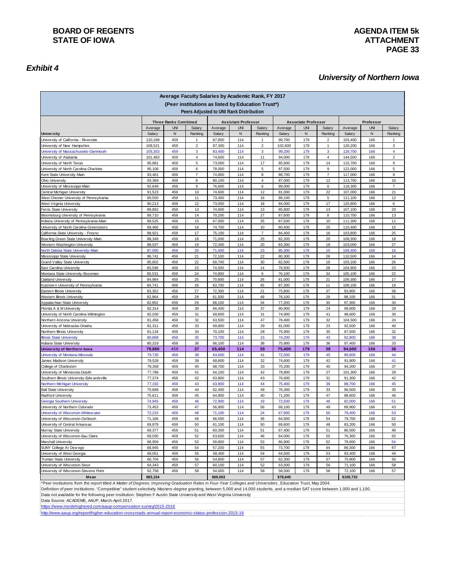# *Exhibit 4*

# **PAGE 33**

#### *University of Northern Iowa*

| Average Faculty Salaries by Academic Rank, FY 2017<br>(Peer institutions as listed by Education Trust*) |                                                           |            |                                         |                            |            |                     |                   |            |                   |                    |            |                     |
|---------------------------------------------------------------------------------------------------------|-----------------------------------------------------------|------------|-----------------------------------------|----------------------------|------------|---------------------|-------------------|------------|-------------------|--------------------|------------|---------------------|
|                                                                                                         |                                                           |            | Peers Adjusted to UNI Rank Distribution |                            |            |                     |                   |            |                   |                    |            |                     |
|                                                                                                         | <b>Three Ranks Combined</b><br><b>Assistant Professor</b> |            |                                         | <b>Associate Professor</b> |            |                     | Professor         |            |                   |                    |            |                     |
|                                                                                                         | Average                                                   | <b>UNI</b> | Salary                                  | Average                    | <b>UNI</b> | Salary              | Average           | <b>UNI</b> | Salary            | Average            | <b>UNI</b> | Salary              |
| <b>University</b>                                                                                       | Salary                                                    | N          | Ranking                                 | Salary                     | N          | Ranking             | Salary            | ${\sf N}$  | Ranking           | Salary             | N          | Ranking             |
| University of California - Riverside                                                                    | 120,189                                                   | 459        | $\mathbf{1}$                            | 87,800                     | 114        | $\mathbf{1}$        | 99,700            | 179        | $\overline{2}$    | 155,400            | 166        | 1                   |
| University of New Hampshire<br>University of Massachusetts-Dartmouth                                    | 108,521<br>105,353                                        | 459<br>459 | $\overline{2}$<br>$\mathbf{3}$          | 87,300<br>83,400           | 114<br>114 | $\overline{2}$<br>3 | 102,600<br>99,200 | 179<br>179 | $\mathbf{1}$<br>3 | 130,200<br>126,700 | 166<br>166 | 3<br>$\overline{4}$ |
| University of Alabama                                                                                   | 101,483                                                   | 459        | $\overline{4}$                          | 74,600                     | 114        | 11                  | 94,000            | 179        | $\overline{4}$    | 144,500            | 166        | $\sqrt{2}$          |
| University of North Texas                                                                               | 95,881                                                    | 459        | 5                                       | 73,000                     | 114        | 17                  | 85,600            | 179        | 14                | 115,700            | 166        | 9                   |
| University of North Carolina-Charlotte                                                                  | 95,106                                                    | 459        | 6                                       | 78,000                     | 114        | 5                   | 87,500            | 179        | 9                 | 122,000            | 166        | $\sqrt{5}$          |
| Kent State University-Main                                                                              | 93,461                                                    | 459        | $\overline{7}$                          | 74,800                     | 114        | 8                   | 88,700            | 179        | $\overline{7}$    | 117,000            | 166        | 8                   |
| Ohio University                                                                                         | 93,369                                                    | 459        | 8                                       | 80,100                     | 114        | $\overline{4}$      | 87,000            | 179        | 12                | 113,700            | 166        | 10                  |
| University of Mississippi-Main                                                                          | 92,649                                                    | 459        | 9                                       | 76,600                     | 114        | 6                   | 89,000            | 179        | 6                 | 118,300            | 166        | $\overline{7}$      |
| Central Michigan University                                                                             | 91,523                                                    | 459        | 10                                      | 74,600                     | 114        | 12                  | 81,000            | 179        | 22                | 107,000            | 166        | 21                  |
| West Chester University of Pennsylvania                                                                 | 90,550                                                    | 459        | 11                                      | 73,400                     | 114        | 16                  | 89,100            | 179        | $\sqrt{5}$        | 111,100            | 166        | 12                  |
| West Virginia University                                                                                | 90,213                                                    | 459        | 12                                      | 73,000                     | 114        | 18                  | 84,000            | 179        | 17                | 120,800            | 166        | 6                   |
| Ferris State University                                                                                 | 89,892                                                    | 459        | 13                                      | 74,600                     | 114        | 13                  | 85,800            | 179        | 13                | 107,100            | 166        | 20                  |
| Bloomsburg University of Pennsylvania                                                                   | 89,710                                                    | 459        | 14                                      | 70,200                     | 114        | 27                  | 87,600            | 179        | 8                 | 110,700            | 166        | 13                  |
| Indiana University of Pennsylvania-Main                                                                 | 89,525                                                    | 459<br>459 | 15<br>16                                | 67,000<br>74,700           | 114<br>114 | 35<br>10            | 87,500            | 179<br>179 | 10<br>25          | 111,300<br>110,400 | 166<br>166 | 11<br>15            |
| University of North Carolina-Greensboro<br>California State University - Fresno                         | 89,466<br>88,921                                          | 459        | 17                                      | 75,100                     | 114        | $\overline{7}$      | 80,400<br>84,400  | 179        | 16                | 103,800            | 166        | 25                  |
| Bow ling Green State University-Main                                                                    | 88,349                                                    | 459        | 18                                      | 71,000                     | 114        | 25                  | 82,200            | 179        | 20                | 108,300            | 166        | 18                  |
| Western Washington University                                                                           | 88,037                                                    | 459        | 19                                      | 72,300                     | 114        | 20                  | 83,300            | 179        | 18                | 103,000            | 166        | 27                  |
| North Dakota State University-Main                                                                      | 87,050                                                    | 459        | 20                                      | 71,400                     | 114        | 23                  | 85,300            | 179        | 15                | 109,300            | 166        | 16                  |
| Mississippi State University                                                                            | 86,741                                                    | 459        | 21                                      | 72,100                     | 114        | 22                  | 80,300            | 179        | 26                | 110,500            | 166        | 14                  |
| Grand Valley State University                                                                           | 85,602                                                    | 459        | 22                                      | 69,700                     | 114        | 30                  | 82,500            | 179        | 19                | 103,100            | 166        | 26                  |
| East Carolina University                                                                                | 85,596                                                    | 459        | 23                                      | 74,500                     | 114        | 14                  | 79,500            | 179        | 28                | 104,900            | 166        | 23                  |
| Montana State University-Bozeman                                                                        | 85,531                                                    | 459        | 24                                      | 74,800                     | 114        | 9                   | 76,100            | 179        | 34                | 105,100            | 166        | 22                  |
| Oakland University                                                                                      | 84,984                                                    | 459        | 25                                      | 70,600                     | 114        | 26                  | 81,000            | 179        | 21                | 109,300            | 166        | 17                  |
| Kutztown University of Pennsylvania                                                                     | 84,741                                                    | 459        | 26                                      | 63,700                     | 114        | 45                  | 87,300            | 179        | 11                | 108,100            | 166        | 19                  |
| Eastern Illinois University                                                                             | 83,352                                                    | 459        | 27                                      | 72,300                     | 114        | 21                  | 75,900            | 179        | 37                | 93,900             | 166        | 38                  |
| Western Illinois University                                                                             | 82,864                                                    | 459        | 28                                      | 61,500                     | 114        | 49                  | 78,100            | 179        | 29                | 98,100             | 166        | 31                  |
| Appalachian State University                                                                            | 82,852                                                    | 459        | 29                                      | 68,100                     | 114        | 34                  | 77,200            | 179        | 30                | 97,300             | 166        | 34                  |
| Florida A & M University<br>University of North Carolina-Wilmington                                     | 82,314<br>82,030                                          | 459<br>459 | 30<br>31                                | 66,400<br>68,800           | 114<br>114 | 37<br>31            | 80,900<br>74,900  | 179<br>179 | 24<br>41          | 99,600<br>98,600   | 166<br>166 | 29<br>30            |
| Northern Arizona University                                                                             | 81,456                                                    | 459        | 32                                      | 63,500                     | 114        | 47                  | 76,400            | 179        | 32                | 104,500            | 166        | 24                  |
| University of Nebraska-Omaha                                                                            | 81,311                                                    | 459        | 33                                      | 69,800                     | 114        | 29                  | 81,000            | 179        | 23                | 92,500             | 166        | 40                  |
| Northern Illinois University                                                                            | 81,134                                                    | 459        | 34                                      | 70,100                     | 114        | 28                  | 75,900            | 179        | 35                | 97,500             | 166        | 32                  |
| <b>Illinois State University</b>                                                                        | 80,868                                                    | 459        | 35                                      | 73,700                     | 114        | 15                  | 74,200            | 179        | 43                | 92,900             | 166        | 39                  |
| Indiana State University                                                                                | 80,319                                                    | 459        | 36                                      | 66,100                     | 114        | 38                  | 75,900            | 179        | 36                | 97,400             | 166        | 33                  |
| University of Northern low a                                                                            | 79,860                                                    | 459        | 37                                      | 65,400                     | 114        | 39                  | 75,400            | 179        | 38                | 94,600             | 166        | 36                  |
| University of Montana-Missoula                                                                          | 79,735                                                    | 459        | 38                                      | 64,600                     | 114        | 41                  | 72,500            | 179        | 45                | 89,600             | 166        | 44                  |
| James Madison University                                                                                | 79,528                                                    | 459        | 39                                      | 68,800                     | 114        | 32                  | 74,600            | 179        | 42                | 91,800             | 166        | 41                  |
| College of Charleston                                                                                   | 79,358                                                    | 459        | 40                                      | 68,700                     | 114        | 33                  | 75,200            | 179        | 40                | 94,200             | 166        | 37                  |
| University of Minnesota-Duluth                                                                          | 77,786                                                    | 459        | 41                                      | 64,100                     | 114        | 42                  | 79,800            | 179        | 27                | 101,300            | 166        | 28                  |
| Southern Illinois University-Edw ardsville                                                              | 77,374                                                    | 459        | 42                                      | 63,800                     | 114        | 43                  | 76,600            | 179        | 31                | 91,300             | 166        | 42                  |
| Northern Michigan University                                                                            | 77,192                                                    | 459<br>459 | 43<br>44                                | 63,800                     | 114<br>114 | 44<br>48            | 75,400            | 179<br>179 | 39<br>33          | 88,700             | 166<br>166 | 45                  |
| <b>Ball State University</b><br>Radford University                                                      | 75,689<br>75,611                                          | 459        | 45                                      | 62,400<br>64,800           | 114        | 40                  | 76,300<br>71,200  | 179        | 47                | 96,500<br>88,600   | 166        | 35<br>46            |
| Georgia Southern University                                                                             | 74,945                                                    | 459        | 46                                      | 72,900                     | 114        | 19                  | 72,500            | 179        | 46                | 82,000             | 166        | 51                  |
| University of Northern Colorado                                                                         | 73,453                                                    | 459        | 47                                      | 56,800                     | 114        | 56                  | 68,100            | 179        | 49                | 89,900             | 166        | 43                  |
| University of Wisconsin-Whitew ater                                                                     | 72,215                                                    | 459        | 48                                      | 71,100                     | 114        | 24                  | 67,900            | 179        | 50                | 79,400             | 166        | 53                  |
| University of Wisconsin-Oshkosh                                                                         | 71,166                                                    | 459        | 49                                      | 66,500                     | 114        | 36                  | 64,500            | 179        | 54                | 79,700             | 166        | 52                  |
| University of Central Arkansas                                                                          | 69,879                                                    | 459        | 50                                      | 61,100                     | 114        | 50                  | 69,600            | 179        | 48                | 83,200             | 166        | 50                  |
| Murray State University                                                                                 | 69,377                                                    | 459        | 51                                      | 60,300                     | 114        | 51                  | 67,400            | 179        | 51                | 86,500             | 166        | 48                  |
| University of Wisconsin-Eau Claire                                                                      | 69,030                                                    | 459        | 52                                      | 63,600                     | 114        | 46                  | 64,000            | 179        | 55                | 76,300             | 166        | 55                  |
| Marshall University                                                                                     | 68,959                                                    | 459        | 53                                      | 59,800                     | 114        | 53                  | 66,900            | 179        | 52                | 78,600             | 166        | 54                  |
| SUNY College At Osw ego                                                                                 | 68,945                                                    | 459        | 54                                      | 57,200                     | 114        | 55                  | 73,700            | 179        | 44                | 88,300             | 166        | 47                  |
| University of West Georgia                                                                              | 68,051                                                    | 459        | 55                                      | 58,400                     | 114        | 54                  | 64,500            | 179        | 53                | 83,400             | 166        | 49                  |
| Truman State University                                                                                 | 66,704                                                    | 459        | 56                                      | 54,800                     | 114        | 57                  | 62,300            | 179        | 57                | 75,800             | 166        | 56                  |
| University of Wisconsin-Stout                                                                           | 64,343                                                    | 459        | 57                                      | 60,100                     | 114        | 52                  | 63,500            | 179        | 56                | 71,100             | 166        | 58                  |
| University of Wisconsin-Stevens Point                                                                   | 62,758                                                    | 459        | 58                                      | 54,600                     | 114        | 58                  | 58,500            | 179        | 58                | 72,100             | 166        | 57                  |
| Mean                                                                                                    | \$83,154                                                  |            |                                         | \$69,003                   |            |                     | \$78,645          |            |                   | \$100,733          |            |                     |

\*Peer institutions from the report titled *A Matter of Degrees: Improving Graduation Rates in Four-Year Colleges and Universities* , Education Trust, May 2004.

Definition of peer institutions: "Competitive" student selectivity, Masters-degree granting, between 5,000 and 14,000 students, and a median SAT score between 1,000 and 1,100. Data not available for the following peer institution: Stephen F Austin State University and West Virginia University

Data Source: ACADEME, AAUP, March-April 2017.<br>https://www.insidehighered.com/aaup-compensation-survey/2015-2016 https://www.insidehighered.com/aaup-c

http://www.aaup.org/report/higher-education-crossroads-annual-report-economic-status-profession-2015-16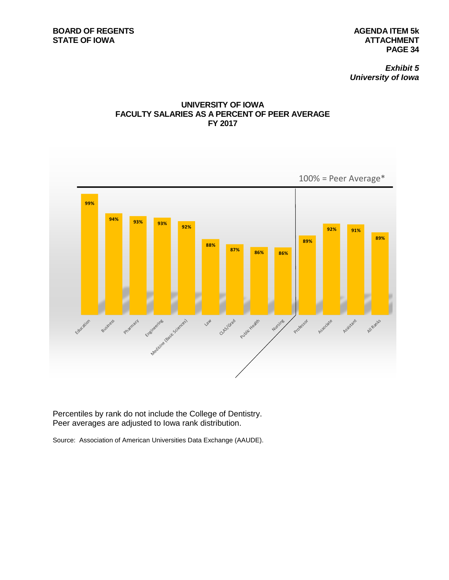*Exhibit 5 University of Iowa*





Percentiles by rank do not include the College of Dentistry. Peer averages are adjusted to Iowa rank distribution.

Source: Association of American Universities Data Exchange (AAUDE).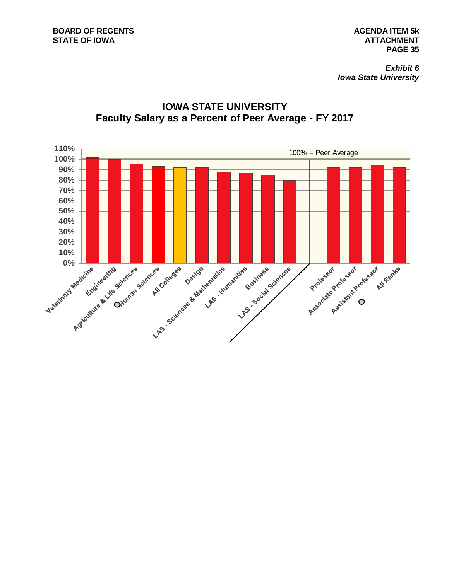

# **IOWA STATE UNIVERSITY Faculty Salary as a Percent of Peer Average - FY 2017**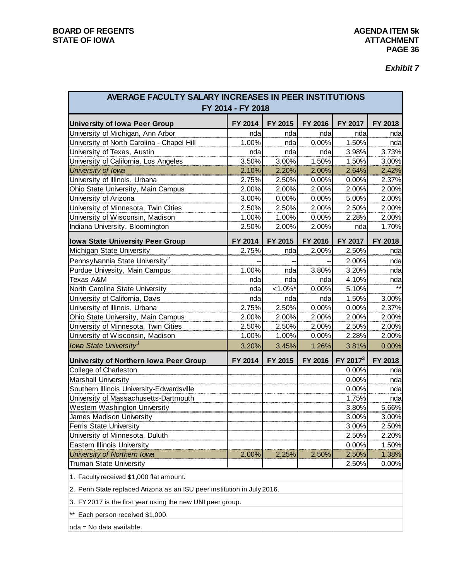*Exhibit 7*

| AVERAGE FACULTY SALARY INCREASES IN PEER INSTITUTIONS<br>FY 2014 - FY 2018 |         |           |         |                      |         |  |  |  |  |  |  |
|----------------------------------------------------------------------------|---------|-----------|---------|----------------------|---------|--|--|--|--|--|--|
| <b>University of Iowa Peer Group</b>                                       | FY 2014 | FY 2015   | FY 2016 | FY 2017              | FY 2018 |  |  |  |  |  |  |
| University of Michigan, Ann Arbor                                          | nda     | nda       | nda     | nda                  | nda     |  |  |  |  |  |  |
| University of North Carolina - Chapel Hill                                 | 1.00%   | nda       | 0.00%   | 1.50%                | nda     |  |  |  |  |  |  |
| University of Texas, Austin                                                | nda     | nda       | nda     | 3.98%                | 3.73%   |  |  |  |  |  |  |
| University of California, Los Angeles                                      | 3.50%   | 3.00%     | 1.50%   | 1.50%                | 3.00%   |  |  |  |  |  |  |
| University of Iowa                                                         | 2.10%   | 2.20%     | 2.00%   | 2.64%                | 2.42%   |  |  |  |  |  |  |
| University of Illinois, Urbana                                             | 2.75%   | 2.50%     | 0.00%   | 0.00%                | 2.37%   |  |  |  |  |  |  |
| Ohio State University, Main Campus                                         | 2.00%   | 2.00%     | 2.00%   | 2.00%                | 2.00%   |  |  |  |  |  |  |
| University of Arizona                                                      | 3.00%   | 0.00%     | 0.00%   | 5.00%                | 2.00%   |  |  |  |  |  |  |
| University of Minnesota, Twin Cities                                       | 2.50%   | 2.50%     | 2.00%   | 2.50%                | 2.00%   |  |  |  |  |  |  |
| University of Wisconsin, Madison                                           | 1.00%   | 1.00%     | 0.00%   | 2.28%                | 2.00%   |  |  |  |  |  |  |
| Indiana University, Bloomington                                            | 2.50%   | 2.00%     | 2.00%   | nda                  | 1.70%   |  |  |  |  |  |  |
| <b>Iowa State University Peer Group</b>                                    | FY 2014 | FY 2015   | FY 2016 | FY 2017              | FY 2018 |  |  |  |  |  |  |
| Michigan State University                                                  | 2.75%   | nda       | 2.00%   | 2.50%                | nda     |  |  |  |  |  |  |
| Pennsylvannia State University <sup>2</sup>                                |         |           |         | 2.00%                | nda     |  |  |  |  |  |  |
| Purdue Univesity, Main Campus                                              | 1.00%   | nda       | 3.80%   | 3.20%                | nda     |  |  |  |  |  |  |
| Texas A&M                                                                  | nda     | nda       | nda     | 4.10%                | nda     |  |  |  |  |  |  |
| North Carolina State University                                            | nda     | $1.0\%$ * | 0.00%   | 5.10%                |         |  |  |  |  |  |  |
| University of California, Davis                                            | nda     | nda       | nda     | 1.50%                | 3.00%   |  |  |  |  |  |  |
| University of Illinois, Urbana                                             | 2.75%   | 2.50%     | 0.00%   | 0.00%                | 2.37%   |  |  |  |  |  |  |
| Ohio State University, Main Campus                                         | 2.00%   | 2.00%     | 2.00%   | 2.00%                | 2.00%   |  |  |  |  |  |  |
| University of Minnesota, Twin Cities                                       | 2.50%   | 2.50%     | 2.00%   | 2.50%                | 2.00%   |  |  |  |  |  |  |
| University of Wisconsin, Madison                                           | 1.00%   | 1.00%     | 0.00%   | 2.28%                | 2.00%   |  |  |  |  |  |  |
| Iowa State University <sup>1</sup>                                         | 3.20%   | 3.45%     | 1.26%   | 3.81%                | 0.00%   |  |  |  |  |  |  |
| University of Northern Iowa Peer Group                                     | FY 2014 | FY 2015   | FY 2016 | FY 2017 <sup>3</sup> | FY 2018 |  |  |  |  |  |  |
| College of Charleston                                                      |         |           |         | 0.00%                | nda     |  |  |  |  |  |  |
| Marshall University                                                        |         |           |         | 0.00%                | nda     |  |  |  |  |  |  |
| Southern Illinois University-Edwardsville                                  |         |           |         | 0.00%                | nda     |  |  |  |  |  |  |
| University of Massachusetts-Dartmouth                                      |         |           |         | 1.75%                | nda     |  |  |  |  |  |  |
| Western Washington University                                              |         |           |         | 3.80%                | 5.66%   |  |  |  |  |  |  |
| James Madison University                                                   |         |           |         | 3.00%                | 3.00%   |  |  |  |  |  |  |
| <b>Ferris State University</b>                                             |         |           |         | 3.00%                | 2.50%   |  |  |  |  |  |  |
| University of Minnesota, Duluth                                            |         |           |         | 2.50%                | 2.20%   |  |  |  |  |  |  |
| <b>Eastern Illinois University</b>                                         |         |           |         | 0.00%                | 1.50%   |  |  |  |  |  |  |
| University of Northern Iowa                                                | 2.00%   | 2.25%     | 2.50%   | 2.50%                | 1.38%   |  |  |  |  |  |  |
| <b>Truman State University</b>                                             |         |           |         | 2.50%                | 0.00%   |  |  |  |  |  |  |

1. Faculty received \$1,000 flat amount.

2. Penn State replaced Arizona as an ISU peer institution in July 2016.

3. FY 2017 is the first year using the new UNI peer group.

\*\* Each person received \$1,000.

nda = No data available.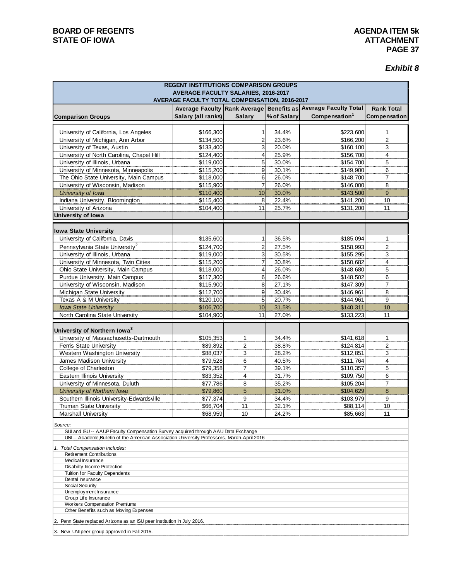# *Exhibit 8*

| <b>REGENT INSTITUTIONS COMPARISON GROUPS</b><br><b>AVERAGE FACULTY SALARIES, 2016-2017</b><br>AVERAGE FACULTY TOTAL COMPENSATION, 2016-2017 |                        |                         |                |                                                                |                   |  |  |  |  |
|---------------------------------------------------------------------------------------------------------------------------------------------|------------------------|-------------------------|----------------|----------------------------------------------------------------|-------------------|--|--|--|--|
|                                                                                                                                             |                        |                         |                | Average Faculty Rank Average Benefits as Average Faculty Total | <b>Rank Total</b> |  |  |  |  |
| <b>Comparison Groups</b>                                                                                                                    | Salary (all ranks)     | <b>Salary</b>           | % of Salary    | Compensation <sup>1</sup>                                      | Compensation      |  |  |  |  |
|                                                                                                                                             |                        |                         |                |                                                                |                   |  |  |  |  |
| University of California, Los Angeles                                                                                                       | \$166,300              | 1                       | 34.4%          | \$223,600                                                      | 1                 |  |  |  |  |
| University of Michigan, Ann Arbor                                                                                                           | \$134,500              | 2                       | 23.6%          | \$166,200                                                      | $\overline{2}$    |  |  |  |  |
| University of Texas, Austin                                                                                                                 | \$133,400              | 3                       | 20.0%          | \$160,100                                                      | 3                 |  |  |  |  |
| University of North Carolina, Chapel Hill                                                                                                   | \$124,400              | 4                       | 25.9%          | \$156,700                                                      | 4                 |  |  |  |  |
| University of Illinois, Urbana                                                                                                              | \$119,000              | $\overline{5}$          | 30.0%          | \$154,700                                                      | 5                 |  |  |  |  |
| University of Minnesota, Minneapolis                                                                                                        | \$115,200              | 9                       | 30.1%          | \$149,900                                                      | 6                 |  |  |  |  |
| The Ohio State University, Main Campus                                                                                                      | \$118,000              | 6                       | 26.0%          | \$148,700                                                      | $\overline{7}$    |  |  |  |  |
| University of Wisconsin, Madison                                                                                                            | \$115,900              | 7                       | 26.0%          | \$146,000                                                      | 8                 |  |  |  |  |
| University of Iowa                                                                                                                          | \$110,400              | 10                      | 30.0%          | \$143,500                                                      | 9                 |  |  |  |  |
| Indiana University, Bloomington                                                                                                             | \$115,400              | 8                       | 22.4%          | \$141,200                                                      | 10                |  |  |  |  |
| University of Arizona                                                                                                                       | \$104,400              | 11                      | 25.7%          | \$131,200                                                      | 11                |  |  |  |  |
| University of Iowa                                                                                                                          |                        |                         |                |                                                                |                   |  |  |  |  |
|                                                                                                                                             |                        |                         |                |                                                                |                   |  |  |  |  |
| <b>Iowa State University</b><br>University of California, Davis                                                                             |                        |                         |                |                                                                |                   |  |  |  |  |
|                                                                                                                                             | \$135,600              | 1                       | 36.5%          | \$185,094                                                      | 1                 |  |  |  |  |
| Pennsylvania State University <sup>2</sup>                                                                                                  | \$124,700              | $\overline{\mathbf{c}}$ | 27.5%          | \$158,993                                                      | $\overline{2}$    |  |  |  |  |
| University of Illinois, Urbana                                                                                                              | \$119,000              | 3                       | 30.5%          | \$155,295                                                      | 3                 |  |  |  |  |
| University of Minnesota, Twin Cities                                                                                                        | \$115,200              | 7                       | 30.8%          | \$150,682                                                      | $\overline{4}$    |  |  |  |  |
| Ohio State University, Main Campus                                                                                                          | \$118,000              | 4                       | 26.0%          | \$148,680                                                      | 5                 |  |  |  |  |
| Purdue University, Main Campus                                                                                                              | \$117,300              | 6                       | 26.6%<br>27.1% | \$148,502                                                      | 6                 |  |  |  |  |
| University of Wisconsin, Madison<br>Michigan State University                                                                               | \$115,900<br>\$112,700 | 8<br>9                  | 30.4%          | \$147,309<br>\$146,961                                         | 7<br>8            |  |  |  |  |
| Texas A & M University                                                                                                                      | \$120,100              | 5                       | 20.7%          | \$144,961                                                      | 9                 |  |  |  |  |
| <b>Iowa State University</b>                                                                                                                | \$106,700              | 10                      | 31.5%          | \$140,311                                                      | 10                |  |  |  |  |
| North Carolina State University                                                                                                             | \$104,900              | 11                      | 27.0%          | \$133,223                                                      | 11                |  |  |  |  |
|                                                                                                                                             |                        |                         |                |                                                                |                   |  |  |  |  |
| University of Northern Iowa <sup>3</sup>                                                                                                    |                        |                         |                |                                                                |                   |  |  |  |  |
| University of Massachusetts-Dartmouth                                                                                                       | \$105,353              | 1                       | 34.4%          | \$141,618                                                      | 1                 |  |  |  |  |
| Ferris State University                                                                                                                     | \$89,892               | $\overline{\mathbf{c}}$ | 38.8%          | \$124,814                                                      | $\overline{2}$    |  |  |  |  |
| Western Washington University                                                                                                               | \$88,037               | 3                       | 28.2%          | \$112,851                                                      | 3                 |  |  |  |  |
| James Madison University                                                                                                                    | \$79,528               | 6                       | 40.5%          | \$111,764                                                      | $\overline{4}$    |  |  |  |  |
| College of Charleston                                                                                                                       | \$79,358               | $\overline{7}$          | 39.1%          | \$110,357                                                      | 5                 |  |  |  |  |
| Eastern Illinois University                                                                                                                 | \$83,352               | $\overline{4}$          | 31.7%          | \$109,750                                                      | 6                 |  |  |  |  |
| University of Minnesota, Duluth                                                                                                             | \$77,786               | 8                       | 35.2%          | \$105,204                                                      | $\overline{7}$    |  |  |  |  |
| University of Northern Iowa                                                                                                                 | \$79,860               | 5                       | 31.0%          | \$104,629                                                      | $\bf8$            |  |  |  |  |
| Southern Illinois University-Edwardsville                                                                                                   | \$77,374               | 9                       | 34.4%          | \$103,979                                                      | 9                 |  |  |  |  |
| <b>Truman State University</b>                                                                                                              | \$66,704               | 11                      | 32.1%          | \$88,114                                                       | 10                |  |  |  |  |
| Marshall University                                                                                                                         | \$68,959               | 10                      | 24.2%          | \$85,663                                                       | 11                |  |  |  |  |
| Source:<br>SUI and ISU -- AAUP Faculty Compensation Survey acquired through AAU Data Exchange                                               |                        |                         |                |                                                                |                   |  |  |  |  |
| UNI -- Academe, Bulletin of the American Association University Professors, March-April 2016                                                |                        |                         |                |                                                                |                   |  |  |  |  |
| 1. Total Compensation includes:                                                                                                             |                        |                         |                |                                                                |                   |  |  |  |  |
| <b>Retirement Contributions</b>                                                                                                             |                        |                         |                |                                                                |                   |  |  |  |  |
| Medical Insurance                                                                                                                           |                        |                         |                |                                                                |                   |  |  |  |  |
| Disability Income Protection<br><b>Tuition for Faculty Dependents</b>                                                                       |                        |                         |                |                                                                |                   |  |  |  |  |
| Dental Insurance                                                                                                                            |                        |                         |                |                                                                |                   |  |  |  |  |
| Social Security                                                                                                                             |                        |                         |                |                                                                |                   |  |  |  |  |
| Unemployment Insurance                                                                                                                      |                        |                         |                |                                                                |                   |  |  |  |  |
| Group Life Insurance<br>Workers Compensation Premiums                                                                                       |                        |                         |                |                                                                |                   |  |  |  |  |
| Other Benefits such as Moving Expenses                                                                                                      |                        |                         |                |                                                                |                   |  |  |  |  |
| 2. Penn State replaced Arizona as an ISU peer institution in July 2016.                                                                     |                        |                         |                |                                                                |                   |  |  |  |  |
| 3. New UNI peer group approved in Fall 2015.                                                                                                |                        |                         |                |                                                                |                   |  |  |  |  |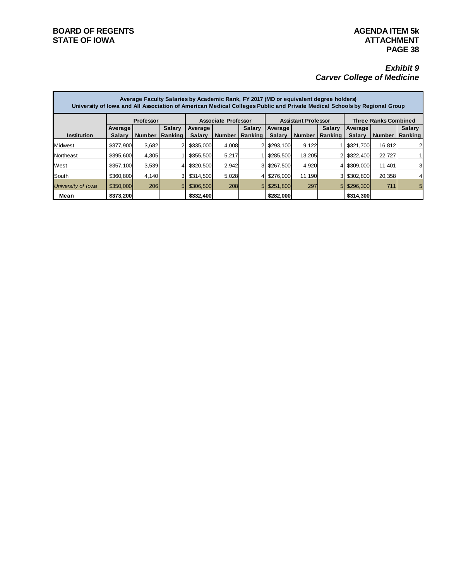# *Exhibit 9 Carver College of Medicine*

|                    | Average Faculty Salaries by Academic Rank, FY 2017 (MD or equivalent degree holders)<br>University of Iowa and All Association of American Medical Colleges Public and Private Medical Schools by Regional Group |                  |               |                            |               |                |               |                            |                |                             |               |               |  |  |
|--------------------|------------------------------------------------------------------------------------------------------------------------------------------------------------------------------------------------------------------|------------------|---------------|----------------------------|---------------|----------------|---------------|----------------------------|----------------|-----------------------------|---------------|---------------|--|--|
|                    |                                                                                                                                                                                                                  | <b>Professor</b> |               | <b>Associate Professor</b> |               |                |               | <b>Assistant Professor</b> |                | <b>Three Ranks Combined</b> |               |               |  |  |
|                    | Average                                                                                                                                                                                                          |                  | <b>Salary</b> | Average                    |               | <b>Salary</b>  | Average       |                            | <b>Salary</b>  | Average                     |               | <b>Salary</b> |  |  |
| <b>Institution</b> | <b>Salary</b>                                                                                                                                                                                                    | <b>Number</b>    | Ranking       | <b>Salary</b>              | <b>Number</b> | Ranking        | <b>Salary</b> | <b>Number</b>              | <b>Ranking</b> | <b>Salary</b>               | <b>Number</b> | Ranking       |  |  |
| Midwest            | \$377.900                                                                                                                                                                                                        | 3.682            |               | \$335,000                  | 4,008         |                | \$293,100     | 9,122                      |                | \$321,700                   | 16.812        | 2             |  |  |
| Northeast          | \$395,600                                                                                                                                                                                                        | 4,305            |               | \$355,500                  | 5,217         |                | \$285,500     | 13,205                     |                | \$322,400                   | 22,727        |               |  |  |
| West               | \$357,100                                                                                                                                                                                                        | 3,539            |               | \$320,500                  | 2,942         | 31             | \$267.500     | 4,920                      |                | \$309,000                   | 11,401        | 3             |  |  |
| South              | \$360,800                                                                                                                                                                                                        | 4,140            |               | \$314,500                  | 5,028         |                | \$276,000     | 11,190                     |                | \$302,800                   | 20,358        | 4             |  |  |
| University of Iowa | \$350,000                                                                                                                                                                                                        | <b>206</b>       | 5             | \$306,500                  | 208           | 5 <sub>l</sub> | \$251,800     | 297                        | 5              | \$296,300                   | 711           | 5             |  |  |
| Mean               | \$373,200                                                                                                                                                                                                        |                  |               | \$332,400                  |               |                | \$282,000     |                            |                | \$314,300                   |               |               |  |  |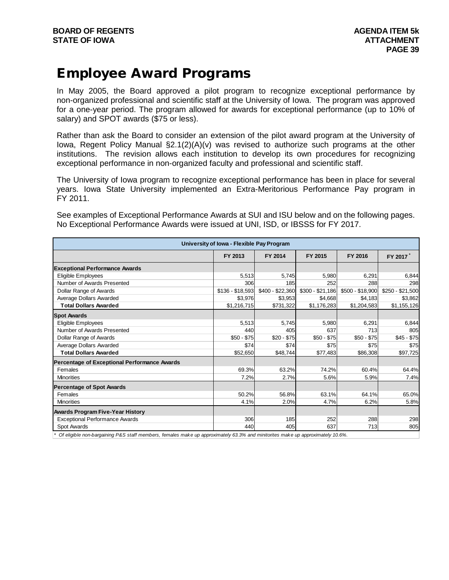# Employee Award Programs

In May 2005, the Board approved a pilot program to recognize exceptional performance by non-organized professional and scientific staff at the University of Iowa. The program was approved for a one-year period. The program allowed for awards for exceptional performance (up to 10% of salary) and SPOT awards (\$75 or less).

Rather than ask the Board to consider an extension of the pilot award program at the University of Iowa, Regent Policy Manual  $\S2.1(2)(A)(v)$  was revised to authorize such programs at the other institutions. The revision allows each institution to develop its own procedures for recognizing exceptional performance in non-organized faculty and professional and scientific staff.

The University of Iowa program to recognize exceptional performance has been in place for several years. Iowa State University implemented an Extra-Meritorious Performance Pay program in FY 2011.

See examples of Exceptional Performance Awards at SUI and ISU below and on the following pages. No Exceptional Performance Awards were issued at UNI, ISD, or IBSSS for FY 2017.

| University of Iowa - Flexible Pay Program    |                  |                  |                  |                  |                      |  |  |  |  |  |
|----------------------------------------------|------------------|------------------|------------------|------------------|----------------------|--|--|--|--|--|
|                                              | FY 2013          | FY 2014          | FY 2015          | FY 2016          | FY 2017              |  |  |  |  |  |
| <b>Exceptional Performance Awards</b>        |                  |                  |                  |                  |                      |  |  |  |  |  |
| Eligible Employees                           | 5,513            | 5,745            | 5,980            | 6,291            | 6,844                |  |  |  |  |  |
| Number of Awards Presented                   | 306              | 185              | 252              | 288              | 298                  |  |  |  |  |  |
| Dollar Range of Awards                       | \$136 - \$18,593 | \$400 - \$22,360 | $$300 - $21,186$ | \$500 - \$18,900 | \$21,500<br>$$250 -$ |  |  |  |  |  |
| Average Dollars Awarded                      | \$3,976          | \$3,953          | \$4,668          | \$4,183          | \$3,862              |  |  |  |  |  |
| <b>Total Dollars Awarded</b>                 | \$1,216,715      | \$731,322        | \$1,176,283      | \$1,204,583      | \$1,155,126          |  |  |  |  |  |
| <b>Spot Awards</b>                           |                  |                  |                  |                  |                      |  |  |  |  |  |
| Eligible Employees                           | 5,513            | 5,745            | 5,980            | 6,291            | 6,844                |  |  |  |  |  |
| Number of Awards Presented                   | 440              | 405              | 637              | 713              | 805                  |  |  |  |  |  |
| Dollar Range of Awards                       | $$50 - $75$      | $$20 - $75$      | $$50 - $75$      | $$50 - $75$      | $$45 - $75$          |  |  |  |  |  |
| Average Dollars Awarded                      | \$74             | \$74             | \$75             | \$75             | <b>\$75</b>          |  |  |  |  |  |
| <b>Total Dollars Awarded</b>                 | \$52,650         | \$48,744         | \$77,483         | \$86,308         | \$97,725             |  |  |  |  |  |
| Percentage of Exceptional Performance Awards |                  |                  |                  |                  |                      |  |  |  |  |  |
| Females                                      | 69.3%            | 63.2%            | 74.2%            | 60.4%            | 64.4%                |  |  |  |  |  |
| <b>Minorities</b>                            | 7.2%             | 2.7%             | 5.6%             | 5.9%             | 7.4%                 |  |  |  |  |  |
| <b>Percentage of Spot Awards</b>             |                  |                  |                  |                  |                      |  |  |  |  |  |
| Females                                      | 50.2%            | 56.8%            | 63.1%            | 64.1%            | 65.0%                |  |  |  |  |  |
| <b>Minorities</b>                            | 4.1%             | 2.0%             | 4.7%             | 6.2%             | 5.8%                 |  |  |  |  |  |
| <b>Awards Program Five-Year History</b>      |                  |                  |                  |                  |                      |  |  |  |  |  |
| <b>Exceptional Performance Awards</b>        | 306              | 185              | 252              | 288              | 298                  |  |  |  |  |  |
| Spot Awards                                  | 440              | 405              | 637              | 713              | 805                  |  |  |  |  |  |
| $\cdots$ $\cdots$                            |                  |                  |                  |                  |                      |  |  |  |  |  |

*\* Of eligible non-bargaining P&S staff members, females make up approximately 63.3% and minitorites make up approximately 10.6%.*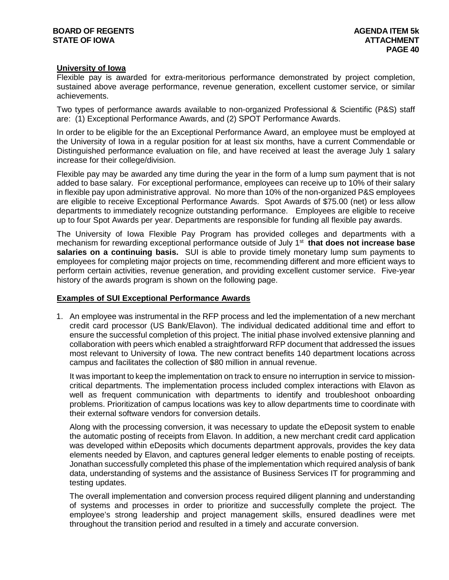## **University of Iowa**

Flexible pay is awarded for extra-meritorious performance demonstrated by project completion, sustained above average performance, revenue generation, excellent customer service, or similar achievements.

Two types of performance awards available to non-organized Professional & Scientific (P&S) staff are: (1) Exceptional Performance Awards, and (2) SPOT Performance Awards.

In order to be eligible for the an Exceptional Performance Award, an employee must be employed at the University of Iowa in a regular position for at least six months, have a current Commendable or Distinguished performance evaluation on file, and have received at least the average July 1 salary increase for their college/division.

Flexible pay may be awarded any time during the year in the form of a lump sum payment that is not added to base salary. For exceptional performance, employees can receive up to 10% of their salary in flexible pay upon administrative approval. No more than 10% of the non-organized P&S employees are eligible to receive Exceptional Performance Awards. Spot Awards of \$75.00 (net) or less allow departments to immediately recognize outstanding performance. Employees are eligible to receive up to four Spot Awards per year. Departments are responsible for funding all flexible pay awards.

The University of Iowa Flexible Pay Program has provided colleges and departments with a mechanism for rewarding exceptional performance outside of July 1st **that does not increase base salaries on a continuing basis.** SUI is able to provide timely monetary lump sum payments to employees for completing major projects on time, recommending different and more efficient ways to perform certain activities, revenue generation, and providing excellent customer service. Five-year history of the awards program is shown on the following page.

# **Examples of SUI Exceptional Performance Awards**

1. An employee was instrumental in the RFP process and led the implementation of a new merchant credit card processor (US Bank/Elavon). The individual dedicated additional time and effort to ensure the successful completion of this project. The initial phase involved extensive planning and collaboration with peers which enabled a straightforward RFP document that addressed the issues most relevant to University of Iowa. The new contract benefits 140 department locations across campus and facilitates the collection of \$80 million in annual revenue.

It was important to keep the implementation on track to ensure no interruption in service to missioncritical departments. The implementation process included complex interactions with Elavon as well as frequent communication with departments to identify and troubleshoot onboarding problems. Prioritization of campus locations was key to allow departments time to coordinate with their external software vendors for conversion details.

Along with the processing conversion, it was necessary to update the eDeposit system to enable the automatic posting of receipts from Elavon. In addition, a new merchant credit card application was developed within eDeposits which documents department approvals, provides the key data elements needed by Elavon, and captures general ledger elements to enable posting of receipts. Jonathan successfully completed this phase of the implementation which required analysis of bank data, understanding of systems and the assistance of Business Services IT for programming and testing updates.

The overall implementation and conversion process required diligent planning and understanding of systems and processes in order to prioritize and successfully complete the project. The employee's strong leadership and project management skills, ensured deadlines were met throughout the transition period and resulted in a timely and accurate conversion.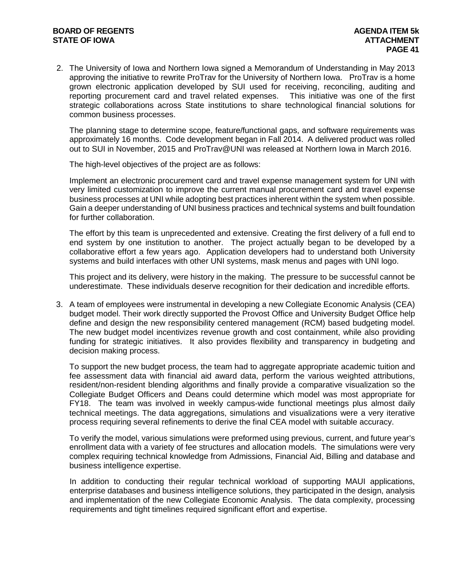## **BOARD OF REGENTS AGENDA ITEM 5k STATE OF IOWA**

2. The University of Iowa and Northern Iowa signed a Memorandum of Understanding in May 2013 approving the initiative to rewrite ProTrav for the University of Northern Iowa. ProTrav is a home grown electronic application developed by SUI used for receiving, reconciling, auditing and reporting procurement card and travel related expenses. This initiative was one of the first strategic collaborations across State institutions to share technological financial solutions for common business processes.

The planning stage to determine scope, feature/functional gaps, and software requirements was approximately 16 months. Code development began in Fall 2014. A delivered product was rolled out to SUI in November, 2015 and ProTrav@UNI was released at Northern Iowa in March 2016.

The high-level objectives of the project are as follows:

Implement an electronic procurement card and travel expense management system for UNI with very limited customization to improve the current manual procurement card and travel expense business processes at UNI while adopting best practices inherent within the system when possible. Gain a deeper understanding of UNI business practices and technical systems and built foundation for further collaboration.

The effort by this team is unprecedented and extensive. Creating the first delivery of a full end to end system by one institution to another. The project actually began to be developed by a collaborative effort a few years ago. Application developers had to understand both University systems and build interfaces with other UNI systems, mask menus and pages with UNI logo.

This project and its delivery, were history in the making. The pressure to be successful cannot be underestimate. These individuals deserve recognition for their dedication and incredible efforts.

3. A team of employees were instrumental in developing a new Collegiate Economic Analysis (CEA) budget model. Their work directly supported the Provost Office and University Budget Office help define and design the new responsibility centered management (RCM) based budgeting model. The new budget model incentivizes revenue growth and cost containment, while also providing funding for strategic initiatives. It also provides flexibility and transparency in budgeting and decision making process.

To support the new budget process, the team had to aggregate appropriate academic tuition and fee assessment data with financial aid award data, perform the various weighted attributions, resident/non-resident blending algorithms and finally provide a comparative visualization so the Collegiate Budget Officers and Deans could determine which model was most appropriate for FY18. The team was involved in weekly campus-wide functional meetings plus almost daily technical meetings. The data aggregations, simulations and visualizations were a very iterative process requiring several refinements to derive the final CEA model with suitable accuracy.

To verify the model, various simulations were preformed using previous, current, and future year's enrollment data with a variety of fee structures and allocation models. The simulations were very complex requiring technical knowledge from Admissions, Financial Aid, Billing and database and business intelligence expertise.

In addition to conducting their regular technical workload of supporting MAUI applications, enterprise databases and business intelligence solutions, they participated in the design, analysis and implementation of the new Collegiate Economic Analysis. The data complexity, processing requirements and tight timelines required significant effort and expertise.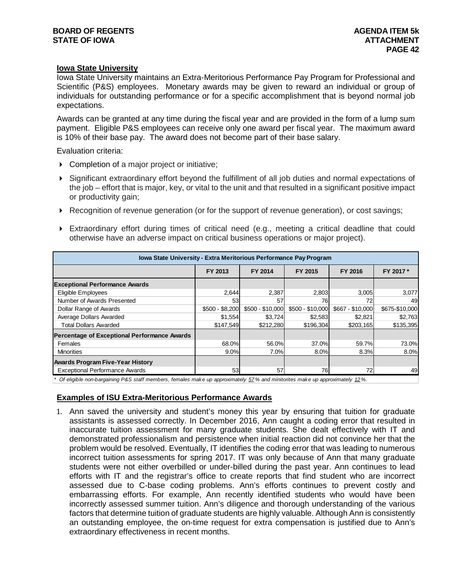## **Iowa State University**

Iowa State University maintains an Extra-Meritorious Performance Pay Program for Professional and Scientific (P&S) employees. Monetary awards may be given to reward an individual or group of individuals for outstanding performance or for a specific accomplishment that is beyond normal job expectations.

Awards can be granted at any time during the fiscal year and are provided in the form of a lump sum payment. Eligible P&S employees can receive only one award per fiscal year. The maximum award is 10% of their base pay. The award does not become part of their base salary.

Evaluation criteria:

- ▶ Completion of a major project or initiative;
- Significant extraordinary effort beyond the fulfillment of all job duties and normal expectations of the job – effort that is major, key, or vital to the unit and that resulted in a significant positive impact or productivity gain;
- Recognition of revenue generation (or for the support of revenue generation), or cost savings;
- Extraordinary effort during times of critical need (e.g., meeting a critical deadline that could otherwise have an adverse impact on critical business operations or major project).

| <b>Iowa State University - Extra Meritorious Performance Pay Program</b> |                    |                  |                  |                  |                |  |  |  |  |  |  |
|--------------------------------------------------------------------------|--------------------|------------------|------------------|------------------|----------------|--|--|--|--|--|--|
|                                                                          | FY 2014<br>FY 2013 |                  | FY 2015          | FY 2016          | FY 2017 *      |  |  |  |  |  |  |
| <b>Exceptional Performance Awards</b>                                    |                    |                  |                  |                  |                |  |  |  |  |  |  |
| Eligible Employees                                                       | 2,644              | 2,387            | 2,803            | 3,005            | 3,077          |  |  |  |  |  |  |
| Number of Awards Presented                                               | 53                 | 57               | 76               | 72               | 49             |  |  |  |  |  |  |
| Dollar Range of Awards                                                   | $$500 - $8,200$    | \$500 - \$10,000 | \$500 - \$10,000 | \$667 - \$10,000 | \$675-\$10,000 |  |  |  |  |  |  |
| Average Dollars Awarded                                                  | \$1,554            | \$3,724          | \$2,583          | \$2,821          | \$2,763        |  |  |  |  |  |  |
| <b>Total Dollars Awarded</b>                                             | \$147,549          | \$212,280        | \$196.304        | \$203,165        | \$135,395      |  |  |  |  |  |  |
| <b>Percentage of Exceptional Performance Awards</b>                      |                    |                  |                  |                  |                |  |  |  |  |  |  |
| Females                                                                  | 68.0%              | 56.0%            | 37.0%            | 59.7%            | 73.0%          |  |  |  |  |  |  |
| <b>Minorities</b>                                                        | 9.0%               | 7.0%l            | 8.0%             | 8.3%             | 8.0%           |  |  |  |  |  |  |
| <b>Awards Program Five-Year History</b>                                  |                    |                  |                  |                  |                |  |  |  |  |  |  |
| <b>Exceptional Performance Awards</b>                                    | 53                 | 57               | 76               | 72               | 49             |  |  |  |  |  |  |

*\* Of eligible non-bargaining P&S staff members, females make up approximately 57% and minitorites make up approximately 12%.*

## **Examples of ISU Extra-Meritorious Performance Awards**

1. Ann saved the university and student's money this year by ensuring that tuition for graduate assistants is assessed correctly. In December 2016, Ann caught a coding error that resulted in inaccurate tuition assessment for many graduate students. She dealt effectively with IT and demonstrated professionalism and persistence when initial reaction did not convince her that the problem would be resolved. Eventually, IT identifies the coding error that was leading to numerous incorrect tuition assessments for spring 2017. IT was only because of Ann that many graduate students were not either overbilled or under-billed during the past year. Ann continues to lead efforts with IT and the registrar's office to create reports that find student who are incorrect assessed due to C-base coding problems. Ann's efforts continues to prevent costly and embarrassing efforts. For example, Ann recently identified students who would have been incorrectly assessed summer tuition. Ann's diligence and thorough understanding of the various factors that determine tuition of graduate students are highly valuable. Although Ann is consistently an outstanding employee, the on-time request for extra compensation is justified due to Ann's extraordinary effectiveness in recent months.